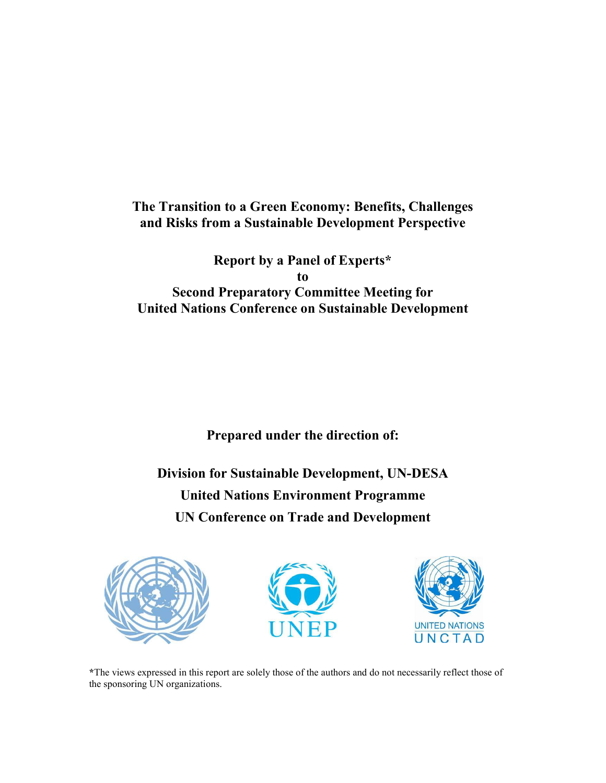# **The Transition to a Green Economy: Benefits, Challenges and Risks from a Sustainable Development Perspective**

**Report by a Panel of Experts\* to Second Preparatory Committee Meeting for United Nations Conference on Sustainable Development** 

**Prepared under the direction of:** 

**Division for Sustainable Development, UN-DESA United Nations Environment Programme UN Conference on Trade and Development** 







**\***The views expressed in this report are solely those of the authors and do not necessarily reflect those of the sponsoring UN organizations.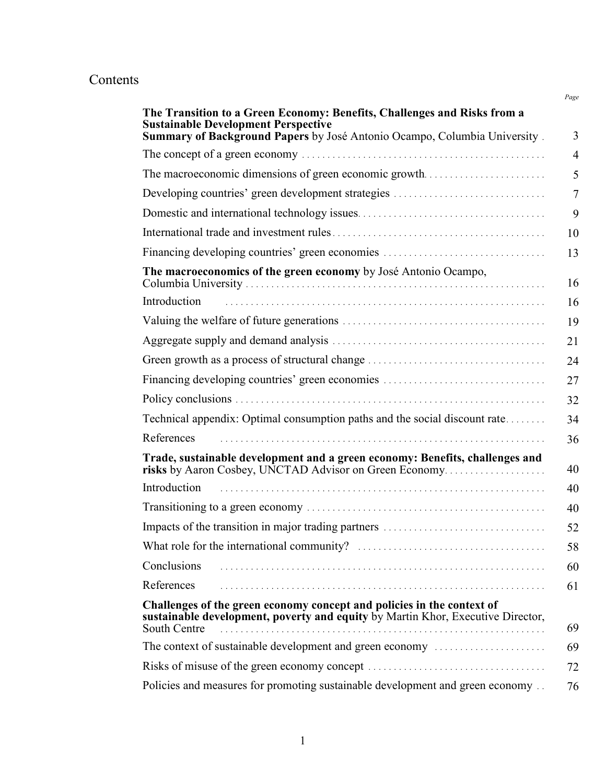# Contents

| The Transition to a Green Economy: Benefits, Challenges and Risks from a<br><b>Sustainable Development Perspective</b>                                                                                  |  |
|---------------------------------------------------------------------------------------------------------------------------------------------------------------------------------------------------------|--|
| Summary of Background Papers by José Antonio Ocampo, Columbia University.<br>3                                                                                                                          |  |
| $\overline{4}$                                                                                                                                                                                          |  |
| The macroeconomic dimensions of green economic growth<br>5                                                                                                                                              |  |
| Developing countries' green development strategies<br>7                                                                                                                                                 |  |
| 9                                                                                                                                                                                                       |  |
| 10                                                                                                                                                                                                      |  |
| 13                                                                                                                                                                                                      |  |
| The macroeconomics of the green economy by José Antonio Ocampo,<br>16                                                                                                                                   |  |
| Introduction<br>16                                                                                                                                                                                      |  |
| 19                                                                                                                                                                                                      |  |
| 21                                                                                                                                                                                                      |  |
| 24                                                                                                                                                                                                      |  |
| Financing developing countries' green economies<br>27                                                                                                                                                   |  |
| 32                                                                                                                                                                                                      |  |
| Technical appendix: Optimal consumption paths and the social discount rate<br>34                                                                                                                        |  |
| References<br>36                                                                                                                                                                                        |  |
| Trade, sustainable development and a green economy: Benefits, challenges and<br>40                                                                                                                      |  |
| Introduction<br>40                                                                                                                                                                                      |  |
| 40                                                                                                                                                                                                      |  |
| 52                                                                                                                                                                                                      |  |
| 58                                                                                                                                                                                                      |  |
| Conclusions<br>60                                                                                                                                                                                       |  |
| References<br>61                                                                                                                                                                                        |  |
| Challenges of the green economy concept and policies in the context of<br>sustainable development, poverty and equity by Martin Khor, Executive Director,<br>69<br>South Centre                         |  |
| The context of sustainable development and green economy manufactured and state of sustainable development and green economy manufactured and state of sustainable development and green economy.<br>69 |  |
| 72                                                                                                                                                                                                      |  |
| Policies and measures for promoting sustainable development and green economy<br>76                                                                                                                     |  |

*Page*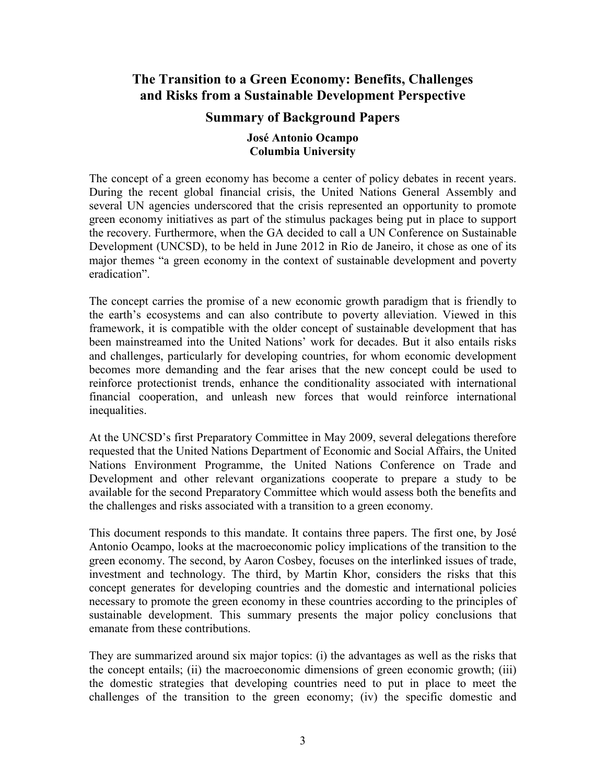# **The Transition to a Green Economy: Benefits, Challenges and Risks from a Sustainable Development Perspective**

# **Summary of Background Papers**

#### **José Antonio Ocampo Columbia University**

The concept of a green economy has become a center of policy debates in recent years. During the recent global financial crisis, the United Nations General Assembly and several UN agencies underscored that the crisis represented an opportunity to promote green economy initiatives as part of the stimulus packages being put in place to support the recovery. Furthermore, when the GA decided to call a UN Conference on Sustainable Development (UNCSD), to be held in June 2012 in Rio de Janeiro, it chose as one of its major themes "a green economy in the context of sustainable development and poverty eradication".

The concept carries the promise of a new economic growth paradigm that is friendly to the earth's ecosystems and can also contribute to poverty alleviation. Viewed in this framework, it is compatible with the older concept of sustainable development that has been mainstreamed into the United Nations' work for decades. But it also entails risks and challenges, particularly for developing countries, for whom economic development becomes more demanding and the fear arises that the new concept could be used to reinforce protectionist trends, enhance the conditionality associated with international financial cooperation, and unleash new forces that would reinforce international inequalities.

At the UNCSD's first Preparatory Committee in May 2009, several delegations therefore requested that the United Nations Department of Economic and Social Affairs, the United Nations Environment Programme, the United Nations Conference on Trade and Development and other relevant organizations cooperate to prepare a study to be available for the second Preparatory Committee which would assess both the benefits and the challenges and risks associated with a transition to a green economy.

This document responds to this mandate. It contains three papers. The first one, by José Antonio Ocampo, looks at the macroeconomic policy implications of the transition to the green economy. The second, by Aaron Cosbey, focuses on the interlinked issues of trade, investment and technology. The third, by Martin Khor, considers the risks that this concept generates for developing countries and the domestic and international policies necessary to promote the green economy in these countries according to the principles of sustainable development. This summary presents the major policy conclusions that emanate from these contributions.

They are summarized around six major topics: (i) the advantages as well as the risks that the concept entails; (ii) the macroeconomic dimensions of green economic growth; (iii) the domestic strategies that developing countries need to put in place to meet the challenges of the transition to the green economy; (iv) the specific domestic and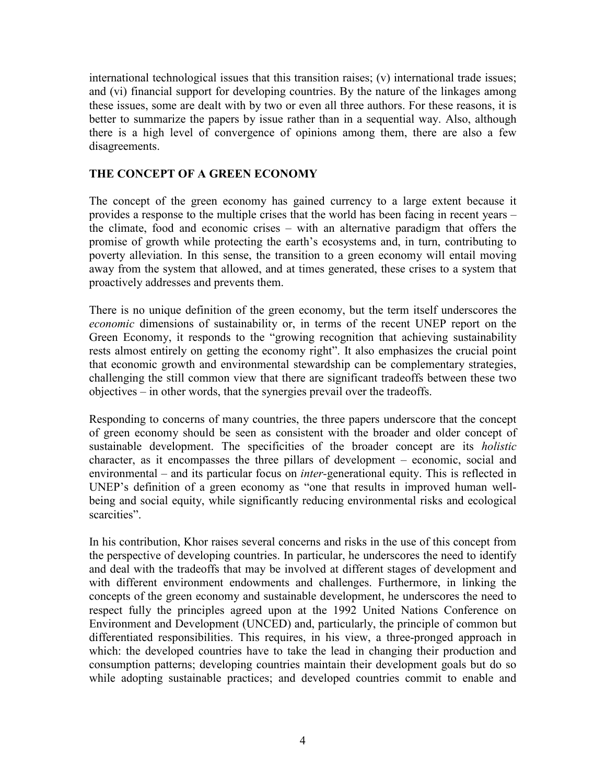international technological issues that this transition raises; (v) international trade issues; and (vi) financial support for developing countries. By the nature of the linkages among these issues, some are dealt with by two or even all three authors. For these reasons, it is better to summarize the papers by issue rather than in a sequential way. Also, although there is a high level of convergence of opinions among them, there are also a few disagreements.

## **THE CONCEPT OF A GREEN ECONOMY**

The concept of the green economy has gained currency to a large extent because it provides a response to the multiple crises that the world has been facing in recent years – the climate, food and economic crises – with an alternative paradigm that offers the promise of growth while protecting the earth's ecosystems and, in turn, contributing to poverty alleviation. In this sense, the transition to a green economy will entail moving away from the system that allowed, and at times generated, these crises to a system that proactively addresses and prevents them.

There is no unique definition of the green economy, but the term itself underscores the *economic* dimensions of sustainability or, in terms of the recent UNEP report on the Green Economy, it responds to the "growing recognition that achieving sustainability rests almost entirely on getting the economy right". It also emphasizes the crucial point that economic growth and environmental stewardship can be complementary strategies, challenging the still common view that there are significant tradeoffs between these two objectives – in other words, that the synergies prevail over the tradeoffs.

Responding to concerns of many countries, the three papers underscore that the concept of green economy should be seen as consistent with the broader and older concept of sustainable development. The specificities of the broader concept are its *holistic* character, as it encompasses the three pillars of development – economic, social and environmental – and its particular focus on *inter-*generational equity. This is reflected in UNEP's definition of a green economy as "one that results in improved human wellbeing and social equity, while significantly reducing environmental risks and ecological scarcities".

In his contribution, Khor raises several concerns and risks in the use of this concept from the perspective of developing countries. In particular, he underscores the need to identify and deal with the tradeoffs that may be involved at different stages of development and with different environment endowments and challenges. Furthermore, in linking the concepts of the green economy and sustainable development, he underscores the need to respect fully the principles agreed upon at the 1992 United Nations Conference on Environment and Development (UNCED) and, particularly, the principle of common but differentiated responsibilities. This requires, in his view, a three-pronged approach in which: the developed countries have to take the lead in changing their production and consumption patterns; developing countries maintain their development goals but do so while adopting sustainable practices; and developed countries commit to enable and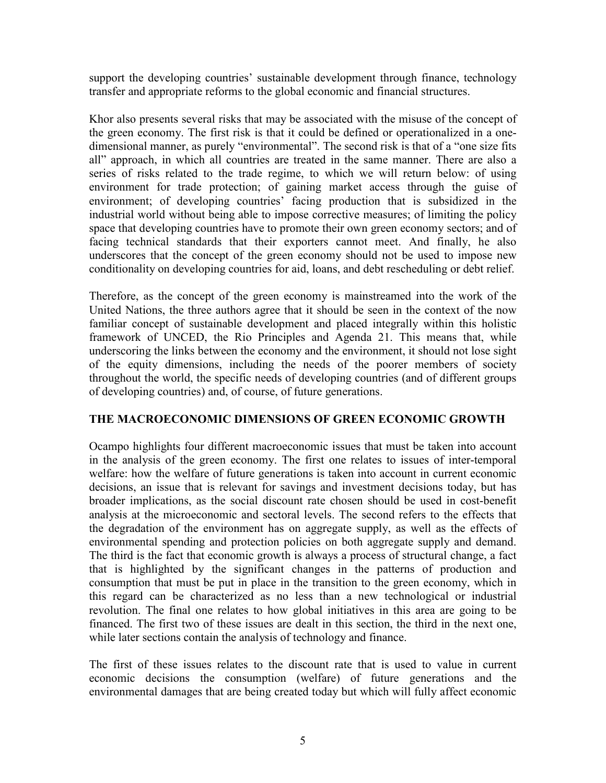support the developing countries' sustainable development through finance, technology transfer and appropriate reforms to the global economic and financial structures.

Khor also presents several risks that may be associated with the misuse of the concept of the green economy. The first risk is that it could be defined or operationalized in a onedimensional manner, as purely "environmental". The second risk is that of a "one size fits all" approach, in which all countries are treated in the same manner. There are also a series of risks related to the trade regime, to which we will return below: of using environment for trade protection; of gaining market access through the guise of environment; of developing countries' facing production that is subsidized in the industrial world without being able to impose corrective measures; of limiting the policy space that developing countries have to promote their own green economy sectors; and of facing technical standards that their exporters cannot meet. And finally, he also underscores that the concept of the green economy should not be used to impose new conditionality on developing countries for aid, loans, and debt rescheduling or debt relief.

Therefore, as the concept of the green economy is mainstreamed into the work of the United Nations, the three authors agree that it should be seen in the context of the now familiar concept of sustainable development and placed integrally within this holistic framework of UNCED, the Rio Principles and Agenda 21. This means that, while underscoring the links between the economy and the environment, it should not lose sight of the equity dimensions, including the needs of the poorer members of society throughout the world, the specific needs of developing countries (and of different groups of developing countries) and, of course, of future generations.

## **THE MACROECONOMIC DIMENSIONS OF GREEN ECONOMIC GROWTH**

Ocampo highlights four different macroeconomic issues that must be taken into account in the analysis of the green economy. The first one relates to issues of inter-temporal welfare: how the welfare of future generations is taken into account in current economic decisions, an issue that is relevant for savings and investment decisions today, but has broader implications, as the social discount rate chosen should be used in cost-benefit analysis at the microeconomic and sectoral levels. The second refers to the effects that the degradation of the environment has on aggregate supply, as well as the effects of environmental spending and protection policies on both aggregate supply and demand. The third is the fact that economic growth is always a process of structural change, a fact that is highlighted by the significant changes in the patterns of production and consumption that must be put in place in the transition to the green economy, which in this regard can be characterized as no less than a new technological or industrial revolution. The final one relates to how global initiatives in this area are going to be financed. The first two of these issues are dealt in this section, the third in the next one, while later sections contain the analysis of technology and finance.

The first of these issues relates to the discount rate that is used to value in current economic decisions the consumption (welfare) of future generations and the environmental damages that are being created today but which will fully affect economic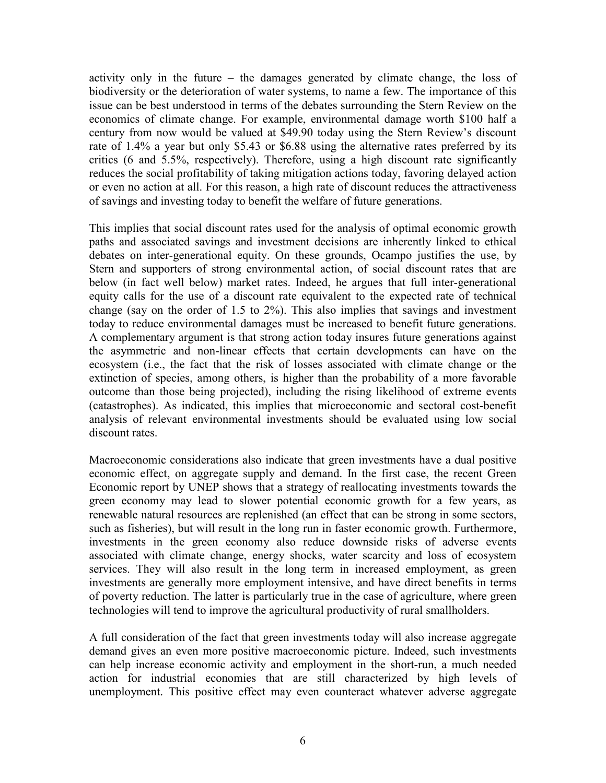activity only in the future – the damages generated by climate change, the loss of biodiversity or the deterioration of water systems, to name a few. The importance of this issue can be best understood in terms of the debates surrounding the Stern Review on the economics of climate change. For example, environmental damage worth \$100 half a century from now would be valued at \$49.90 today using the Stern Review's discount rate of 1.4% a year but only \$5.43 or \$6.88 using the alternative rates preferred by its critics (6 and 5.5%, respectively). Therefore, using a high discount rate significantly reduces the social profitability of taking mitigation actions today, favoring delayed action or even no action at all. For this reason, a high rate of discount reduces the attractiveness of savings and investing today to benefit the welfare of future generations.

This implies that social discount rates used for the analysis of optimal economic growth paths and associated savings and investment decisions are inherently linked to ethical debates on inter-generational equity. On these grounds, Ocampo justifies the use, by Stern and supporters of strong environmental action, of social discount rates that are below (in fact well below) market rates. Indeed, he argues that full inter-generational equity calls for the use of a discount rate equivalent to the expected rate of technical change (say on the order of 1.5 to 2%). This also implies that savings and investment today to reduce environmental damages must be increased to benefit future generations. A complementary argument is that strong action today insures future generations against the asymmetric and non-linear effects that certain developments can have on the ecosystem (i.e., the fact that the risk of losses associated with climate change or the extinction of species, among others, is higher than the probability of a more favorable outcome than those being projected), including the rising likelihood of extreme events (catastrophes). As indicated, this implies that microeconomic and sectoral cost-benefit analysis of relevant environmental investments should be evaluated using low social discount rates

Macroeconomic considerations also indicate that green investments have a dual positive economic effect, on aggregate supply and demand. In the first case, the recent Green Economic report by UNEP shows that a strategy of reallocating investments towards the green economy may lead to slower potential economic growth for a few years, as renewable natural resources are replenished (an effect that can be strong in some sectors, such as fisheries), but will result in the long run in faster economic growth. Furthermore, investments in the green economy also reduce downside risks of adverse events associated with climate change, energy shocks, water scarcity and loss of ecosystem services. They will also result in the long term in increased employment, as green investments are generally more employment intensive, and have direct benefits in terms of poverty reduction. The latter is particularly true in the case of agriculture, where green technologies will tend to improve the agricultural productivity of rural smallholders.

A full consideration of the fact that green investments today will also increase aggregate demand gives an even more positive macroeconomic picture. Indeed, such investments can help increase economic activity and employment in the short-run, a much needed action for industrial economies that are still characterized by high levels of unemployment. This positive effect may even counteract whatever adverse aggregate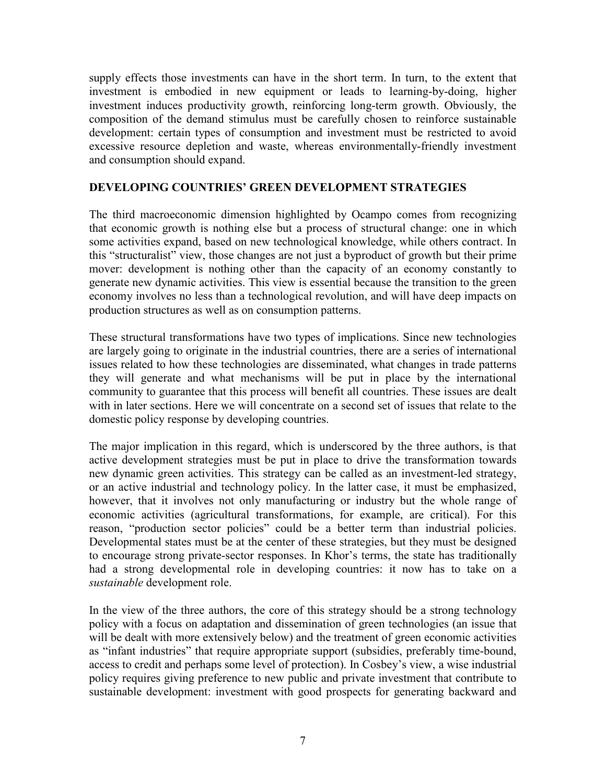supply effects those investments can have in the short term. In turn, to the extent that investment is embodied in new equipment or leads to learning-by-doing, higher investment induces productivity growth, reinforcing long-term growth. Obviously, the composition of the demand stimulus must be carefully chosen to reinforce sustainable development: certain types of consumption and investment must be restricted to avoid excessive resource depletion and waste, whereas environmentally-friendly investment and consumption should expand.

## **DEVELOPING COUNTRIES' GREEN DEVELOPMENT STRATEGIES**

The third macroeconomic dimension highlighted by Ocampo comes from recognizing that economic growth is nothing else but a process of structural change: one in which some activities expand, based on new technological knowledge, while others contract. In this "structuralist" view, those changes are not just a byproduct of growth but their prime mover: development is nothing other than the capacity of an economy constantly to generate new dynamic activities. This view is essential because the transition to the green economy involves no less than a technological revolution, and will have deep impacts on production structures as well as on consumption patterns.

These structural transformations have two types of implications. Since new technologies are largely going to originate in the industrial countries, there are a series of international issues related to how these technologies are disseminated, what changes in trade patterns they will generate and what mechanisms will be put in place by the international community to guarantee that this process will benefit all countries. These issues are dealt with in later sections. Here we will concentrate on a second set of issues that relate to the domestic policy response by developing countries.

The major implication in this regard, which is underscored by the three authors, is that active development strategies must be put in place to drive the transformation towards new dynamic green activities. This strategy can be called as an investment-led strategy, or an active industrial and technology policy. In the latter case, it must be emphasized, however, that it involves not only manufacturing or industry but the whole range of economic activities (agricultural transformations, for example, are critical). For this reason, "production sector policies" could be a better term than industrial policies. Developmental states must be at the center of these strategies, but they must be designed to encourage strong private-sector responses. In Khor's terms, the state has traditionally had a strong developmental role in developing countries: it now has to take on a *sustainable* development role.

In the view of the three authors, the core of this strategy should be a strong technology policy with a focus on adaptation and dissemination of green technologies (an issue that will be dealt with more extensively below) and the treatment of green economic activities as "infant industries" that require appropriate support (subsidies, preferably time-bound, access to credit and perhaps some level of protection). In Cosbey's view, a wise industrial policy requires giving preference to new public and private investment that contribute to sustainable development: investment with good prospects for generating backward and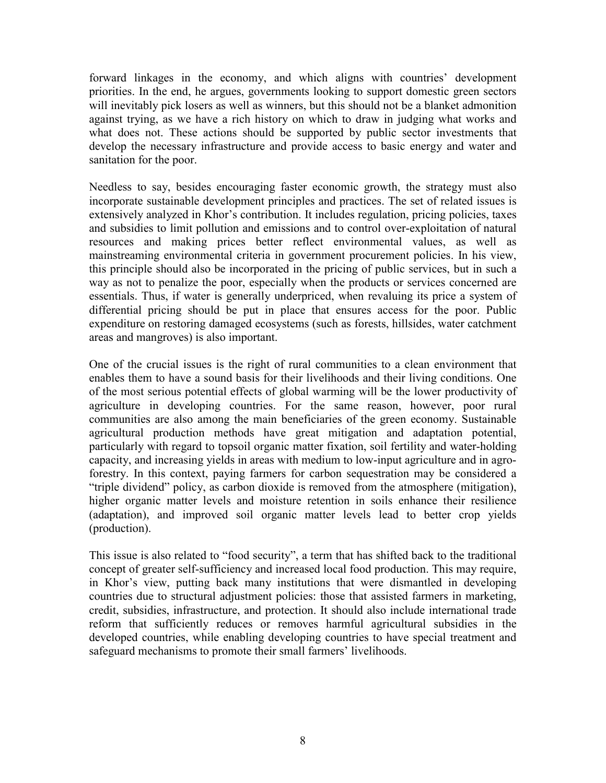forward linkages in the economy, and which aligns with countries' development priorities. In the end, he argues, governments looking to support domestic green sectors will inevitably pick losers as well as winners, but this should not be a blanket admonition against trying, as we have a rich history on which to draw in judging what works and what does not. These actions should be supported by public sector investments that develop the necessary infrastructure and provide access to basic energy and water and sanitation for the poor.

Needless to say, besides encouraging faster economic growth, the strategy must also incorporate sustainable development principles and practices. The set of related issues is extensively analyzed in Khor's contribution. It includes regulation, pricing policies, taxes and subsidies to limit pollution and emissions and to control over-exploitation of natural resources and making prices better reflect environmental values, as well as mainstreaming environmental criteria in government procurement policies. In his view, this principle should also be incorporated in the pricing of public services, but in such a way as not to penalize the poor, especially when the products or services concerned are essentials. Thus, if water is generally underpriced, when revaluing its price a system of differential pricing should be put in place that ensures access for the poor. Public expenditure on restoring damaged ecosystems (such as forests, hillsides, water catchment areas and mangroves) is also important.

One of the crucial issues is the right of rural communities to a clean environment that enables them to have a sound basis for their livelihoods and their living conditions. One of the most serious potential effects of global warming will be the lower productivity of agriculture in developing countries. For the same reason, however, poor rural communities are also among the main beneficiaries of the green economy. Sustainable agricultural production methods have great mitigation and adaptation potential, particularly with regard to topsoil organic matter fixation, soil fertility and water-holding capacity, and increasing yields in areas with medium to low-input agriculture and in agroforestry. In this context, paying farmers for carbon sequestration may be considered a "triple dividend" policy, as carbon dioxide is removed from the atmosphere (mitigation), higher organic matter levels and moisture retention in soils enhance their resilience (adaptation), and improved soil organic matter levels lead to better crop yields (production).

This issue is also related to "food security", a term that has shifted back to the traditional concept of greater self-sufficiency and increased local food production. This may require, in Khor's view, putting back many institutions that were dismantled in developing countries due to structural adjustment policies: those that assisted farmers in marketing, credit, subsidies, infrastructure, and protection. It should also include international trade reform that sufficiently reduces or removes harmful agricultural subsidies in the developed countries, while enabling developing countries to have special treatment and safeguard mechanisms to promote their small farmers' livelihoods.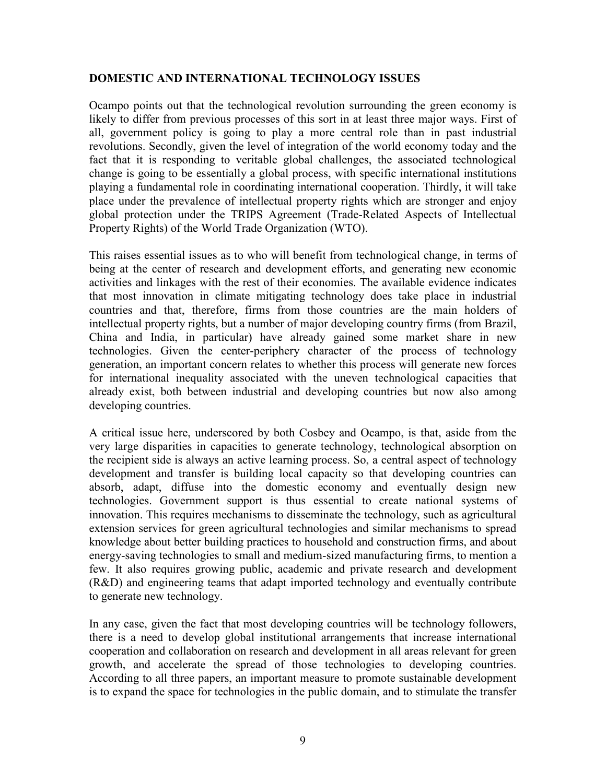#### **DOMESTIC AND INTERNATIONAL TECHNOLOGY ISSUES**

Ocampo points out that the technological revolution surrounding the green economy is likely to differ from previous processes of this sort in at least three major ways. First of all, government policy is going to play a more central role than in past industrial revolutions. Secondly, given the level of integration of the world economy today and the fact that it is responding to veritable global challenges, the associated technological change is going to be essentially a global process, with specific international institutions playing a fundamental role in coordinating international cooperation. Thirdly, it will take place under the prevalence of intellectual property rights which are stronger and enjoy global protection under the TRIPS Agreement (Trade-Related Aspects of Intellectual Property Rights) of the World Trade Organization (WTO).

This raises essential issues as to who will benefit from technological change, in terms of being at the center of research and development efforts, and generating new economic activities and linkages with the rest of their economies. The available evidence indicates that most innovation in climate mitigating technology does take place in industrial countries and that, therefore, firms from those countries are the main holders of intellectual property rights, but a number of major developing country firms (from Brazil, China and India, in particular) have already gained some market share in new technologies. Given the center-periphery character of the process of technology generation, an important concern relates to whether this process will generate new forces for international inequality associated with the uneven technological capacities that already exist, both between industrial and developing countries but now also among developing countries.

A critical issue here, underscored by both Cosbey and Ocampo, is that, aside from the very large disparities in capacities to generate technology, technological absorption on the recipient side is always an active learning process. So, a central aspect of technology development and transfer is building local capacity so that developing countries can absorb, adapt, diffuse into the domestic economy and eventually design new technologies. Government support is thus essential to create national systems of innovation. This requires mechanisms to disseminate the technology, such as agricultural extension services for green agricultural technologies and similar mechanisms to spread knowledge about better building practices to household and construction firms, and about energy-saving technologies to small and medium-sized manufacturing firms, to mention a few. It also requires growing public, academic and private research and development (R&D) and engineering teams that adapt imported technology and eventually contribute to generate new technology.

In any case, given the fact that most developing countries will be technology followers, there is a need to develop global institutional arrangements that increase international cooperation and collaboration on research and development in all areas relevant for green growth, and accelerate the spread of those technologies to developing countries. According to all three papers, an important measure to promote sustainable development is to expand the space for technologies in the public domain, and to stimulate the transfer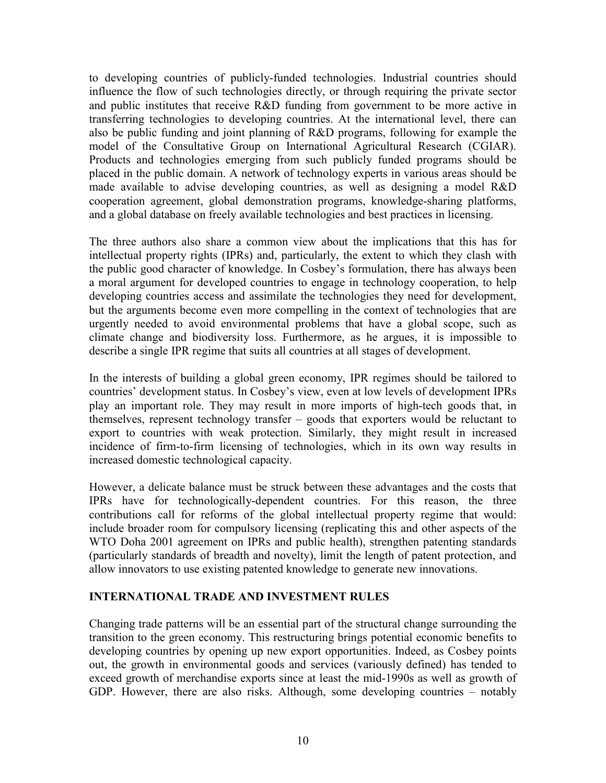to developing countries of publicly-funded technologies. Industrial countries should influence the flow of such technologies directly, or through requiring the private sector and public institutes that receive R&D funding from government to be more active in transferring technologies to developing countries. At the international level, there can also be public funding and joint planning of R&D programs, following for example the model of the Consultative Group on International Agricultural Research (CGIAR). Products and technologies emerging from such publicly funded programs should be placed in the public domain. A network of technology experts in various areas should be made available to advise developing countries, as well as designing a model R&D cooperation agreement, global demonstration programs, knowledge-sharing platforms, and a global database on freely available technologies and best practices in licensing.

The three authors also share a common view about the implications that this has for intellectual property rights (IPRs) and, particularly, the extent to which they clash with the public good character of knowledge. In Cosbey's formulation, there has always been a moral argument for developed countries to engage in technology cooperation, to help developing countries access and assimilate the technologies they need for development, but the arguments become even more compelling in the context of technologies that are urgently needed to avoid environmental problems that have a global scope, such as climate change and biodiversity loss. Furthermore, as he argues, it is impossible to describe a single IPR regime that suits all countries at all stages of development.

In the interests of building a global green economy, IPR regimes should be tailored to countries' development status. In Cosbey's view, even at low levels of development IPRs play an important role. They may result in more imports of high-tech goods that, in themselves, represent technology transfer – goods that exporters would be reluctant to export to countries with weak protection. Similarly, they might result in increased incidence of firm-to-firm licensing of technologies, which in its own way results in increased domestic technological capacity.

However, a delicate balance must be struck between these advantages and the costs that IPRs have for technologically-dependent countries. For this reason, the three contributions call for reforms of the global intellectual property regime that would: include broader room for compulsory licensing (replicating this and other aspects of the WTO Doha 2001 agreement on IPRs and public health), strengthen patenting standards (particularly standards of breadth and novelty), limit the length of patent protection, and allow innovators to use existing patented knowledge to generate new innovations.

## **INTERNATIONAL TRADE AND INVESTMENT RULES**

Changing trade patterns will be an essential part of the structural change surrounding the transition to the green economy. This restructuring brings potential economic benefits to developing countries by opening up new export opportunities. Indeed, as Cosbey points out, the growth in environmental goods and services (variously defined) has tended to exceed growth of merchandise exports since at least the mid-1990s as well as growth of GDP. However, there are also risks. Although, some developing countries – notably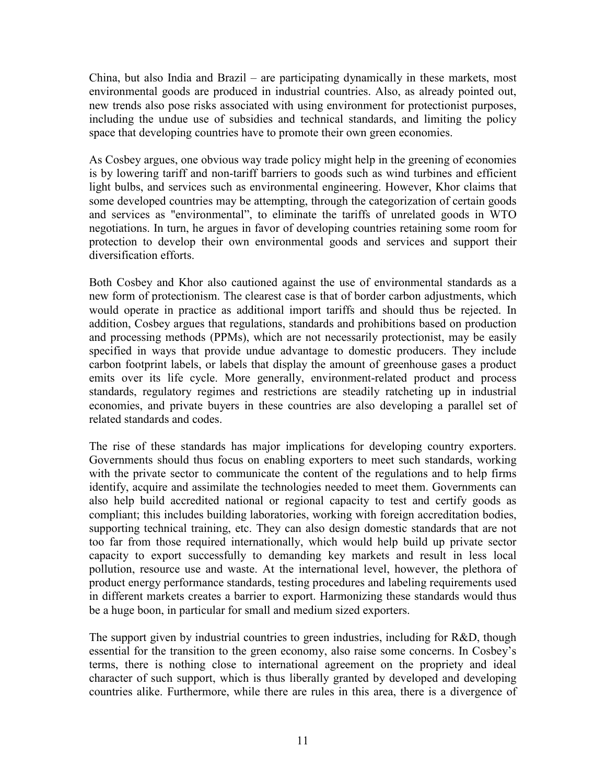China, but also India and Brazil – are participating dynamically in these markets, most environmental goods are produced in industrial countries. Also, as already pointed out, new trends also pose risks associated with using environment for protectionist purposes, including the undue use of subsidies and technical standards, and limiting the policy space that developing countries have to promote their own green economies.

As Cosbey argues, one obvious way trade policy might help in the greening of economies is by lowering tariff and non-tariff barriers to goods such as wind turbines and efficient light bulbs, and services such as environmental engineering. However, Khor claims that some developed countries may be attempting, through the categorization of certain goods and services as "environmental", to eliminate the tariffs of unrelated goods in WTO negotiations. In turn, he argues in favor of developing countries retaining some room for protection to develop their own environmental goods and services and support their diversification efforts.

Both Cosbey and Khor also cautioned against the use of environmental standards as a new form of protectionism. The clearest case is that of border carbon adjustments, which would operate in practice as additional import tariffs and should thus be rejected. In addition, Cosbey argues that regulations, standards and prohibitions based on production and processing methods (PPMs), which are not necessarily protectionist, may be easily specified in ways that provide undue advantage to domestic producers. They include carbon footprint labels, or labels that display the amount of greenhouse gases a product emits over its life cycle. More generally, environment-related product and process standards, regulatory regimes and restrictions are steadily ratcheting up in industrial economies, and private buyers in these countries are also developing a parallel set of related standards and codes.

The rise of these standards has major implications for developing country exporters. Governments should thus focus on enabling exporters to meet such standards, working with the private sector to communicate the content of the regulations and to help firms identify, acquire and assimilate the technologies needed to meet them. Governments can also help build accredited national or regional capacity to test and certify goods as compliant; this includes building laboratories, working with foreign accreditation bodies, supporting technical training, etc. They can also design domestic standards that are not too far from those required internationally, which would help build up private sector capacity to export successfully to demanding key markets and result in less local pollution, resource use and waste. At the international level, however, the plethora of product energy performance standards, testing procedures and labeling requirements used in different markets creates a barrier to export. Harmonizing these standards would thus be a huge boon, in particular for small and medium sized exporters.

The support given by industrial countries to green industries, including for R&D, though essential for the transition to the green economy, also raise some concerns. In Cosbey's terms, there is nothing close to international agreement on the propriety and ideal character of such support, which is thus liberally granted by developed and developing countries alike. Furthermore, while there are rules in this area, there is a divergence of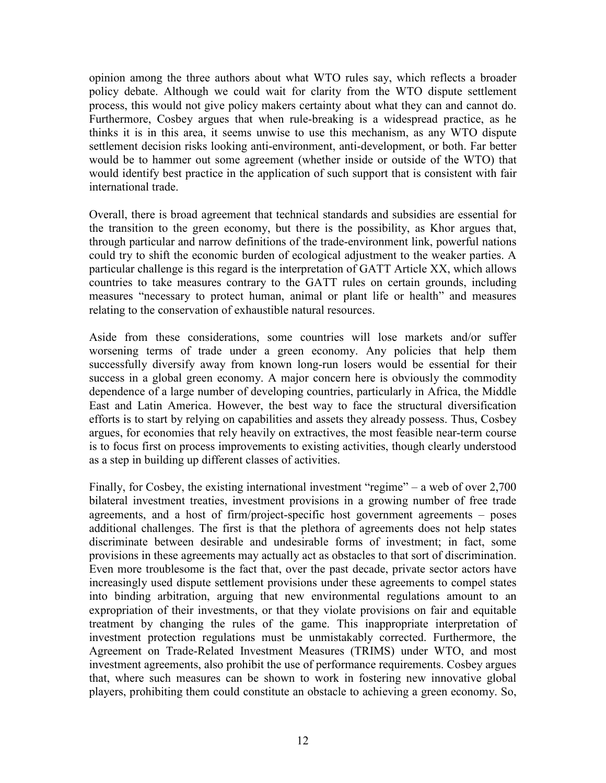opinion among the three authors about what WTO rules say, which reflects a broader policy debate. Although we could wait for clarity from the WTO dispute settlement process, this would not give policy makers certainty about what they can and cannot do. Furthermore, Cosbey argues that when rule-breaking is a widespread practice, as he thinks it is in this area, it seems unwise to use this mechanism, as any WTO dispute settlement decision risks looking anti-environment, anti-development, or both. Far better would be to hammer out some agreement (whether inside or outside of the WTO) that would identify best practice in the application of such support that is consistent with fair international trade.

Overall, there is broad agreement that technical standards and subsidies are essential for the transition to the green economy, but there is the possibility, as Khor argues that, through particular and narrow definitions of the trade-environment link, powerful nations could try to shift the economic burden of ecological adjustment to the weaker parties. A particular challenge is this regard is the interpretation of GATT Article XX, which allows countries to take measures contrary to the GATT rules on certain grounds, including measures "necessary to protect human, animal or plant life or health" and measures relating to the conservation of exhaustible natural resources.

Aside from these considerations, some countries will lose markets and/or suffer worsening terms of trade under a green economy. Any policies that help them successfully diversify away from known long-run losers would be essential for their success in a global green economy. A major concern here is obviously the commodity dependence of a large number of developing countries, particularly in Africa, the Middle East and Latin America. However, the best way to face the structural diversification efforts is to start by relying on capabilities and assets they already possess. Thus, Cosbey argues, for economies that rely heavily on extractives, the most feasible near-term course is to focus first on process improvements to existing activities, though clearly understood as a step in building up different classes of activities.

Finally, for Cosbey, the existing international investment "regime" – a web of over 2,700 bilateral investment treaties, investment provisions in a growing number of free trade agreements, and a host of firm/project-specific host government agreements – poses additional challenges. The first is that the plethora of agreements does not help states discriminate between desirable and undesirable forms of investment; in fact, some provisions in these agreements may actually act as obstacles to that sort of discrimination. Even more troublesome is the fact that, over the past decade, private sector actors have increasingly used dispute settlement provisions under these agreements to compel states into binding arbitration, arguing that new environmental regulations amount to an expropriation of their investments, or that they violate provisions on fair and equitable treatment by changing the rules of the game. This inappropriate interpretation of investment protection regulations must be unmistakably corrected. Furthermore, the Agreement on Trade-Related Investment Measures (TRIMS) under WTO, and most investment agreements, also prohibit the use of performance requirements. Cosbey argues that, where such measures can be shown to work in fostering new innovative global players, prohibiting them could constitute an obstacle to achieving a green economy. So,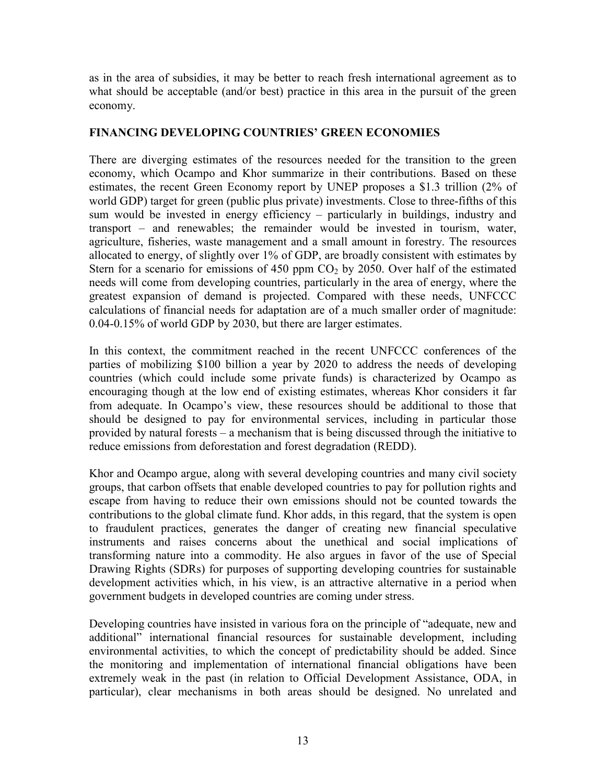as in the area of subsidies, it may be better to reach fresh international agreement as to what should be acceptable (and/or best) practice in this area in the pursuit of the green economy.

# **FINANCING DEVELOPING COUNTRIES' GREEN ECONOMIES**

There are diverging estimates of the resources needed for the transition to the green economy, which Ocampo and Khor summarize in their contributions. Based on these estimates, the recent Green Economy report by UNEP proposes a \$1.3 trillion (2% of world GDP) target for green (public plus private) investments. Close to three-fifths of this sum would be invested in energy efficiency – particularly in buildings, industry and transport – and renewables; the remainder would be invested in tourism, water, agriculture, fisheries, waste management and a small amount in forestry. The resources allocated to energy, of slightly over 1% of GDP, are broadly consistent with estimates by Stern for a scenario for emissions of 450 ppm  $CO<sub>2</sub>$  by 2050. Over half of the estimated needs will come from developing countries, particularly in the area of energy, where the greatest expansion of demand is projected. Compared with these needs, UNFCCC calculations of financial needs for adaptation are of a much smaller order of magnitude: 0.04-0.15% of world GDP by 2030, but there are larger estimates.

In this context, the commitment reached in the recent UNFCCC conferences of the parties of mobilizing \$100 billion a year by 2020 to address the needs of developing countries (which could include some private funds) is characterized by Ocampo as encouraging though at the low end of existing estimates, whereas Khor considers it far from adequate. In Ocampo's view, these resources should be additional to those that should be designed to pay for environmental services, including in particular those provided by natural forests – a mechanism that is being discussed through the initiative to reduce emissions from deforestation and forest degradation (REDD).

Khor and Ocampo argue, along with several developing countries and many civil society groups, that carbon offsets that enable developed countries to pay for pollution rights and escape from having to reduce their own emissions should not be counted towards the contributions to the global climate fund. Khor adds, in this regard, that the system is open to fraudulent practices, generates the danger of creating new financial speculative instruments and raises concerns about the unethical and social implications of transforming nature into a commodity. He also argues in favor of the use of Special Drawing Rights (SDRs) for purposes of supporting developing countries for sustainable development activities which, in his view, is an attractive alternative in a period when government budgets in developed countries are coming under stress.

Developing countries have insisted in various fora on the principle of "adequate, new and additional" international financial resources for sustainable development, including environmental activities, to which the concept of predictability should be added. Since the monitoring and implementation of international financial obligations have been extremely weak in the past (in relation to Official Development Assistance, ODA, in particular), clear mechanisms in both areas should be designed. No unrelated and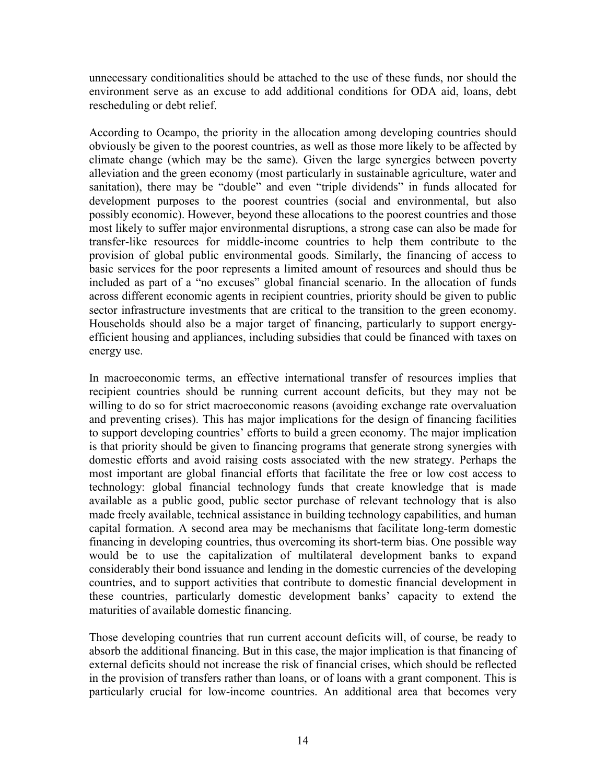unnecessary conditionalities should be attached to the use of these funds, nor should the environment serve as an excuse to add additional conditions for ODA aid, loans, debt rescheduling or debt relief.

According to Ocampo, the priority in the allocation among developing countries should obviously be given to the poorest countries, as well as those more likely to be affected by climate change (which may be the same). Given the large synergies between poverty alleviation and the green economy (most particularly in sustainable agriculture, water and sanitation), there may be "double" and even "triple dividends" in funds allocated for development purposes to the poorest countries (social and environmental, but also possibly economic). However, beyond these allocations to the poorest countries and those most likely to suffer major environmental disruptions, a strong case can also be made for transfer-like resources for middle-income countries to help them contribute to the provision of global public environmental goods. Similarly, the financing of access to basic services for the poor represents a limited amount of resources and should thus be included as part of a "no excuses" global financial scenario. In the allocation of funds across different economic agents in recipient countries, priority should be given to public sector infrastructure investments that are critical to the transition to the green economy. Households should also be a major target of financing, particularly to support energyefficient housing and appliances, including subsidies that could be financed with taxes on energy use.

In macroeconomic terms, an effective international transfer of resources implies that recipient countries should be running current account deficits, but they may not be willing to do so for strict macroeconomic reasons (avoiding exchange rate overvaluation and preventing crises). This has major implications for the design of financing facilities to support developing countries' efforts to build a green economy. The major implication is that priority should be given to financing programs that generate strong synergies with domestic efforts and avoid raising costs associated with the new strategy. Perhaps the most important are global financial efforts that facilitate the free or low cost access to technology: global financial technology funds that create knowledge that is made available as a public good, public sector purchase of relevant technology that is also made freely available, technical assistance in building technology capabilities, and human capital formation. A second area may be mechanisms that facilitate long-term domestic financing in developing countries, thus overcoming its short-term bias. One possible way would be to use the capitalization of multilateral development banks to expand considerably their bond issuance and lending in the domestic currencies of the developing countries, and to support activities that contribute to domestic financial development in these countries, particularly domestic development banks' capacity to extend the maturities of available domestic financing.

Those developing countries that run current account deficits will, of course, be ready to absorb the additional financing. But in this case, the major implication is that financing of external deficits should not increase the risk of financial crises, which should be reflected in the provision of transfers rather than loans, or of loans with a grant component. This is particularly crucial for low-income countries. An additional area that becomes very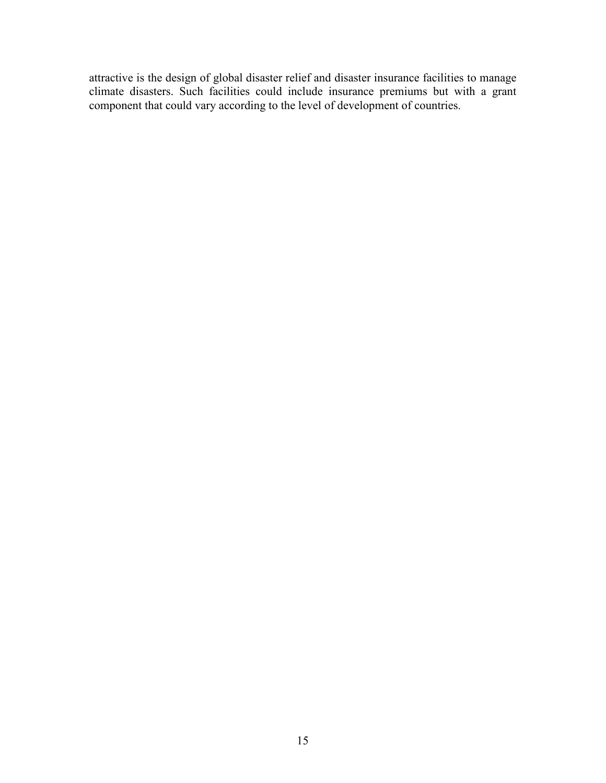attractive is the design of global disaster relief and disaster insurance facilities to manage climate disasters. Such facilities could include insurance premiums but with a grant component that could vary according to the level of development of countries.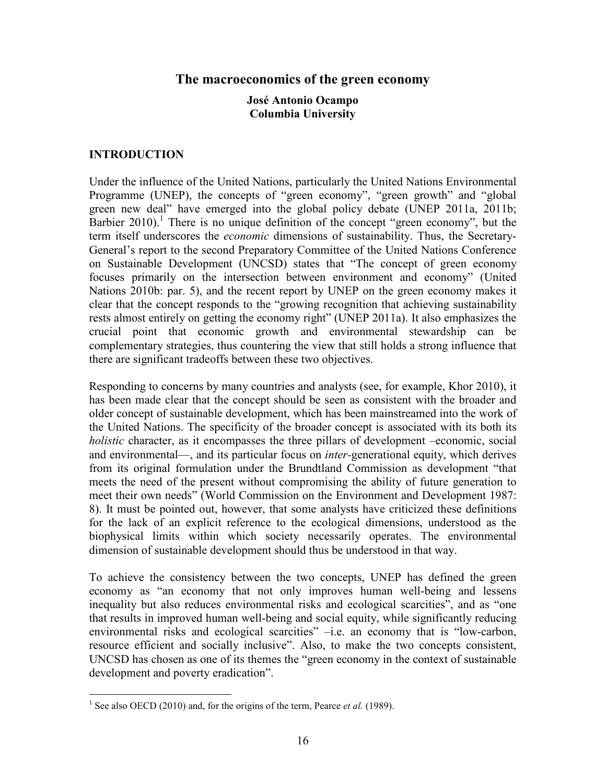#### **The macroeconomics of the green economy**

#### **José Antonio Ocampo Columbia University**

#### **INTRODUCTION**

Under the influence of the United Nations, particularly the United Nations Environmental Programme (UNEP), the concepts of "green economy", "green growth" and "global green new deal" have emerged into the global policy debate (UNEP 2011a, 2011b; Barbier 2010).<sup>1</sup> There is no unique definition of the concept "green economy", but the term itself underscores the *economic* dimensions of sustainability. Thus, the Secretary-General's report to the second Preparatory Committee of the United Nations Conference on Sustainable Development (UNCSD) states that "The concept of green economy focuses primarily on the intersection between environment and economy" (United Nations 2010b: par. 5), and the recent report by UNEP on the green economy makes it clear that the concept responds to the "growing recognition that achieving sustainability rests almost entirely on getting the economy right" (UNEP 2011a). It also emphasizes the crucial point that economic growth and environmental stewardship can be complementary strategies, thus countering the view that still holds a strong influence that there are significant tradeoffs between these two objectives.

Responding to concerns by many countries and analysts (see, for example, Khor 2010), it has been made clear that the concept should be seen as consistent with the broader and older concept of sustainable development, which has been mainstreamed into the work of the United Nations. The specificity of the broader concept is associated with its both its *holistic* character, as it encompasses the three pillars of development –economic, social and environmental—, and its particular focus on *inter-*generational equity, which derives from its original formulation under the Brundtland Commission as development "that meets the need of the present without compromising the ability of future generation to meet their own needs" (World Commission on the Environment and Development 1987: 8). It must be pointed out, however, that some analysts have criticized these definitions for the lack of an explicit reference to the ecological dimensions, understood as the biophysical limits within which society necessarily operates. The environmental dimension of sustainable development should thus be understood in that way.

To achieve the consistency between the two concepts, UNEP has defined the green economy as "an economy that not only improves human well-being and lessens inequality but also reduces environmental risks and ecological scarcities", and as "one that results in improved human well-being and social equity, while significantly reducing environmental risks and ecological scarcities" –i.e. an economy that is "low-carbon, resource efficient and socially inclusive". Also, to make the two concepts consistent, UNCSD has chosen as one of its themes the "green economy in the context of sustainable development and poverty eradication".

<sup>&</sup>lt;sup>1</sup> See also OECD (2010) and, for the origins of the term, Pearce *et al.* (1989).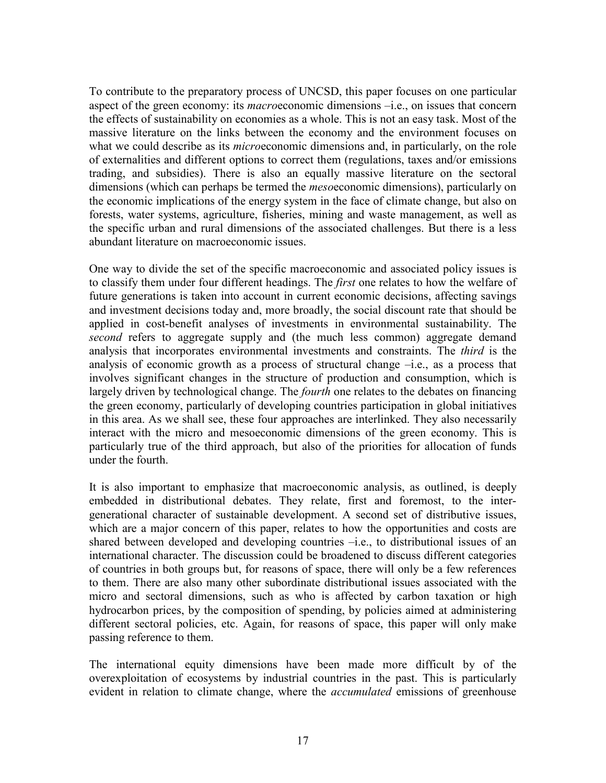To contribute to the preparatory process of UNCSD, this paper focuses on one particular aspect of the green economy: its *macro*economic dimensions –i.e., on issues that concern the effects of sustainability on economies as a whole. This is not an easy task. Most of the massive literature on the links between the economy and the environment focuses on what we could describe as its *micro*economic dimensions and, in particularly, on the role of externalities and different options to correct them (regulations, taxes and/or emissions trading, and subsidies). There is also an equally massive literature on the sectoral dimensions (which can perhaps be termed the *meso*economic dimensions), particularly on the economic implications of the energy system in the face of climate change, but also on forests, water systems, agriculture, fisheries, mining and waste management, as well as the specific urban and rural dimensions of the associated challenges. But there is a less abundant literature on macroeconomic issues.

One way to divide the set of the specific macroeconomic and associated policy issues is to classify them under four different headings. The *first* one relates to how the welfare of future generations is taken into account in current economic decisions, affecting savings and investment decisions today and, more broadly, the social discount rate that should be applied in cost-benefit analyses of investments in environmental sustainability. The *second* refers to aggregate supply and (the much less common) aggregate demand analysis that incorporates environmental investments and constraints. The *third* is the analysis of economic growth as a process of structural change –i.e., as a process that involves significant changes in the structure of production and consumption, which is largely driven by technological change. The *fourth* one relates to the debates on financing the green economy, particularly of developing countries participation in global initiatives in this area. As we shall see, these four approaches are interlinked. They also necessarily interact with the micro and mesoeconomic dimensions of the green economy. This is particularly true of the third approach, but also of the priorities for allocation of funds under the fourth.

It is also important to emphasize that macroeconomic analysis, as outlined, is deeply embedded in distributional debates. They relate, first and foremost, to the intergenerational character of sustainable development. A second set of distributive issues, which are a major concern of this paper, relates to how the opportunities and costs are shared between developed and developing countries –i.e., to distributional issues of an international character. The discussion could be broadened to discuss different categories of countries in both groups but, for reasons of space, there will only be a few references to them. There are also many other subordinate distributional issues associated with the micro and sectoral dimensions, such as who is affected by carbon taxation or high hydrocarbon prices, by the composition of spending, by policies aimed at administering different sectoral policies, etc. Again, for reasons of space, this paper will only make passing reference to them.

The international equity dimensions have been made more difficult by of the overexploitation of ecosystems by industrial countries in the past. This is particularly evident in relation to climate change, where the *accumulated* emissions of greenhouse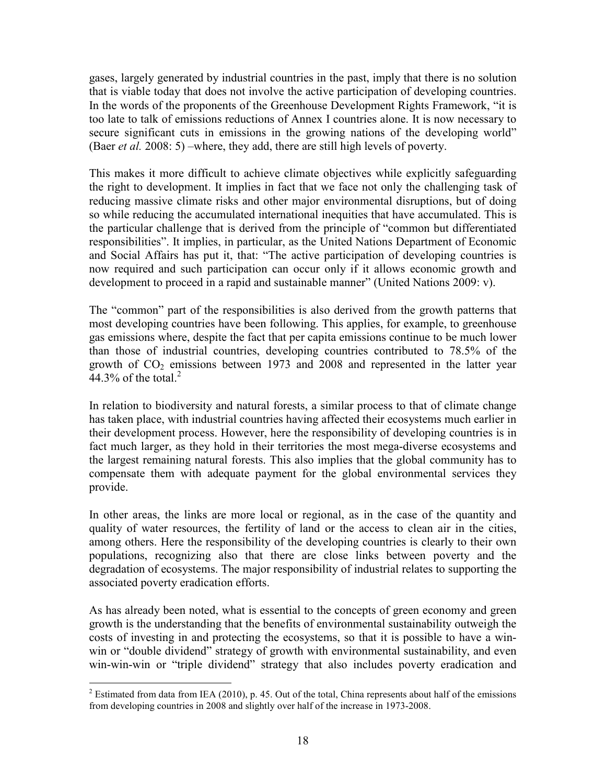gases, largely generated by industrial countries in the past, imply that there is no solution that is viable today that does not involve the active participation of developing countries. In the words of the proponents of the Greenhouse Development Rights Framework, "it is too late to talk of emissions reductions of Annex I countries alone. It is now necessary to secure significant cuts in emissions in the growing nations of the developing world" (Baer *et al.* 2008: 5) –where, they add, there are still high levels of poverty.

This makes it more difficult to achieve climate objectives while explicitly safeguarding the right to development. It implies in fact that we face not only the challenging task of reducing massive climate risks and other major environmental disruptions, but of doing so while reducing the accumulated international inequities that have accumulated. This is the particular challenge that is derived from the principle of "common but differentiated responsibilities". It implies, in particular, as the United Nations Department of Economic and Social Affairs has put it, that: "The active participation of developing countries is now required and such participation can occur only if it allows economic growth and development to proceed in a rapid and sustainable manner" (United Nations 2009: v).

The "common" part of the responsibilities is also derived from the growth patterns that most developing countries have been following. This applies, for example, to greenhouse gas emissions where, despite the fact that per capita emissions continue to be much lower than those of industrial countries, developing countries contributed to 78.5% of the growth of  $CO<sub>2</sub>$  emissions between 1973 and 2008 and represented in the latter year 44.3% of the total.<sup>2</sup>

In relation to biodiversity and natural forests, a similar process to that of climate change has taken place, with industrial countries having affected their ecosystems much earlier in their development process. However, here the responsibility of developing countries is in fact much larger, as they hold in their territories the most mega-diverse ecosystems and the largest remaining natural forests. This also implies that the global community has to compensate them with adequate payment for the global environmental services they provide.

In other areas, the links are more local or regional, as in the case of the quantity and quality of water resources, the fertility of land or the access to clean air in the cities, among others. Here the responsibility of the developing countries is clearly to their own populations, recognizing also that there are close links between poverty and the degradation of ecosystems. The major responsibility of industrial relates to supporting the associated poverty eradication efforts.

As has already been noted, what is essential to the concepts of green economy and green growth is the understanding that the benefits of environmental sustainability outweigh the costs of investing in and protecting the ecosystems, so that it is possible to have a winwin or "double dividend" strategy of growth with environmental sustainability, and even win-win-win or "triple dividend" strategy that also includes poverty eradication and

<sup>&</sup>lt;sup>2</sup> Estimated from data from IEA (2010), p. 45. Out of the total, China represents about half of the emissions from developing countries in 2008 and slightly over half of the increase in 1973-2008.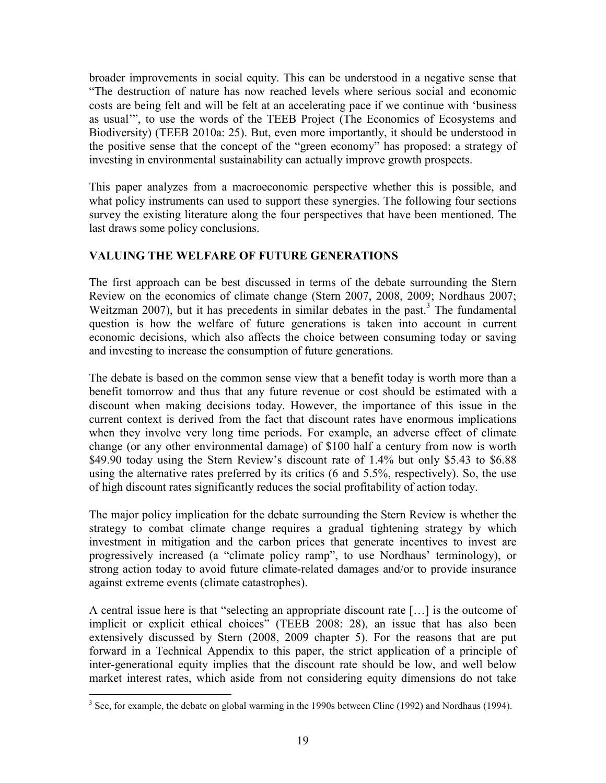broader improvements in social equity. This can be understood in a negative sense that "The destruction of nature has now reached levels where serious social and economic costs are being felt and will be felt at an accelerating pace if we continue with 'business as usual'", to use the words of the TEEB Project (The Economics of Ecosystems and Biodiversity) (TEEB 2010a: 25). But, even more importantly, it should be understood in the positive sense that the concept of the "green economy" has proposed: a strategy of investing in environmental sustainability can actually improve growth prospects.

This paper analyzes from a macroeconomic perspective whether this is possible, and what policy instruments can used to support these synergies. The following four sections survey the existing literature along the four perspectives that have been mentioned. The last draws some policy conclusions.

# **VALUING THE WELFARE OF FUTURE GENERATIONS**

The first approach can be best discussed in terms of the debate surrounding the Stern Review on the economics of climate change (Stern 2007, 2008, 2009; Nordhaus 2007; Weitzman 2007), but it has precedents in similar debates in the past.<sup>3</sup> The fundamental question is how the welfare of future generations is taken into account in current economic decisions, which also affects the choice between consuming today or saving and investing to increase the consumption of future generations.

The debate is based on the common sense view that a benefit today is worth more than a benefit tomorrow and thus that any future revenue or cost should be estimated with a discount when making decisions today. However, the importance of this issue in the current context is derived from the fact that discount rates have enormous implications when they involve very long time periods. For example, an adverse effect of climate change (or any other environmental damage) of \$100 half a century from now is worth \$49.90 today using the Stern Review's discount rate of 1.4% but only \$5.43 to \$6.88 using the alternative rates preferred by its critics (6 and 5.5%, respectively). So, the use of high discount rates significantly reduces the social profitability of action today.

The major policy implication for the debate surrounding the Stern Review is whether the strategy to combat climate change requires a gradual tightening strategy by which investment in mitigation and the carbon prices that generate incentives to invest are progressively increased (a "climate policy ramp", to use Nordhaus' terminology), or strong action today to avoid future climate-related damages and/or to provide insurance against extreme events (climate catastrophes).

A central issue here is that "selecting an appropriate discount rate […] is the outcome of implicit or explicit ethical choices" (TEEB 2008: 28), an issue that has also been extensively discussed by Stern (2008, 2009 chapter 5). For the reasons that are put forward in a Technical Appendix to this paper, the strict application of a principle of inter-generational equity implies that the discount rate should be low, and well below market interest rates, which aside from not considering equity dimensions do not take

<sup>&</sup>lt;sup>3</sup> See, for example, the debate on global warming in the 1990s between Cline (1992) and Nordhaus (1994).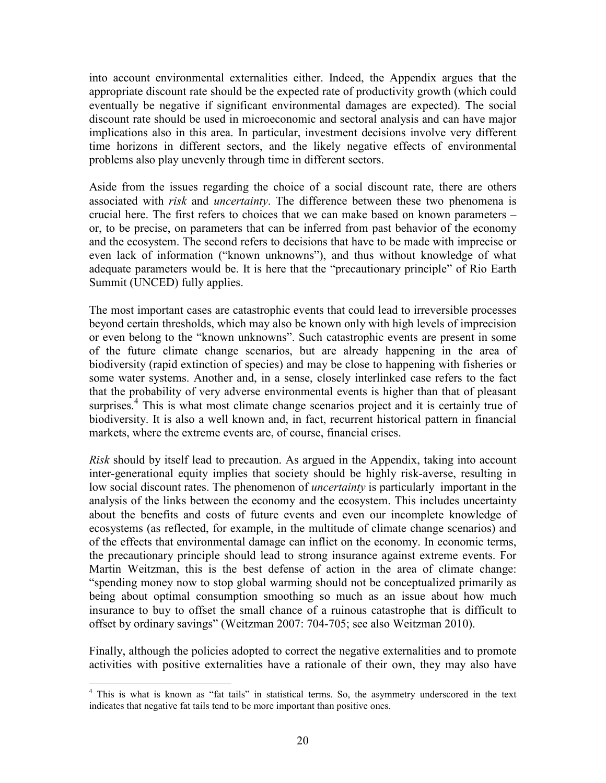into account environmental externalities either. Indeed, the Appendix argues that the appropriate discount rate should be the expected rate of productivity growth (which could eventually be negative if significant environmental damages are expected). The social discount rate should be used in microeconomic and sectoral analysis and can have major implications also in this area. In particular, investment decisions involve very different time horizons in different sectors, and the likely negative effects of environmental problems also play unevenly through time in different sectors.

Aside from the issues regarding the choice of a social discount rate, there are others associated with *risk* and *uncertainty*. The difference between these two phenomena is crucial here. The first refers to choices that we can make based on known parameters – or, to be precise, on parameters that can be inferred from past behavior of the economy and the ecosystem. The second refers to decisions that have to be made with imprecise or even lack of information ("known unknowns"), and thus without knowledge of what adequate parameters would be. It is here that the "precautionary principle" of Rio Earth Summit (UNCED) fully applies.

The most important cases are catastrophic events that could lead to irreversible processes beyond certain thresholds, which may also be known only with high levels of imprecision or even belong to the "known unknowns". Such catastrophic events are present in some of the future climate change scenarios, but are already happening in the area of biodiversity (rapid extinction of species) and may be close to happening with fisheries or some water systems. Another and, in a sense, closely interlinked case refers to the fact that the probability of very adverse environmental events is higher than that of pleasant surprises.<sup>4</sup> This is what most climate change scenarios project and it is certainly true of biodiversity. It is also a well known and, in fact, recurrent historical pattern in financial markets, where the extreme events are, of course, financial crises.

*Risk* should by itself lead to precaution. As argued in the Appendix, taking into account inter-generational equity implies that society should be highly risk-averse, resulting in low social discount rates. The phenomenon of *uncertainty* is particularly important in the analysis of the links between the economy and the ecosystem. This includes uncertainty about the benefits and costs of future events and even our incomplete knowledge of ecosystems (as reflected, for example, in the multitude of climate change scenarios) and of the effects that environmental damage can inflict on the economy. In economic terms, the precautionary principle should lead to strong insurance against extreme events. For Martin Weitzman, this is the best defense of action in the area of climate change: "spending money now to stop global warming should not be conceptualized primarily as being about optimal consumption smoothing so much as an issue about how much insurance to buy to offset the small chance of a ruinous catastrophe that is difficult to offset by ordinary savings" (Weitzman 2007: 704-705; see also Weitzman 2010).

Finally, although the policies adopted to correct the negative externalities and to promote activities with positive externalities have a rationale of their own, they may also have

 4 This is what is known as "fat tails" in statistical terms. So, the asymmetry underscored in the text indicates that negative fat tails tend to be more important than positive ones.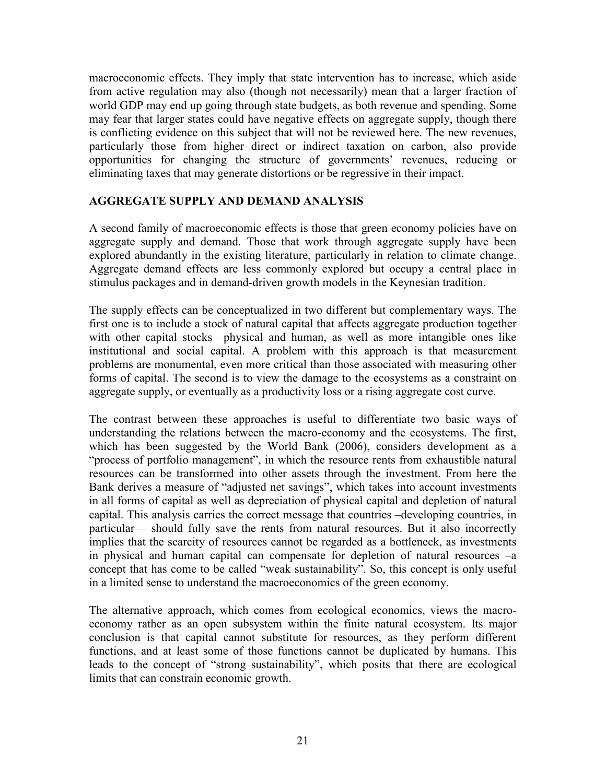macroeconomic effects. They imply that state intervention has to increase, which aside from active regulation may also (though not necessarily) mean that a larger fraction of world GDP may end up going through state budgets, as both revenue and spending. Some may fear that larger states could have negative effects on aggregate supply, though there is conflicting evidence on this subject that will not be reviewed here. The new revenues, particularly those from higher direct or indirect taxation on carbon, also provide opportunities for changing the structure of governments' revenues, reducing or eliminating taxes that may generate distortions or be regressive in their impact.

#### **AGGREGATE SUPPLY AND DEMAND ANALYSIS**

A second family of macroeconomic effects is those that green economy policies have on aggregate supply and demand. Those that work through aggregate supply have been explored abundantly in the existing literature, particularly in relation to climate change. Aggregate demand effects are less commonly explored but occupy a central place in stimulus packages and in demand-driven growth models in the Keynesian tradition.

The supply effects can be conceptualized in two different but complementary ways. The first one is to include a stock of natural capital that affects aggregate production together with other capital stocks –physical and human, as well as more intangible ones like institutional and social capital. A problem with this approach is that measurement problems are monumental, even more critical than those associated with measuring other forms of capital. The second is to view the damage to the ecosystems as a constraint on aggregate supply, or eventually as a productivity loss or a rising aggregate cost curve.

The contrast between these approaches is useful to differentiate two basic ways of understanding the relations between the macro-economy and the ecosystems. The first, which has been suggested by the World Bank (2006), considers development as a "process of portfolio management", in which the resource rents from exhaustible natural resources can be transformed into other assets through the investment. From here the Bank derives a measure of "adjusted net savings", which takes into account investments in all forms of capital as well as depreciation of physical capital and depletion of natural capital. This analysis carries the correct message that countries –developing countries, in particular— should fully save the rents from natural resources. But it also incorrectly implies that the scarcity of resources cannot be regarded as a bottleneck, as investments in physical and human capital can compensate for depletion of natural resources –a concept that has come to be called "weak sustainability". So, this concept is only useful in a limited sense to understand the macroeconomics of the green economy.

The alternative approach, which comes from ecological economics, views the macroeconomy rather as an open subsystem within the finite natural ecosystem. Its major conclusion is that capital cannot substitute for resources, as they perform different functions, and at least some of those functions cannot be duplicated by humans. This leads to the concept of "strong sustainability", which posits that there are ecological limits that can constrain economic growth.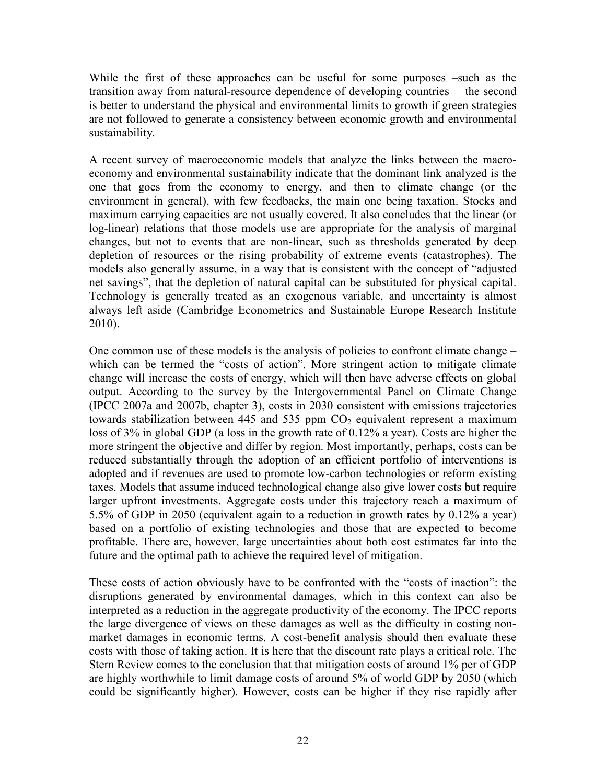While the first of these approaches can be useful for some purposes –such as the transition away from natural-resource dependence of developing countries— the second is better to understand the physical and environmental limits to growth if green strategies are not followed to generate a consistency between economic growth and environmental sustainability.

A recent survey of macroeconomic models that analyze the links between the macroeconomy and environmental sustainability indicate that the dominant link analyzed is the one that goes from the economy to energy, and then to climate change (or the environment in general), with few feedbacks, the main one being taxation. Stocks and maximum carrying capacities are not usually covered. It also concludes that the linear (or log-linear) relations that those models use are appropriate for the analysis of marginal changes, but not to events that are non-linear, such as thresholds generated by deep depletion of resources or the rising probability of extreme events (catastrophes). The models also generally assume, in a way that is consistent with the concept of "adjusted net savings", that the depletion of natural capital can be substituted for physical capital. Technology is generally treated as an exogenous variable, and uncertainty is almost always left aside (Cambridge Econometrics and Sustainable Europe Research Institute 2010).

One common use of these models is the analysis of policies to confront climate change – which can be termed the "costs of action". More stringent action to mitigate climate change will increase the costs of energy, which will then have adverse effects on global output. According to the survey by the Intergovernmental Panel on Climate Change (IPCC 2007a and 2007b, chapter 3), costs in 2030 consistent with emissions trajectories towards stabilization between 445 and 535 ppm  $CO<sub>2</sub>$  equivalent represent a maximum loss of 3% in global GDP (a loss in the growth rate of 0.12% a year). Costs are higher the more stringent the objective and differ by region. Most importantly, perhaps, costs can be reduced substantially through the adoption of an efficient portfolio of interventions is adopted and if revenues are used to promote low-carbon technologies or reform existing taxes. Models that assume induced technological change also give lower costs but require larger upfront investments. Aggregate costs under this trajectory reach a maximum of 5.5% of GDP in 2050 (equivalent again to a reduction in growth rates by 0.12% a year) based on a portfolio of existing technologies and those that are expected to become profitable. There are, however, large uncertainties about both cost estimates far into the future and the optimal path to achieve the required level of mitigation.

These costs of action obviously have to be confronted with the "costs of inaction": the disruptions generated by environmental damages, which in this context can also be interpreted as a reduction in the aggregate productivity of the economy. The IPCC reports the large divergence of views on these damages as well as the difficulty in costing nonmarket damages in economic terms. A cost-benefit analysis should then evaluate these costs with those of taking action. It is here that the discount rate plays a critical role. The Stern Review comes to the conclusion that that mitigation costs of around 1% per of GDP are highly worthwhile to limit damage costs of around 5% of world GDP by 2050 (which could be significantly higher). However, costs can be higher if they rise rapidly after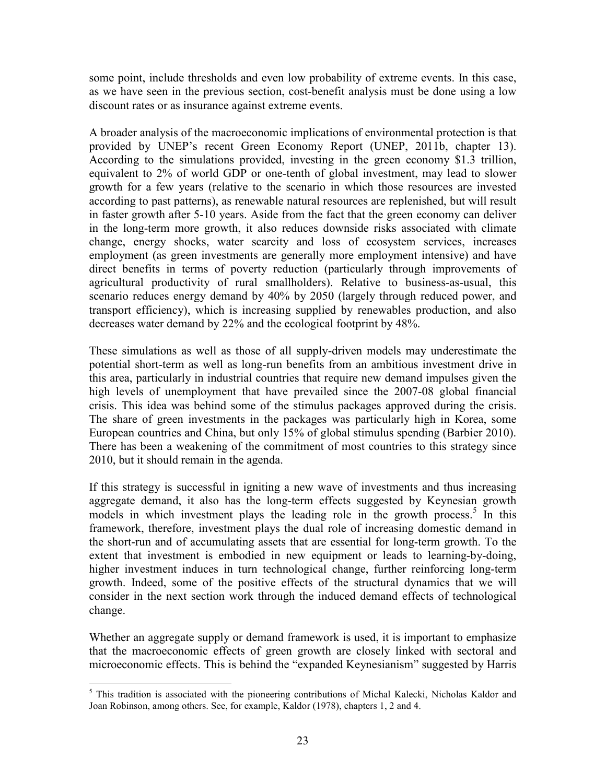some point, include thresholds and even low probability of extreme events. In this case, as we have seen in the previous section, cost-benefit analysis must be done using a low discount rates or as insurance against extreme events.

A broader analysis of the macroeconomic implications of environmental protection is that provided by UNEP's recent Green Economy Report (UNEP, 2011b, chapter 13). According to the simulations provided, investing in the green economy \$1.3 trillion, equivalent to 2% of world GDP or one-tenth of global investment, may lead to slower growth for a few years (relative to the scenario in which those resources are invested according to past patterns), as renewable natural resources are replenished, but will result in faster growth after 5-10 years. Aside from the fact that the green economy can deliver in the long-term more growth, it also reduces downside risks associated with climate change, energy shocks, water scarcity and loss of ecosystem services, increases employment (as green investments are generally more employment intensive) and have direct benefits in terms of poverty reduction (particularly through improvements of agricultural productivity of rural smallholders). Relative to business-as-usual, this scenario reduces energy demand by 40% by 2050 (largely through reduced power, and transport efficiency), which is increasing supplied by renewables production, and also decreases water demand by 22% and the ecological footprint by 48%.

These simulations as well as those of all supply-driven models may underestimate the potential short-term as well as long-run benefits from an ambitious investment drive in this area, particularly in industrial countries that require new demand impulses given the high levels of unemployment that have prevailed since the 2007-08 global financial crisis. This idea was behind some of the stimulus packages approved during the crisis. The share of green investments in the packages was particularly high in Korea, some European countries and China, but only 15% of global stimulus spending (Barbier 2010). There has been a weakening of the commitment of most countries to this strategy since 2010, but it should remain in the agenda.

If this strategy is successful in igniting a new wave of investments and thus increasing aggregate demand, it also has the long-term effects suggested by Keynesian growth models in which investment plays the leading role in the growth process.<sup>5</sup> In this framework, therefore, investment plays the dual role of increasing domestic demand in the short-run and of accumulating assets that are essential for long-term growth. To the extent that investment is embodied in new equipment or leads to learning-by-doing, higher investment induces in turn technological change, further reinforcing long-term growth. Indeed, some of the positive effects of the structural dynamics that we will consider in the next section work through the induced demand effects of technological change.

Whether an aggregate supply or demand framework is used, it is important to emphasize that the macroeconomic effects of green growth are closely linked with sectoral and microeconomic effects. This is behind the "expanded Keynesianism" suggested by Harris

<sup>&</sup>lt;sup>5</sup> This tradition is associated with the pioneering contributions of Michal Kalecki, Nicholas Kaldor and Joan Robinson, among others. See, for example, Kaldor (1978), chapters 1, 2 and 4.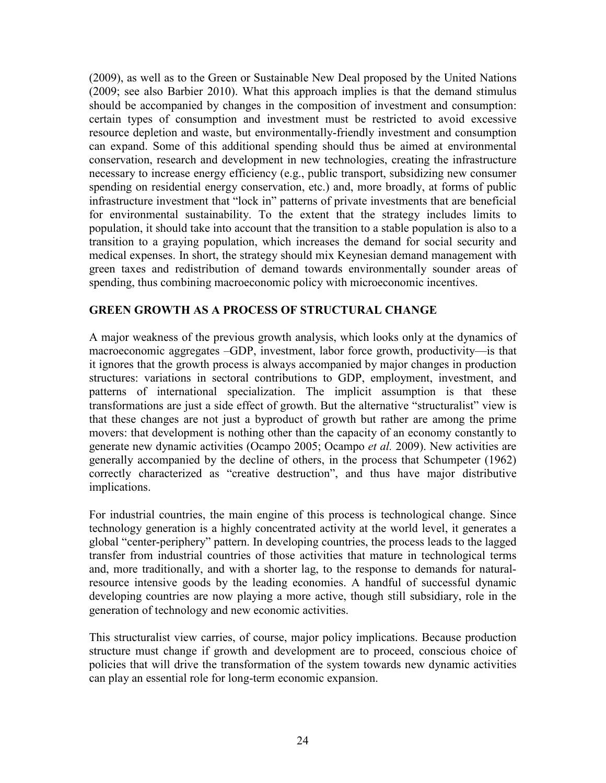(2009), as well as to the Green or Sustainable New Deal proposed by the United Nations (2009; see also Barbier 2010). What this approach implies is that the demand stimulus should be accompanied by changes in the composition of investment and consumption: certain types of consumption and investment must be restricted to avoid excessive resource depletion and waste, but environmentally-friendly investment and consumption can expand. Some of this additional spending should thus be aimed at environmental conservation, research and development in new technologies, creating the infrastructure necessary to increase energy efficiency (e.g., public transport, subsidizing new consumer spending on residential energy conservation, etc.) and, more broadly, at forms of public infrastructure investment that "lock in" patterns of private investments that are beneficial for environmental sustainability. To the extent that the strategy includes limits to population, it should take into account that the transition to a stable population is also to a transition to a graying population, which increases the demand for social security and medical expenses. In short, the strategy should mix Keynesian demand management with green taxes and redistribution of demand towards environmentally sounder areas of spending, thus combining macroeconomic policy with microeconomic incentives.

#### **GREEN GROWTH AS A PROCESS OF STRUCTURAL CHANGE**

A major weakness of the previous growth analysis, which looks only at the dynamics of macroeconomic aggregates –GDP, investment, labor force growth, productivity—is that it ignores that the growth process is always accompanied by major changes in production structures: variations in sectoral contributions to GDP, employment, investment, and patterns of international specialization. The implicit assumption is that these transformations are just a side effect of growth. But the alternative "structuralist" view is that these changes are not just a byproduct of growth but rather are among the prime movers: that development is nothing other than the capacity of an economy constantly to generate new dynamic activities (Ocampo 2005; Ocampo *et al.* 2009). New activities are generally accompanied by the decline of others, in the process that Schumpeter (1962) correctly characterized as "creative destruction", and thus have major distributive implications.

For industrial countries, the main engine of this process is technological change. Since technology generation is a highly concentrated activity at the world level, it generates a global "center-periphery" pattern. In developing countries, the process leads to the lagged transfer from industrial countries of those activities that mature in technological terms and, more traditionally, and with a shorter lag, to the response to demands for naturalresource intensive goods by the leading economies. A handful of successful dynamic developing countries are now playing a more active, though still subsidiary, role in the generation of technology and new economic activities.

This structuralist view carries, of course, major policy implications. Because production structure must change if growth and development are to proceed, conscious choice of policies that will drive the transformation of the system towards new dynamic activities can play an essential role for long-term economic expansion.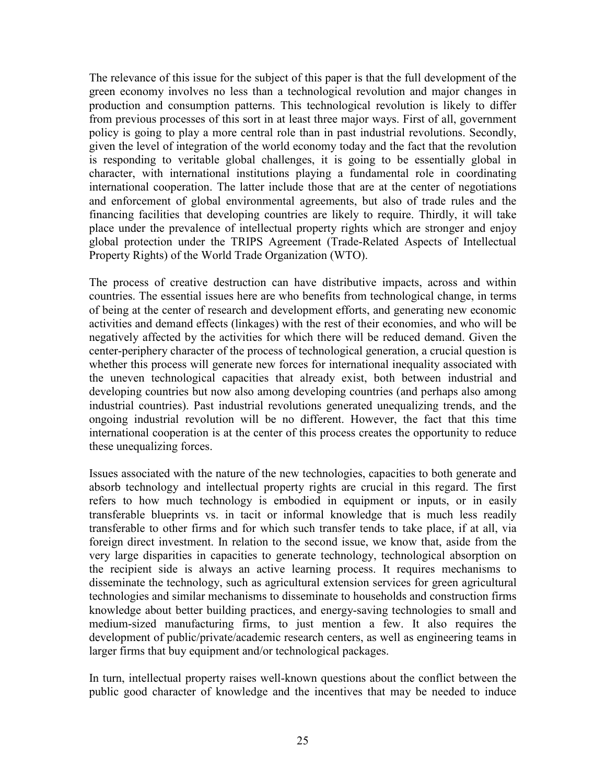The relevance of this issue for the subject of this paper is that the full development of the green economy involves no less than a technological revolution and major changes in production and consumption patterns. This technological revolution is likely to differ from previous processes of this sort in at least three major ways. First of all, government policy is going to play a more central role than in past industrial revolutions. Secondly, given the level of integration of the world economy today and the fact that the revolution is responding to veritable global challenges, it is going to be essentially global in character, with international institutions playing a fundamental role in coordinating international cooperation. The latter include those that are at the center of negotiations and enforcement of global environmental agreements, but also of trade rules and the financing facilities that developing countries are likely to require. Thirdly, it will take place under the prevalence of intellectual property rights which are stronger and enjoy global protection under the TRIPS Agreement (Trade-Related Aspects of Intellectual Property Rights) of the World Trade Organization (WTO).

The process of creative destruction can have distributive impacts, across and within countries. The essential issues here are who benefits from technological change, in terms of being at the center of research and development efforts, and generating new economic activities and demand effects (linkages) with the rest of their economies, and who will be negatively affected by the activities for which there will be reduced demand. Given the center-periphery character of the process of technological generation, a crucial question is whether this process will generate new forces for international inequality associated with the uneven technological capacities that already exist, both between industrial and developing countries but now also among developing countries (and perhaps also among industrial countries). Past industrial revolutions generated unequalizing trends, and the ongoing industrial revolution will be no different. However, the fact that this time international cooperation is at the center of this process creates the opportunity to reduce these unequalizing forces.

Issues associated with the nature of the new technologies, capacities to both generate and absorb technology and intellectual property rights are crucial in this regard. The first refers to how much technology is embodied in equipment or inputs, or in easily transferable blueprints vs. in tacit or informal knowledge that is much less readily transferable to other firms and for which such transfer tends to take place, if at all, via foreign direct investment. In relation to the second issue, we know that, aside from the very large disparities in capacities to generate technology, technological absorption on the recipient side is always an active learning process. It requires mechanisms to disseminate the technology, such as agricultural extension services for green agricultural technologies and similar mechanisms to disseminate to households and construction firms knowledge about better building practices, and energy-saving technologies to small and medium-sized manufacturing firms, to just mention a few. It also requires the development of public/private/academic research centers, as well as engineering teams in larger firms that buy equipment and/or technological packages.

In turn, intellectual property raises well-known questions about the conflict between the public good character of knowledge and the incentives that may be needed to induce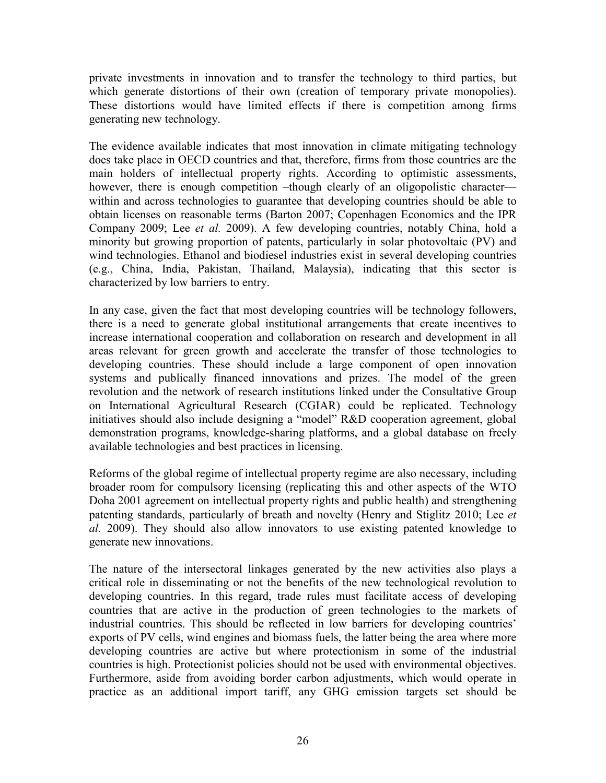private investments in innovation and to transfer the technology to third parties, but which generate distortions of their own (creation of temporary private monopolies). These distortions would have limited effects if there is competition among firms generating new technology.

The evidence available indicates that most innovation in climate mitigating technology does take place in OECD countries and that, therefore, firms from those countries are the main holders of intellectual property rights. According to optimistic assessments, however, there is enough competition –though clearly of an oligopolistic character within and across technologies to guarantee that developing countries should be able to obtain licenses on reasonable terms (Barton 2007; Copenhagen Economics and the IPR Company 2009; Lee *et al.* 2009). A few developing countries, notably China, hold a minority but growing proportion of patents, particularly in solar photovoltaic (PV) and wind technologies. Ethanol and biodiesel industries exist in several developing countries (e.g., China, India, Pakistan, Thailand, Malaysia), indicating that this sector is characterized by low barriers to entry.

In any case, given the fact that most developing countries will be technology followers, there is a need to generate global institutional arrangements that create incentives to increase international cooperation and collaboration on research and development in all areas relevant for green growth and accelerate the transfer of those technologies to developing countries. These should include a large component of open innovation systems and publically financed innovations and prizes. The model of the green revolution and the network of research institutions linked under the Consultative Group on International Agricultural Research (CGIAR) could be replicated. Technology initiatives should also include designing a "model" R&D cooperation agreement, global demonstration programs, knowledge-sharing platforms, and a global database on freely available technologies and best practices in licensing.

Reforms of the global regime of intellectual property regime are also necessary, including broader room for compulsory licensing (replicating this and other aspects of the WTO Doha 2001 agreement on intellectual property rights and public health) and strengthening patenting standards, particularly of breath and novelty (Henry and Stiglitz 2010; Lee *et al.* 2009). They should also allow innovators to use existing patented knowledge to generate new innovations.

The nature of the intersectoral linkages generated by the new activities also plays a critical role in disseminating or not the benefits of the new technological revolution to developing countries. In this regard, trade rules must facilitate access of developing countries that are active in the production of green technologies to the markets of industrial countries. This should be reflected in low barriers for developing countries' exports of PV cells, wind engines and biomass fuels, the latter being the area where more developing countries are active but where protectionism in some of the industrial countries is high. Protectionist policies should not be used with environmental objectives. Furthermore, aside from avoiding border carbon adjustments, which would operate in practice as an additional import tariff, any GHG emission targets set should be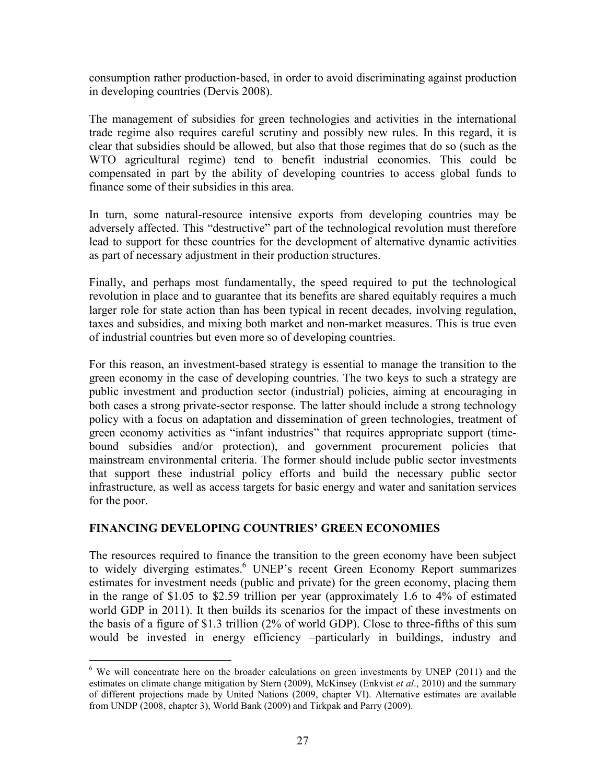consumption rather production-based, in order to avoid discriminating against production in developing countries (Dervis 2008).

The management of subsidies for green technologies and activities in the international trade regime also requires careful scrutiny and possibly new rules. In this regard, it is clear that subsidies should be allowed, but also that those regimes that do so (such as the WTO agricultural regime) tend to benefit industrial economies. This could be compensated in part by the ability of developing countries to access global funds to finance some of their subsidies in this area.

In turn, some natural-resource intensive exports from developing countries may be adversely affected. This "destructive" part of the technological revolution must therefore lead to support for these countries for the development of alternative dynamic activities as part of necessary adjustment in their production structures.

Finally, and perhaps most fundamentally, the speed required to put the technological revolution in place and to guarantee that its benefits are shared equitably requires a much larger role for state action than has been typical in recent decades, involving regulation, taxes and subsidies, and mixing both market and non-market measures. This is true even of industrial countries but even more so of developing countries.

For this reason, an investment-based strategy is essential to manage the transition to the green economy in the case of developing countries. The two keys to such a strategy are public investment and production sector (industrial) policies, aiming at encouraging in both cases a strong private-sector response. The latter should include a strong technology policy with a focus on adaptation and dissemination of green technologies, treatment of green economy activities as "infant industries" that requires appropriate support (timebound subsidies and/or protection), and government procurement policies that mainstream environmental criteria. The former should include public sector investments that support these industrial policy efforts and build the necessary public sector infrastructure, as well as access targets for basic energy and water and sanitation services for the poor.

## **FINANCING DEVELOPING COUNTRIES' GREEN ECONOMIES**

 $\overline{a}$ 

The resources required to finance the transition to the green economy have been subject to widely diverging estimates.<sup>6</sup> UNEP's recent Green Economy Report summarizes estimates for investment needs (public and private) for the green economy, placing them in the range of \$1.05 to \$2.59 trillion per year (approximately 1.6 to 4% of estimated world GDP in 2011). It then builds its scenarios for the impact of these investments on the basis of a figure of \$1.3 trillion (2% of world GDP). Close to three-fifths of this sum would be invested in energy efficiency –particularly in buildings, industry and

<sup>&</sup>lt;sup>6</sup> We will concentrate here on the broader calculations on green investments by UNEP (2011) and the estimates on climate change mitigation by Stern (2009), McKinsey (Enkvist *et al*., 2010) and the summary of different projections made by United Nations (2009, chapter VI). Alternative estimates are available from UNDP (2008, chapter 3), World Bank (2009) and Tirkpak and Parry (2009).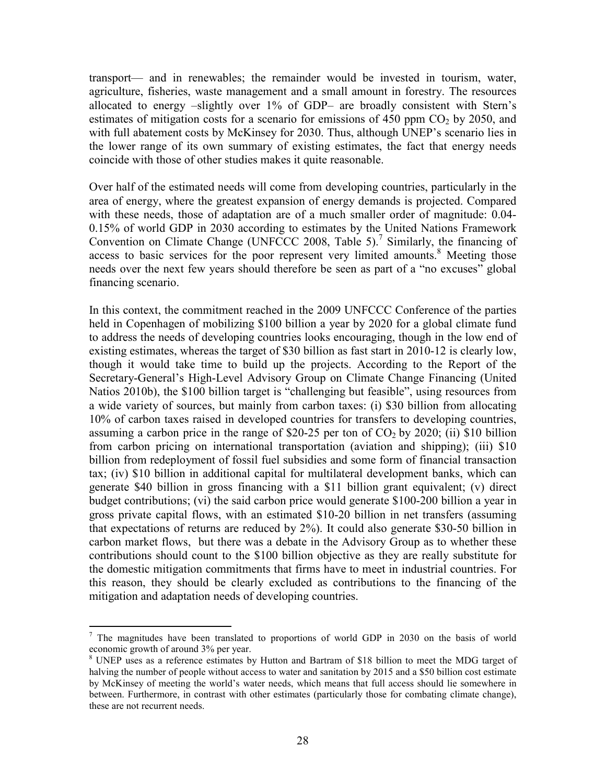transport— and in renewables; the remainder would be invested in tourism, water, agriculture, fisheries, waste management and a small amount in forestry. The resources allocated to energy –slightly over 1% of GDP– are broadly consistent with Stern's estimates of mitigation costs for a scenario for emissions of 450 ppm  $CO<sub>2</sub>$  by 2050, and with full abatement costs by McKinsey for 2030. Thus, although UNEP's scenario lies in the lower range of its own summary of existing estimates, the fact that energy needs coincide with those of other studies makes it quite reasonable.

Over half of the estimated needs will come from developing countries, particularly in the area of energy, where the greatest expansion of energy demands is projected. Compared with these needs, those of adaptation are of a much smaller order of magnitude: 0.04- 0.15% of world GDP in 2030 according to estimates by the United Nations Framework Convention on Climate Change (UNFCCC 2008, Table 5).<sup>7</sup> Similarly, the financing of access to basic services for the poor represent very limited amounts.<sup>8</sup> Meeting those needs over the next few years should therefore be seen as part of a "no excuses" global financing scenario.

In this context, the commitment reached in the 2009 UNFCCC Conference of the parties held in Copenhagen of mobilizing \$100 billion a year by 2020 for a global climate fund to address the needs of developing countries looks encouraging, though in the low end of existing estimates, whereas the target of \$30 billion as fast start in 2010-12 is clearly low, though it would take time to build up the projects. According to the Report of the Secretary-General's High-Level Advisory Group on Climate Change Financing (United Natios 2010b), the \$100 billion target is "challenging but feasible", using resources from a wide variety of sources, but mainly from carbon taxes: (i) \$30 billion from allocating 10% of carbon taxes raised in developed countries for transfers to developing countries, assuming a carbon price in the range of \$20-25 per ton of  $CO<sub>2</sub>$  by 2020; (ii) \$10 billion from carbon pricing on international transportation (aviation and shipping); (iii) \$10 billion from redeployment of fossil fuel subsidies and some form of financial transaction tax; (iv) \$10 billion in additional capital for multilateral development banks, which can generate \$40 billion in gross financing with a \$11 billion grant equivalent; (v) direct budget contributions; (vi) the said carbon price would generate \$100-200 billion a year in gross private capital flows, with an estimated \$10-20 billion in net transfers (assuming that expectations of returns are reduced by 2%). It could also generate \$30-50 billion in carbon market flows, but there was a debate in the Advisory Group as to whether these contributions should count to the \$100 billion objective as they are really substitute for the domestic mitigation commitments that firms have to meet in industrial countries. For this reason, they should be clearly excluded as contributions to the financing of the mitigation and adaptation needs of developing countries.

<sup>&</sup>lt;sup>7</sup> The magnitudes have been translated to proportions of world GDP in 2030 on the basis of world economic growth of around 3% per year.

<sup>&</sup>lt;sup>8</sup> UNEP uses as a reference estimates by Hutton and Bartram of \$18 billion to meet the MDG target of halving the number of people without access to water and sanitation by 2015 and a \$50 billion cost estimate by McKinsey of meeting the world's water needs, which means that full access should lie somewhere in between. Furthermore, in contrast with other estimates (particularly those for combating climate change), these are not recurrent needs.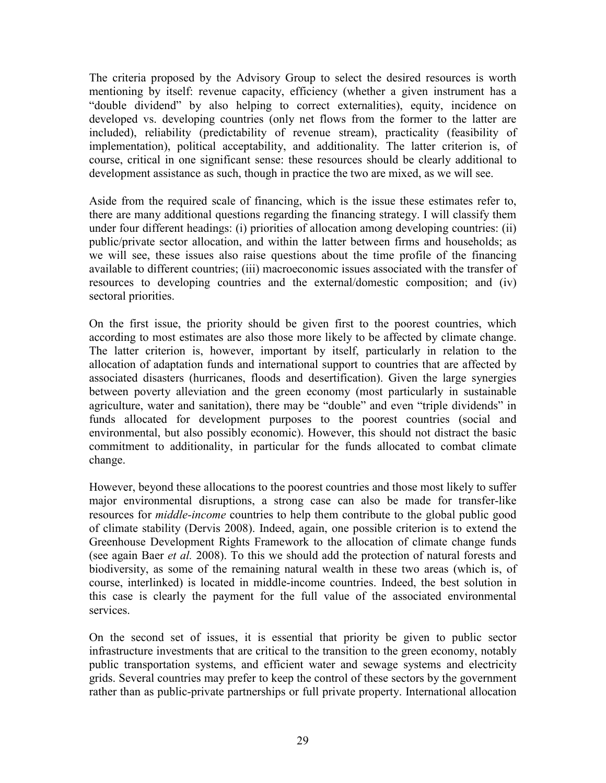The criteria proposed by the Advisory Group to select the desired resources is worth mentioning by itself: revenue capacity, efficiency (whether a given instrument has a "double dividend" by also helping to correct externalities), equity, incidence on developed vs. developing countries (only net flows from the former to the latter are included), reliability (predictability of revenue stream), practicality (feasibility of implementation), political acceptability, and additionality. The latter criterion is, of course, critical in one significant sense: these resources should be clearly additional to development assistance as such, though in practice the two are mixed, as we will see.

Aside from the required scale of financing, which is the issue these estimates refer to, there are many additional questions regarding the financing strategy. I will classify them under four different headings: (i) priorities of allocation among developing countries: (ii) public/private sector allocation, and within the latter between firms and households; as we will see, these issues also raise questions about the time profile of the financing available to different countries; (iii) macroeconomic issues associated with the transfer of resources to developing countries and the external/domestic composition; and (iv) sectoral priorities.

On the first issue, the priority should be given first to the poorest countries, which according to most estimates are also those more likely to be affected by climate change. The latter criterion is, however, important by itself, particularly in relation to the allocation of adaptation funds and international support to countries that are affected by associated disasters (hurricanes, floods and desertification). Given the large synergies between poverty alleviation and the green economy (most particularly in sustainable agriculture, water and sanitation), there may be "double" and even "triple dividends" in funds allocated for development purposes to the poorest countries (social and environmental, but also possibly economic). However, this should not distract the basic commitment to additionality, in particular for the funds allocated to combat climate change.

However, beyond these allocations to the poorest countries and those most likely to suffer major environmental disruptions, a strong case can also be made for transfer-like resources for *middle-income* countries to help them contribute to the global public good of climate stability (Dervis 2008). Indeed, again, one possible criterion is to extend the Greenhouse Development Rights Framework to the allocation of climate change funds (see again Baer *et al.* 2008). To this we should add the protection of natural forests and biodiversity, as some of the remaining natural wealth in these two areas (which is, of course, interlinked) is located in middle-income countries. Indeed, the best solution in this case is clearly the payment for the full value of the associated environmental services.

On the second set of issues, it is essential that priority be given to public sector infrastructure investments that are critical to the transition to the green economy, notably public transportation systems, and efficient water and sewage systems and electricity grids. Several countries may prefer to keep the control of these sectors by the government rather than as public-private partnerships or full private property. International allocation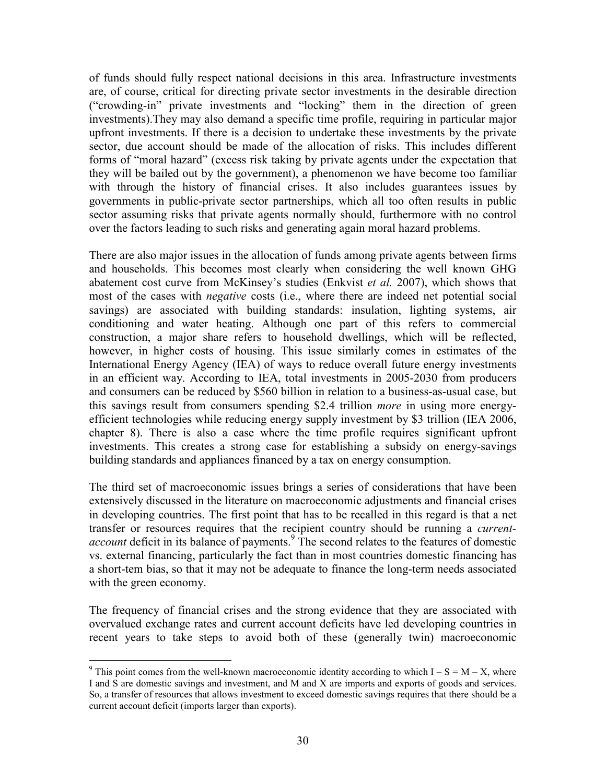of funds should fully respect national decisions in this area. Infrastructure investments are, of course, critical for directing private sector investments in the desirable direction ("crowding-in" private investments and "locking" them in the direction of green investments).They may also demand a specific time profile, requiring in particular major upfront investments. If there is a decision to undertake these investments by the private sector, due account should be made of the allocation of risks. This includes different forms of "moral hazard" (excess risk taking by private agents under the expectation that they will be bailed out by the government), a phenomenon we have become too familiar with through the history of financial crises. It also includes guarantees issues by governments in public-private sector partnerships, which all too often results in public sector assuming risks that private agents normally should, furthermore with no control over the factors leading to such risks and generating again moral hazard problems.

There are also major issues in the allocation of funds among private agents between firms and households. This becomes most clearly when considering the well known GHG abatement cost curve from McKinsey's studies (Enkvist *et al.* 2007), which shows that most of the cases with *negative* costs (i.e., where there are indeed net potential social savings) are associated with building standards: insulation, lighting systems, air conditioning and water heating. Although one part of this refers to commercial construction, a major share refers to household dwellings, which will be reflected, however, in higher costs of housing. This issue similarly comes in estimates of the International Energy Agency (IEA) of ways to reduce overall future energy investments in an efficient way. According to IEA, total investments in 2005-2030 from producers and consumers can be reduced by \$560 billion in relation to a business-as-usual case, but this savings result from consumers spending \$2.4 trillion *more* in using more energyefficient technologies while reducing energy supply investment by \$3 trillion (IEA 2006, chapter 8). There is also a case where the time profile requires significant upfront investments. This creates a strong case for establishing a subsidy on energy-savings building standards and appliances financed by a tax on energy consumption.

The third set of macroeconomic issues brings a series of considerations that have been extensively discussed in the literature on macroeconomic adjustments and financial crises in developing countries. The first point that has to be recalled in this regard is that a net transfer or resources requires that the recipient country should be running a *current*account deficit in its balance of payments.<sup>9</sup> The second relates to the features of domestic vs. external financing, particularly the fact than in most countries domestic financing has a short-tem bias, so that it may not be adequate to finance the long-term needs associated with the green economy.

The frequency of financial crises and the strong evidence that they are associated with overvalued exchange rates and current account deficits have led developing countries in recent years to take steps to avoid both of these (generally twin) macroeconomic

 $\overline{a}$ 

<sup>&</sup>lt;sup>9</sup> This point comes from the well-known macroeconomic identity according to which  $I - S = M - X$ , where I and S are domestic savings and investment, and M and X are imports and exports of goods and services. So, a transfer of resources that allows investment to exceed domestic savings requires that there should be a current account deficit (imports larger than exports).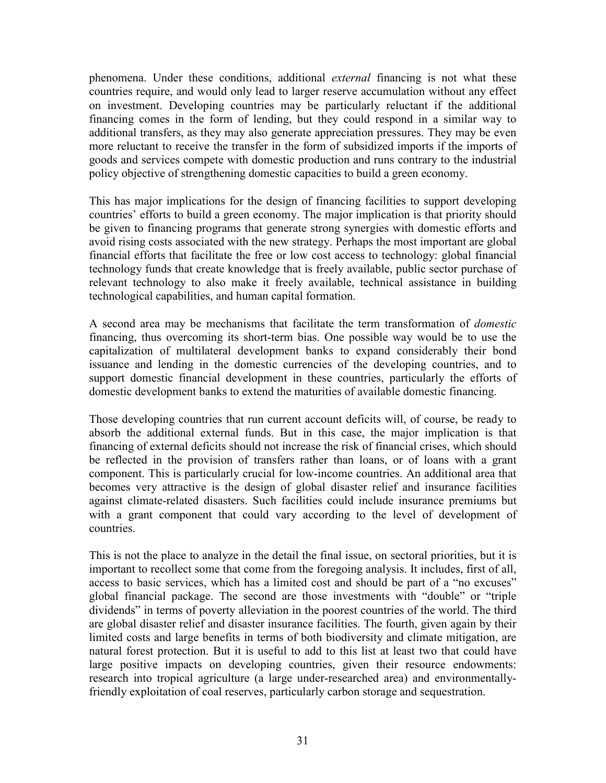phenomena. Under these conditions, additional *external* financing is not what these countries require, and would only lead to larger reserve accumulation without any effect on investment. Developing countries may be particularly reluctant if the additional financing comes in the form of lending, but they could respond in a similar way to additional transfers, as they may also generate appreciation pressures. They may be even more reluctant to receive the transfer in the form of subsidized imports if the imports of goods and services compete with domestic production and runs contrary to the industrial policy objective of strengthening domestic capacities to build a green economy.

This has major implications for the design of financing facilities to support developing countries' efforts to build a green economy. The major implication is that priority should be given to financing programs that generate strong synergies with domestic efforts and avoid rising costs associated with the new strategy. Perhaps the most important are global financial efforts that facilitate the free or low cost access to technology: global financial technology funds that create knowledge that is freely available, public sector purchase of relevant technology to also make it freely available, technical assistance in building technological capabilities, and human capital formation.

A second area may be mechanisms that facilitate the term transformation of *domestic* financing, thus overcoming its short-term bias. One possible way would be to use the capitalization of multilateral development banks to expand considerably their bond issuance and lending in the domestic currencies of the developing countries, and to support domestic financial development in these countries, particularly the efforts of domestic development banks to extend the maturities of available domestic financing.

Those developing countries that run current account deficits will, of course, be ready to absorb the additional external funds. But in this case, the major implication is that financing of external deficits should not increase the risk of financial crises, which should be reflected in the provision of transfers rather than loans, or of loans with a grant component. This is particularly crucial for low-income countries. An additional area that becomes very attractive is the design of global disaster relief and insurance facilities against climate-related disasters. Such facilities could include insurance premiums but with a grant component that could vary according to the level of development of countries.

This is not the place to analyze in the detail the final issue, on sectoral priorities, but it is important to recollect some that come from the foregoing analysis. It includes, first of all, access to basic services, which has a limited cost and should be part of a "no excuses" global financial package. The second are those investments with "double" or "triple dividends" in terms of poverty alleviation in the poorest countries of the world. The third are global disaster relief and disaster insurance facilities. The fourth, given again by their limited costs and large benefits in terms of both biodiversity and climate mitigation, are natural forest protection. But it is useful to add to this list at least two that could have large positive impacts on developing countries, given their resource endowments: research into tropical agriculture (a large under-researched area) and environmentallyfriendly exploitation of coal reserves, particularly carbon storage and sequestration.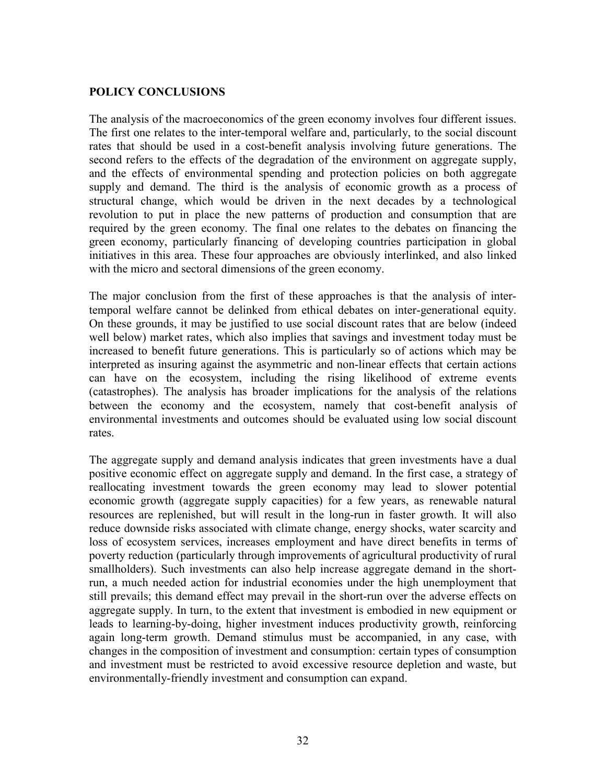#### **POLICY CONCLUSIONS**

The analysis of the macroeconomics of the green economy involves four different issues. The first one relates to the inter-temporal welfare and, particularly, to the social discount rates that should be used in a cost-benefit analysis involving future generations. The second refers to the effects of the degradation of the environment on aggregate supply, and the effects of environmental spending and protection policies on both aggregate supply and demand. The third is the analysis of economic growth as a process of structural change, which would be driven in the next decades by a technological revolution to put in place the new patterns of production and consumption that are required by the green economy. The final one relates to the debates on financing the green economy, particularly financing of developing countries participation in global initiatives in this area. These four approaches are obviously interlinked, and also linked with the micro and sectoral dimensions of the green economy.

The major conclusion from the first of these approaches is that the analysis of intertemporal welfare cannot be delinked from ethical debates on inter-generational equity. On these grounds, it may be justified to use social discount rates that are below (indeed well below) market rates, which also implies that savings and investment today must be increased to benefit future generations. This is particularly so of actions which may be interpreted as insuring against the asymmetric and non-linear effects that certain actions can have on the ecosystem, including the rising likelihood of extreme events (catastrophes). The analysis has broader implications for the analysis of the relations between the economy and the ecosystem, namely that cost-benefit analysis of environmental investments and outcomes should be evaluated using low social discount rates.

The aggregate supply and demand analysis indicates that green investments have a dual positive economic effect on aggregate supply and demand. In the first case, a strategy of reallocating investment towards the green economy may lead to slower potential economic growth (aggregate supply capacities) for a few years, as renewable natural resources are replenished, but will result in the long-run in faster growth. It will also reduce downside risks associated with climate change, energy shocks, water scarcity and loss of ecosystem services, increases employment and have direct benefits in terms of poverty reduction (particularly through improvements of agricultural productivity of rural smallholders). Such investments can also help increase aggregate demand in the shortrun, a much needed action for industrial economies under the high unemployment that still prevails; this demand effect may prevail in the short-run over the adverse effects on aggregate supply. In turn, to the extent that investment is embodied in new equipment or leads to learning-by-doing, higher investment induces productivity growth, reinforcing again long-term growth. Demand stimulus must be accompanied, in any case, with changes in the composition of investment and consumption: certain types of consumption and investment must be restricted to avoid excessive resource depletion and waste, but environmentally-friendly investment and consumption can expand.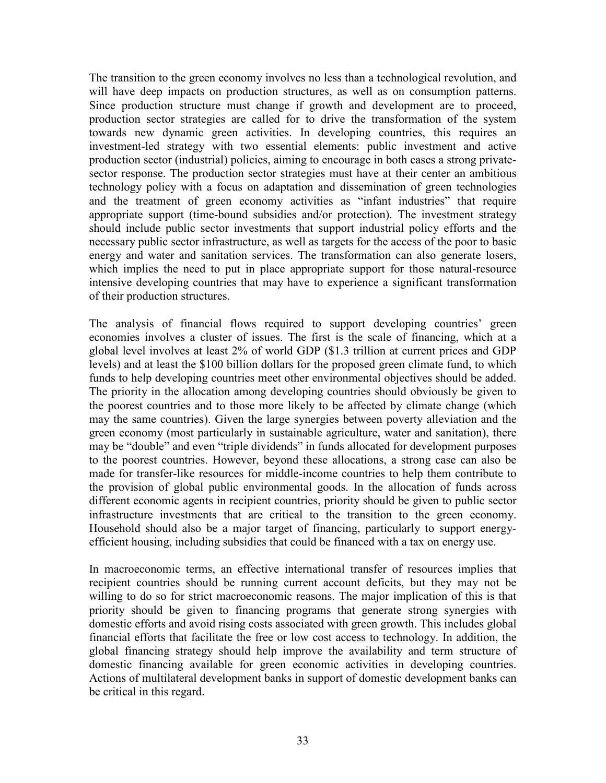The transition to the green economy involves no less than a technological revolution, and will have deep impacts on production structures, as well as on consumption patterns. Since production structure must change if growth and development are to proceed, production sector strategies are called for to drive the transformation of the system towards new dynamic green activities. In developing countries, this requires an investment-led strategy with two essential elements: public investment and active production sector (industrial) policies, aiming to encourage in both cases a strong privatesector response. The production sector strategies must have at their center an ambitious technology policy with a focus on adaptation and dissemination of green technologies and the treatment of green economy activities as "infant industries" that require appropriate support (time-bound subsidies and/or protection). The investment strategy should include public sector investments that support industrial policy efforts and the necessary public sector infrastructure, as well as targets for the access of the poor to basic energy and water and sanitation services. The transformation can also generate losers, which implies the need to put in place appropriate support for those natural-resource intensive developing countries that may have to experience a significant transformation of their production structures.

The analysis of financial flows required to support developing countries' green economies involves a cluster of issues. The first is the scale of financing, which at a global level involves at least 2% of world GDP (\$1.3 trillion at current prices and GDP levels) and at least the \$100 billion dollars for the proposed green climate fund, to which funds to help developing countries meet other environmental objectives should be added. The priority in the allocation among developing countries should obviously be given to the poorest countries and to those more likely to be affected by climate change (which may the same countries). Given the large synergies between poverty alleviation and the green economy (most particularly in sustainable agriculture, water and sanitation), there may be "double" and even "triple dividends" in funds allocated for development purposes to the poorest countries. However, beyond these allocations, a strong case can also be made for transfer-like resources for middle-income countries to help them contribute to the provision of global public environmental goods. In the allocation of funds across different economic agents in recipient countries, priority should be given to public sector infrastructure investments that are critical to the transition to the green economy. Household should also be a major target of financing, particularly to support energyefficient housing, including subsidies that could be financed with a tax on energy use.

In macroeconomic terms, an effective international transfer of resources implies that recipient countries should be running current account deficits, but they may not be willing to do so for strict macroeconomic reasons. The major implication of this is that priority should be given to financing programs that generate strong synergies with domestic efforts and avoid rising costs associated with green growth. This includes global financial efforts that facilitate the free or low cost access to technology. In addition, the global financing strategy should help improve the availability and term structure of domestic financing available for green economic activities in developing countries. Actions of multilateral development banks in support of domestic development banks can be critical in this regard.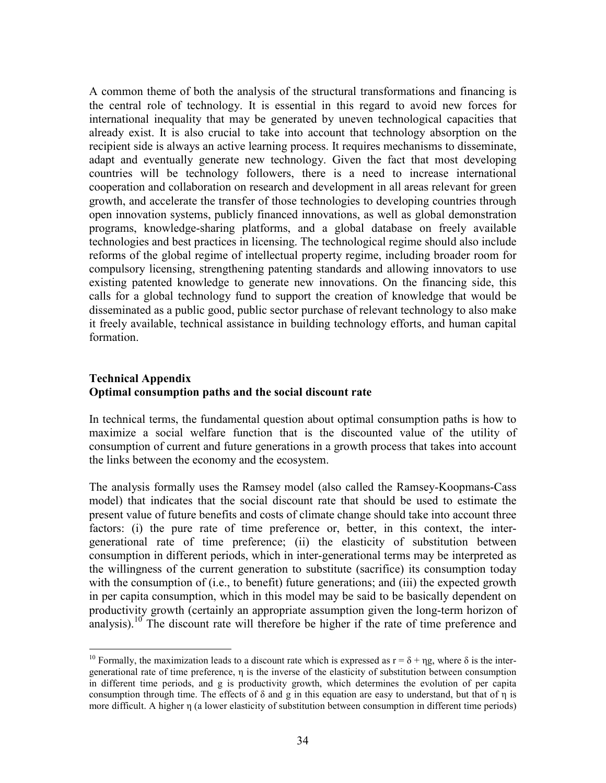A common theme of both the analysis of the structural transformations and financing is the central role of technology. It is essential in this regard to avoid new forces for international inequality that may be generated by uneven technological capacities that already exist. It is also crucial to take into account that technology absorption on the recipient side is always an active learning process. It requires mechanisms to disseminate, adapt and eventually generate new technology. Given the fact that most developing countries will be technology followers, there is a need to increase international cooperation and collaboration on research and development in all areas relevant for green growth, and accelerate the transfer of those technologies to developing countries through open innovation systems, publicly financed innovations, as well as global demonstration programs, knowledge-sharing platforms, and a global database on freely available technologies and best practices in licensing. The technological regime should also include reforms of the global regime of intellectual property regime, including broader room for compulsory licensing, strengthening patenting standards and allowing innovators to use existing patented knowledge to generate new innovations. On the financing side, this calls for a global technology fund to support the creation of knowledge that would be disseminated as a public good, public sector purchase of relevant technology to also make it freely available, technical assistance in building technology efforts, and human capital formation.

## **Technical Appendix Optimal consumption paths and the social discount rate**

In technical terms, the fundamental question about optimal consumption paths is how to maximize a social welfare function that is the discounted value of the utility of consumption of current and future generations in a growth process that takes into account the links between the economy and the ecosystem.

The analysis formally uses the Ramsey model (also called the Ramsey-Koopmans-Cass model) that indicates that the social discount rate that should be used to estimate the present value of future benefits and costs of climate change should take into account three factors: (i) the pure rate of time preference or, better, in this context, the intergenerational rate of time preference; (ii) the elasticity of substitution between consumption in different periods, which in inter-generational terms may be interpreted as the willingness of the current generation to substitute (sacrifice) its consumption today with the consumption of (i.e., to benefit) future generations; and (iii) the expected growth in per capita consumption, which in this model may be said to be basically dependent on productivity growth (certainly an appropriate assumption given the long-term horizon of analysis).<sup>10</sup> The discount rate will therefore be higher if the rate of time preference and

l <sup>10</sup> Formally, the maximization leads to a discount rate which is expressed as  $r = \delta + \eta g$ , where  $\delta$  is the intergenerational rate of time preference, η is the inverse of the elasticity of substitution between consumption in different time periods, and g is productivity growth, which determines the evolution of per capita consumption through time. The effects of  $\delta$  and g in this equation are easy to understand, but that of  $\eta$  is more difficult. A higher η (a lower elasticity of substitution between consumption in different time periods)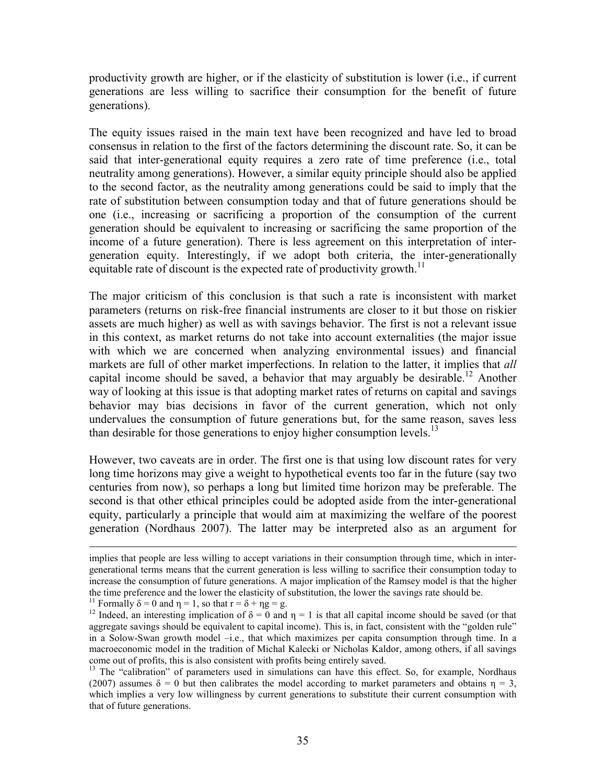productivity growth are higher, or if the elasticity of substitution is lower (i.e., if current generations are less willing to sacrifice their consumption for the benefit of future generations).

The equity issues raised in the main text have been recognized and have led to broad consensus in relation to the first of the factors determining the discount rate. So, it can be said that inter-generational equity requires a zero rate of time preference (i.e., total neutrality among generations). However, a similar equity principle should also be applied to the second factor, as the neutrality among generations could be said to imply that the rate of substitution between consumption today and that of future generations should be one (i.e., increasing or sacrificing a proportion of the consumption of the current generation should be equivalent to increasing or sacrificing the same proportion of the income of a future generation). There is less agreement on this interpretation of intergeneration equity. Interestingly, if we adopt both criteria, the inter-generationally equitable rate of discount is the expected rate of productivity growth.<sup>11</sup>

The major criticism of this conclusion is that such a rate is inconsistent with market parameters (returns on risk-free financial instruments are closer to it but those on riskier assets are much higher) as well as with savings behavior. The first is not a relevant issue in this context, as market returns do not take into account externalities (the major issue with which we are concerned when analyzing environmental issues) and financial markets are full of other market imperfections. In relation to the latter, it implies that *all* capital income should be saved, a behavior that may arguably be desirable.<sup>12</sup> Another way of looking at this issue is that adopting market rates of returns on capital and savings behavior may bias decisions in favor of the current generation, which not only undervalues the consumption of future generations but, for the same reason, saves less than desirable for those generations to enjoy higher consumption levels.<sup>13</sup>

However, two caveats are in order. The first one is that using low discount rates for very long time horizons may give a weight to hypothetical events too far in the future (say two centuries from now), so perhaps a long but limited time horizon may be preferable. The second is that other ethical principles could be adopted aside from the inter-generational equity, particularly a principle that would aim at maximizing the welfare of the poorest generation (Nordhaus 2007). The latter may be interpreted also as an argument for

<sup>11</sup> Formally  $\delta = 0$  and  $\eta = 1$ , so that  $r = \delta + \eta g = g$ .

 $\overline{a}$ 

implies that people are less willing to accept variations in their consumption through time, which in intergenerational terms means that the current generation is less willing to sacrifice their consumption today to increase the consumption of future generations. A major implication of the Ramsey model is that the higher the time preference and the lower the elasticity of substitution, the lower the savings rate should be.

<sup>&</sup>lt;sup>12</sup> Indeed, an interesting implication of  $\delta = 0$  and  $\eta = 1$  is that all capital income should be saved (or that aggregate savings should be equivalent to capital income). This is, in fact, consistent with the "golden rule" in a Solow-Swan growth model –i.e., that which maximizes per capita consumption through time. In a macroeconomic model in the tradition of Michal Kalecki or Nicholas Kaldor, among others, if all savings come out of profits, this is also consistent with profits being entirely saved.

<sup>&</sup>lt;sup>13</sup> The "calibration" of parameters used in simulations can have this effect. So, for example, Nordhaus (2007) assumes  $\delta = 0$  but then calibrates the model according to market parameters and obtains  $\eta = 3$ , which implies a very low willingness by current generations to substitute their current consumption with that of future generations.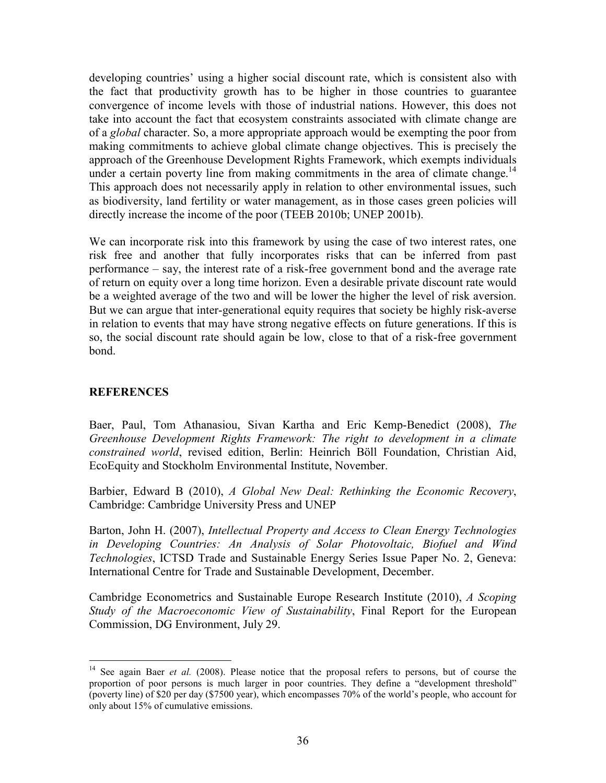developing countries' using a higher social discount rate, which is consistent also with the fact that productivity growth has to be higher in those countries to guarantee convergence of income levels with those of industrial nations. However, this does not take into account the fact that ecosystem constraints associated with climate change are of a *global* character. So, a more appropriate approach would be exempting the poor from making commitments to achieve global climate change objectives. This is precisely the approach of the Greenhouse Development Rights Framework, which exempts individuals under a certain poverty line from making commitments in the area of climate change.<sup>14</sup> This approach does not necessarily apply in relation to other environmental issues, such as biodiversity, land fertility or water management, as in those cases green policies will directly increase the income of the poor (TEEB 2010b; UNEP 2001b).

We can incorporate risk into this framework by using the case of two interest rates, one risk free and another that fully incorporates risks that can be inferred from past performance – say, the interest rate of a risk-free government bond and the average rate of return on equity over a long time horizon. Even a desirable private discount rate would be a weighted average of the two and will be lower the higher the level of risk aversion. But we can argue that inter-generational equity requires that society be highly risk-averse in relation to events that may have strong negative effects on future generations. If this is so, the social discount rate should again be low, close to that of a risk-free government bond.

## **REFERENCES**

 $\overline{a}$ 

Baer, Paul, Tom Athanasiou, Sivan Kartha and Eric Kemp-Benedict (2008), *The Greenhouse Development Rights Framework: The right to development in a climate constrained world*, revised edition, Berlin: Heinrich Böll Foundation, Christian Aid, EcoEquity and Stockholm Environmental Institute, November.

Barbier, Edward B (2010), *A Global New Deal: Rethinking the Economic Recovery*, Cambridge: Cambridge University Press and UNEP

Barton, John H. (2007), *Intellectual Property and Access to Clean Energy Technologies in Developing Countries: An Analysis of Solar Photovoltaic, Biofuel and Wind Technologies*, ICTSD Trade and Sustainable Energy Series Issue Paper No. 2, Geneva: International Centre for Trade and Sustainable Development, December.

Cambridge Econometrics and Sustainable Europe Research Institute (2010), *A Scoping Study of the Macroeconomic View of Sustainability*, Final Report for the European Commission, DG Environment, July 29.

<sup>&</sup>lt;sup>14</sup> See again Baer *et al.* (2008). Please notice that the proposal refers to persons, but of course the proportion of poor persons is much larger in poor countries. They define a "development threshold" (poverty line) of \$20 per day (\$7500 year), which encompasses 70% of the world's people, who account for only about 15% of cumulative emissions.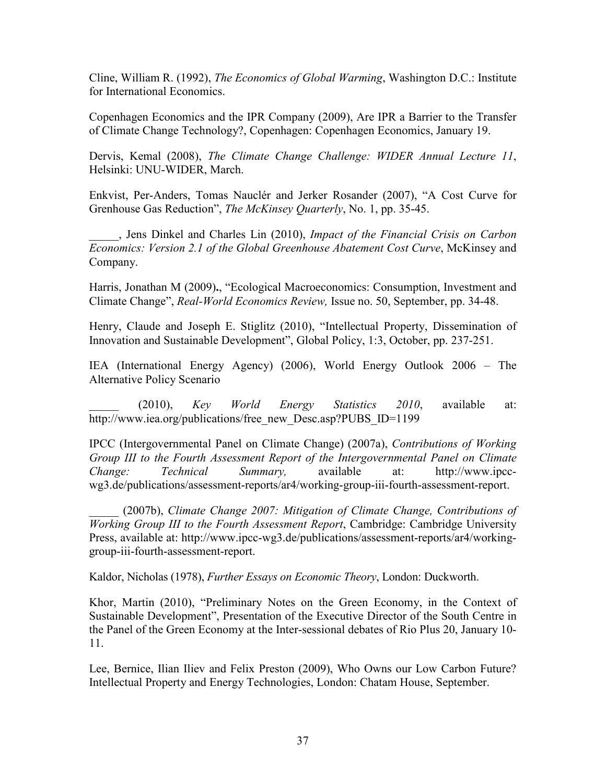Cline, William R. (1992), *The Economics of Global Warming*, Washington D.C.: Institute for International Economics.

Copenhagen Economics and the IPR Company (2009), Are IPR a Barrier to the Transfer of Climate Change Technology?, Copenhagen: Copenhagen Economics, January 19.

Dervis, Kemal (2008), *The Climate Change Challenge: WIDER Annual Lecture 11*, Helsinki: UNU-WIDER, March.

Enkvist, Per-Anders, Tomas Nauclér and Jerker Rosander (2007), "A Cost Curve for Grenhouse Gas Reduction", *The McKinsey Quarterly*, No. 1, pp. 35-45.

\_\_\_\_\_, Jens Dinkel and Charles Lin (2010), *Impact of the Financial Crisis on Carbon Economics: Version 2.1 of the Global Greenhouse Abatement Cost Curve*, McKinsey and Company.

Harris, Jonathan M (2009)**.**, "Ecological Macroeconomics: Consumption, Investment and Climate Change", *Real-World Economics Review,* Issue no. 50, September, pp. 34-48.

Henry, Claude and Joseph E. Stiglitz (2010), "Intellectual Property, Dissemination of Innovation and Sustainable Development", Global Policy, 1:3, October, pp. 237-251.

IEA (International Energy Agency) (2006), World Energy Outlook 2006 – The Alternative Policy Scenario

\_\_\_\_\_ (2010), *Key World Energy Statistics 2010*, available at: http://www.iea.org/publications/free\_new\_Desc.asp?PUBS\_ID=1199

IPCC (Intergovernmental Panel on Climate Change) (2007a), *Contributions of Working Group III to the Fourth Assessment Report of the Intergovernmental Panel on Climate Change: Technical Summary,* available at: http://www.ipccwg3.de/publications/assessment-reports/ar4/working-group-iii-fourth-assessment-report.

\_\_\_\_\_ (2007b), *Climate Change 2007: Mitigation of Climate Change, Contributions of Working Group III to the Fourth Assessment Report*, Cambridge: Cambridge University Press, available at: http://www.ipcc-wg3.de/publications/assessment-reports/ar4/workinggroup-iii-fourth-assessment-report.

Kaldor, Nicholas (1978), *Further Essays on Economic Theory*, London: Duckworth.

Khor, Martin (2010), "Preliminary Notes on the Green Economy, in the Context of Sustainable Development", Presentation of the Executive Director of the South Centre in the Panel of the Green Economy at the Inter-sessional debates of Rio Plus 20, January 10- 11.

Lee, Bernice, Ilian Iliev and Felix Preston (2009), Who Owns our Low Carbon Future? Intellectual Property and Energy Technologies, London: Chatam House, September.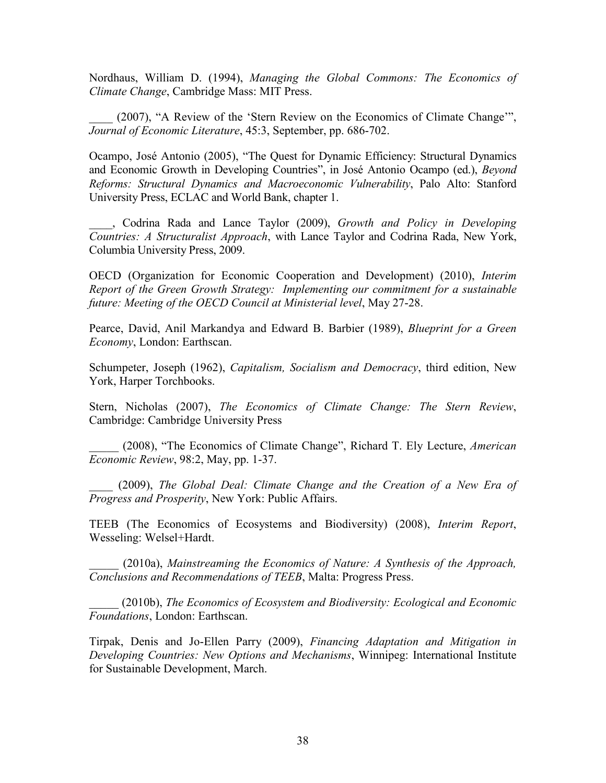Nordhaus, William D. (1994), *Managing the Global Commons: The Economics of Climate Change*, Cambridge Mass: MIT Press.

\_\_\_\_ (2007), "A Review of the 'Stern Review on the Economics of Climate Change'", *Journal of Economic Literature*, 45:3, September, pp. 686-702.

Ocampo, José Antonio (2005), "The Quest for Dynamic Efficiency: Structural Dynamics and Economic Growth in Developing Countries", in José Antonio Ocampo (ed.), *Beyond Reforms: Structural Dynamics and Macroeconomic Vulnerability*, Palo Alto: Stanford University Press, ECLAC and World Bank, chapter 1.

\_\_\_\_, Codrina Rada and Lance Taylor (2009), *Growth and Policy in Developing Countries: A Structuralist Approach*, with Lance Taylor and Codrina Rada, New York, Columbia University Press, 2009.

OECD (Organization for Economic Cooperation and Development) (2010), *Interim Report of the Green Growth Strategy: Implementing our commitment for a sustainable future: Meeting of the OECD Council at Ministerial level*, May 27-28.

Pearce, David, Anil Markandya and Edward B. Barbier (1989), *Blueprint for a Green Economy*, London: Earthscan.

Schumpeter, Joseph (1962), *Capitalism, Socialism and Democracy*, third edition, New York, Harper Torchbooks.

Stern, Nicholas (2007), *The Economics of Climate Change: The Stern Review*, Cambridge: Cambridge University Press

\_\_\_\_\_ (2008), "The Economics of Climate Change", Richard T. Ely Lecture, *American Economic Review*, 98:2, May, pp. 1-37.

\_\_\_\_ (2009), *The Global Deal: Climate Change and the Creation of a New Era of Progress and Prosperity*, New York: Public Affairs.

TEEB (The Economics of Ecosystems and Biodiversity) (2008), *Interim Report*, Wesseling: Welsel+Hardt.

\_\_\_\_\_ (2010a), *Mainstreaming the Economics of Nature: A Synthesis of the Approach, Conclusions and Recommendations of TEEB*, Malta: Progress Press.

\_\_\_\_\_ (2010b), *The Economics of Ecosystem and Biodiversity: Ecological and Economic Foundations*, London: Earthscan.

Tirpak, Denis and Jo-Ellen Parry (2009), *Financing Adaptation and Mitigation in Developing Countries: New Options and Mechanisms*, Winnipeg: International Institute for Sustainable Development, March.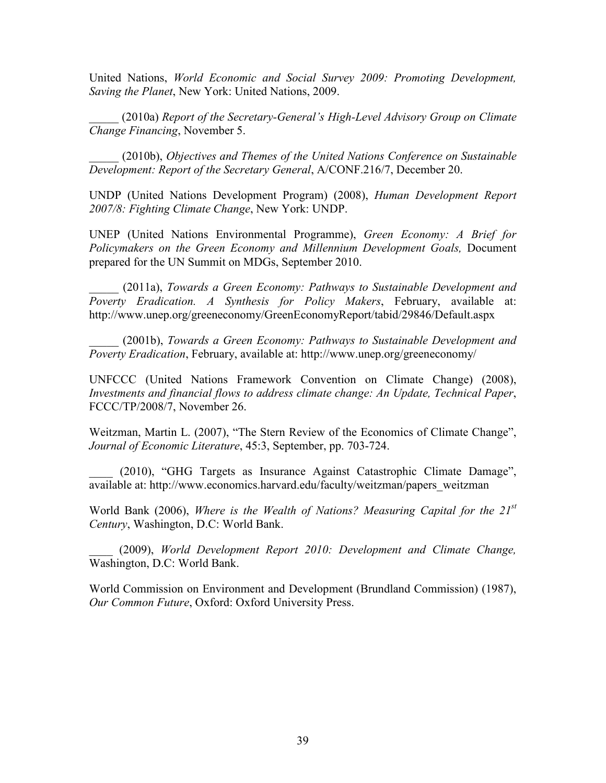United Nations, *World Economic and Social Survey 2009: Promoting Development, Saving the Planet*, New York: United Nations, 2009.

\_\_\_\_\_ (2010a) *Report of the Secretary-General's High-Level Advisory Group on Climate Change Financing*, November 5.

\_\_\_\_\_ (2010b), *Objectives and Themes of the United Nations Conference on Sustainable Development: Report of the Secretary General*, A/CONF.216/7, December 20.

UNDP (United Nations Development Program) (2008), *Human Development Report 2007/8: Fighting Climate Change*, New York: UNDP.

UNEP (United Nations Environmental Programme), *Green Economy: A Brief for Policymakers on the Green Economy and Millennium Development Goals,* Document prepared for the UN Summit on MDGs, September 2010.

\_\_\_\_\_ (2011a), *Towards a Green Economy: Pathways to Sustainable Development and Poverty Eradication. A Synthesis for Policy Makers*, February, available at: http://www.unep.org/greeneconomy/GreenEconomyReport/tabid/29846/Default.aspx

\_\_\_\_\_ (2001b), *Towards a Green Economy: Pathways to Sustainable Development and Poverty Eradication*, February, available at: http://www.unep.org/greeneconomy/

UNFCCC (United Nations Framework Convention on Climate Change) (2008), *Investments and financial flows to address climate change: An Update, Technical Paper*, FCCC/TP/2008/7, November 26.

Weitzman, Martin L. (2007), "The Stern Review of the Economics of Climate Change", *Journal of Economic Literature*, 45:3, September, pp. 703-724.

\_\_\_\_ (2010), "GHG Targets as Insurance Against Catastrophic Climate Damage", available at: http://www.economics.harvard.edu/faculty/weitzman/papers\_weitzman

World Bank (2006), *Where is the Wealth of Nations? Measuring Capital for the 21st Century*, Washington, D.C: World Bank.

\_\_\_\_ (2009), *World Development Report 2010: Development and Climate Change,* Washington, D.C: World Bank.

World Commission on Environment and Development (Brundland Commission) (1987), *Our Common Future*, Oxford: Oxford University Press.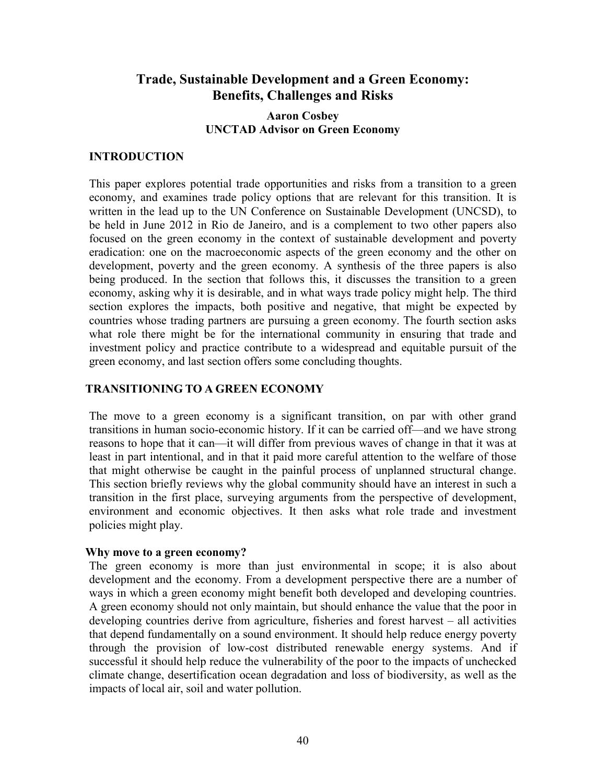# **Trade, Sustainable Development and a Green Economy: Benefits, Challenges and Risks**

## **Aaron Cosbey UNCTAD Advisor on Green Economy**

## **INTRODUCTION**

This paper explores potential trade opportunities and risks from a transition to a green economy, and examines trade policy options that are relevant for this transition. It is written in the lead up to the UN Conference on Sustainable Development (UNCSD), to be held in June 2012 in Rio de Janeiro, and is a complement to two other papers also focused on the green economy in the context of sustainable development and poverty eradication: one on the macroeconomic aspects of the green economy and the other on development, poverty and the green economy. A synthesis of the three papers is also being produced. In the section that follows this, it discusses the transition to a green economy, asking why it is desirable, and in what ways trade policy might help. The third section explores the impacts, both positive and negative, that might be expected by countries whose trading partners are pursuing a green economy. The fourth section asks what role there might be for the international community in ensuring that trade and investment policy and practice contribute to a widespread and equitable pursuit of the green economy, and last section offers some concluding thoughts.

## **TRANSITIONING TO A GREEN ECONOMY**

The move to a green economy is a significant transition, on par with other grand transitions in human socio-economic history. If it can be carried off—and we have strong reasons to hope that it can—it will differ from previous waves of change in that it was at least in part intentional, and in that it paid more careful attention to the welfare of those that might otherwise be caught in the painful process of unplanned structural change. This section briefly reviews why the global community should have an interest in such a transition in the first place, surveying arguments from the perspective of development, environment and economic objectives. It then asks what role trade and investment policies might play.

### **Why move to a green economy?**

The green economy is more than just environmental in scope; it is also about development and the economy. From a development perspective there are a number of ways in which a green economy might benefit both developed and developing countries. A green economy should not only maintain, but should enhance the value that the poor in developing countries derive from agriculture, fisheries and forest harvest – all activities that depend fundamentally on a sound environment. It should help reduce energy poverty through the provision of low-cost distributed renewable energy systems. And if successful it should help reduce the vulnerability of the poor to the impacts of unchecked climate change, desertification ocean degradation and loss of biodiversity, as well as the impacts of local air, soil and water pollution.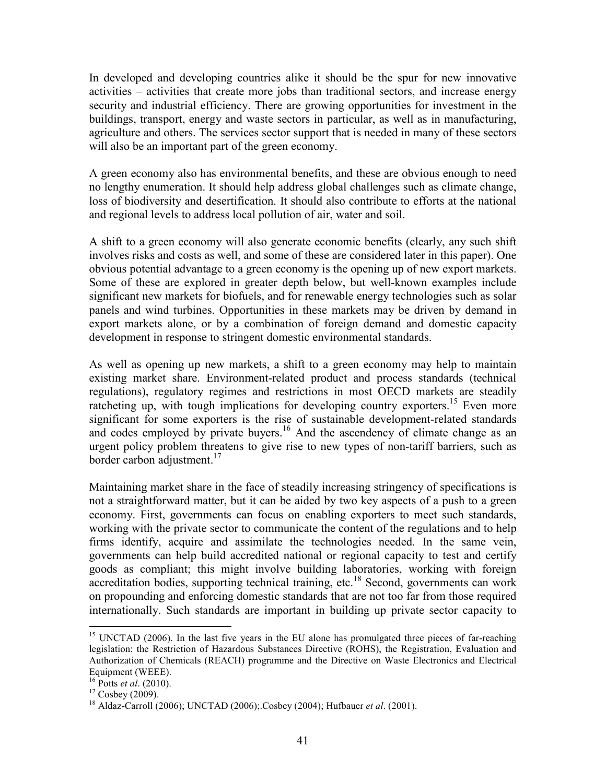In developed and developing countries alike it should be the spur for new innovative activities – activities that create more jobs than traditional sectors, and increase energy security and industrial efficiency. There are growing opportunities for investment in the buildings, transport, energy and waste sectors in particular, as well as in manufacturing, agriculture and others. The services sector support that is needed in many of these sectors will also be an important part of the green economy.

A green economy also has environmental benefits, and these are obvious enough to need no lengthy enumeration. It should help address global challenges such as climate change, loss of biodiversity and desertification. It should also contribute to efforts at the national and regional levels to address local pollution of air, water and soil.

A shift to a green economy will also generate economic benefits (clearly, any such shift involves risks and costs as well, and some of these are considered later in this paper). One obvious potential advantage to a green economy is the opening up of new export markets. Some of these are explored in greater depth below, but well-known examples include significant new markets for biofuels, and for renewable energy technologies such as solar panels and wind turbines. Opportunities in these markets may be driven by demand in export markets alone, or by a combination of foreign demand and domestic capacity development in response to stringent domestic environmental standards.

As well as opening up new markets, a shift to a green economy may help to maintain existing market share. Environment-related product and process standards (technical regulations), regulatory regimes and restrictions in most OECD markets are steadily ratcheting up, with tough implications for developing country exporters.<sup>15</sup> Even more significant for some exporters is the rise of sustainable development-related standards and codes employed by private buyers.<sup>16</sup> And the ascendency of climate change as an urgent policy problem threatens to give rise to new types of non-tariff barriers, such as border carbon adjustment.<sup>17</sup>

Maintaining market share in the face of steadily increasing stringency of specifications is not a straightforward matter, but it can be aided by two key aspects of a push to a green economy. First, governments can focus on enabling exporters to meet such standards, working with the private sector to communicate the content of the regulations and to help firms identify, acquire and assimilate the technologies needed. In the same vein, governments can help build accredited national or regional capacity to test and certify goods as compliant; this might involve building laboratories, working with foreign accreditation bodies, supporting technical training, etc.<sup>18</sup> Second, governments can work on propounding and enforcing domestic standards that are not too far from those required internationally. Such standards are important in building up private sector capacity to

<sup>&</sup>lt;sup>15</sup> UNCTAD (2006). In the last five years in the EU alone has promulgated three pieces of far-reaching legislation: the Restriction of Hazardous Substances Directive (ROHS), the Registration, Evaluation and Authorization of Chemicals (REACH) programme and the Directive on Waste Electronics and Electrical Equipment (WEEE).

<sup>16</sup> Potts *et al*. (2010).

 $17$  Cosbey (2009).

<sup>18</sup> Aldaz-Carroll (2006); UNCTAD (2006);.Cosbey (2004); Hufbauer *et al*. (2001).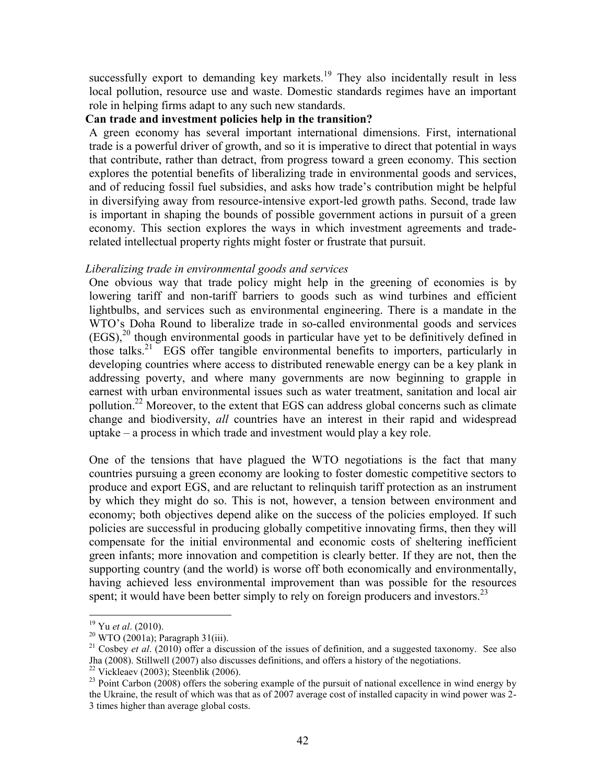successfully export to demanding key markets.<sup>19</sup> They also incidentally result in less local pollution, resource use and waste. Domestic standards regimes have an important role in helping firms adapt to any such new standards.

## **Can trade and investment policies help in the transition?**

A green economy has several important international dimensions. First, international trade is a powerful driver of growth, and so it is imperative to direct that potential in ways that contribute, rather than detract, from progress toward a green economy. This section explores the potential benefits of liberalizing trade in environmental goods and services, and of reducing fossil fuel subsidies, and asks how trade's contribution might be helpful in diversifying away from resource-intensive export-led growth paths. Second, trade law is important in shaping the bounds of possible government actions in pursuit of a green economy. This section explores the ways in which investment agreements and traderelated intellectual property rights might foster or frustrate that pursuit.

### *Liberalizing trade in environmental goods and services*

One obvious way that trade policy might help in the greening of economies is by lowering tariff and non-tariff barriers to goods such as wind turbines and efficient lightbulbs, and services such as environmental engineering. There is a mandate in the WTO's Doha Round to liberalize trade in so-called environmental goods and services  $(EGS)$ ,<sup>20</sup> though environmental goods in particular have yet to be definitively defined in those talks.<sup>21</sup> EGS offer tangible environmental benefits to importers, particularly in developing countries where access to distributed renewable energy can be a key plank in addressing poverty, and where many governments are now beginning to grapple in earnest with urban environmental issues such as water treatment, sanitation and local air pollution.<sup>22</sup> Moreover, to the extent that EGS can address global concerns such as climate change and biodiversity, *all* countries have an interest in their rapid and widespread uptake – a process in which trade and investment would play a key role.

One of the tensions that have plagued the WTO negotiations is the fact that many countries pursuing a green economy are looking to foster domestic competitive sectors to produce and export EGS, and are reluctant to relinquish tariff protection as an instrument by which they might do so. This is not, however, a tension between environment and economy; both objectives depend alike on the success of the policies employed. If such policies are successful in producing globally competitive innovating firms, then they will compensate for the initial environmental and economic costs of sheltering inefficient green infants; more innovation and competition is clearly better. If they are not, then the supporting country (and the world) is worse off both economically and environmentally, having achieved less environmental improvement than was possible for the resources spent; it would have been better simply to rely on foreign producers and investors. $^{23}$ 

<sup>19</sup> Yu *et al*. (2010).

<sup>&</sup>lt;sup>20</sup> WTO (2001a); Paragraph 31(iii).

<sup>&</sup>lt;sup>21</sup> Cosbey *et al.* (2010) offer a discussion of the issues of definition, and a suggested taxonomy. See also Jha (2008). Stillwell (2007) also discusses definitions, and offers a history of the negotiations.

 $22$  Vickleaev (2003); Steenblik (2006).

 $^{23}$  Point Carbon (2008) offers the sobering example of the pursuit of national excellence in wind energy by the Ukraine, the result of which was that as of 2007 average cost of installed capacity in wind power was 2- 3 times higher than average global costs.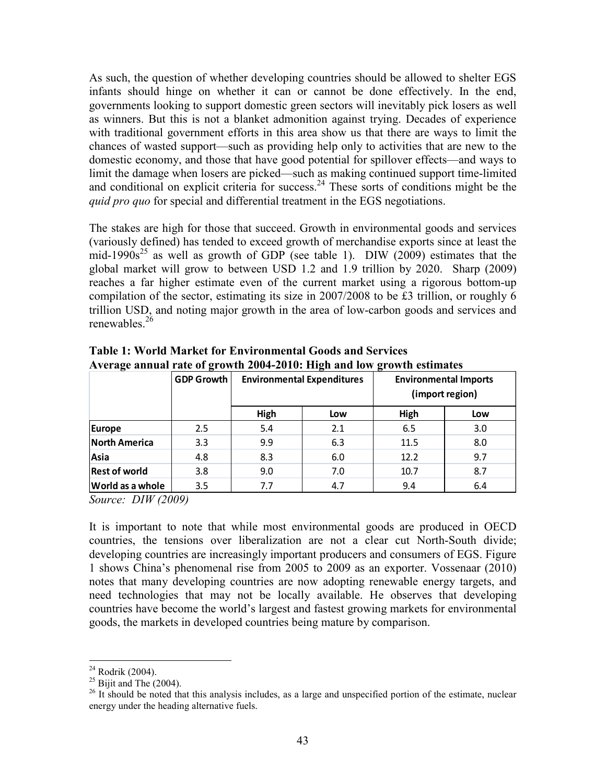As such, the question of whether developing countries should be allowed to shelter EGS infants should hinge on whether it can or cannot be done effectively. In the end, governments looking to support domestic green sectors will inevitably pick losers as well as winners. But this is not a blanket admonition against trying. Decades of experience with traditional government efforts in this area show us that there are ways to limit the chances of wasted support—such as providing help only to activities that are new to the domestic economy, and those that have good potential for spillover effects—and ways to limit the damage when losers are picked—such as making continued support time-limited and conditional on explicit criteria for success.<sup>24</sup> These sorts of conditions might be the *quid pro quo* for special and differential treatment in the EGS negotiations.

The stakes are high for those that succeed. Growth in environmental goods and services (variously defined) has tended to exceed growth of merchandise exports since at least the mid-1990s<sup>25</sup> as well as growth of GDP (see table 1). DIW (2009) estimates that the global market will grow to between USD 1.2 and 1.9 trillion by 2020. Sharp (2009) reaches a far higher estimate even of the current market using a rigorous bottom-up compilation of the sector, estimating its size in 2007/2008 to be £3 trillion, or roughly 6 trillion USD, and noting major growth in the area of low-carbon goods and services and renewables.<sup>26</sup>

|                         | GDP Growth | <b>Environmental Expenditures</b> |     | <b>Environmental Imports</b><br>(import region) |     |
|-------------------------|------------|-----------------------------------|-----|-------------------------------------------------|-----|
|                         |            | High                              | Low | High                                            | Low |
| Europe                  | 2.5        | 5.4                               | 2.1 | 6.5                                             | 3.0 |
| <b>North America</b>    | 3.3        | 9.9                               | 6.3 | 11.5                                            | 8.0 |
| Asia                    | 4.8        | 8.3                               | 6.0 | 12.2                                            | 9.7 |
| <b>Rest of world</b>    | 3.8        | 9.0                               | 7.0 | 10.7                                            | 8.7 |
| <b>World as a whole</b> | 3.5        | 7.7                               | 4.7 | 9.4                                             | 6.4 |

**Table 1: World Market for Environmental Goods and Services Average annual rate of growth 2004-2010: High and low growth estimates** 

*Source: DIW (2009)* 

It is important to note that while most environmental goods are produced in OECD countries, the tensions over liberalization are not a clear cut North-South divide; developing countries are increasingly important producers and consumers of EGS. Figure 1 shows China's phenomenal rise from 2005 to 2009 as an exporter. Vossenaar (2010) notes that many developing countries are now adopting renewable energy targets, and need technologies that may not be locally available. He observes that developing countries have become the world's largest and fastest growing markets for environmental goods, the markets in developed countries being mature by comparison.

 $\overline{a}$ <sup>24</sup> Rodrik (2004).

 $^{25}$  Bijit and The (2004).

 $^{26}$  It should be noted that this analysis includes, as a large and unspecified portion of the estimate, nuclear energy under the heading alternative fuels.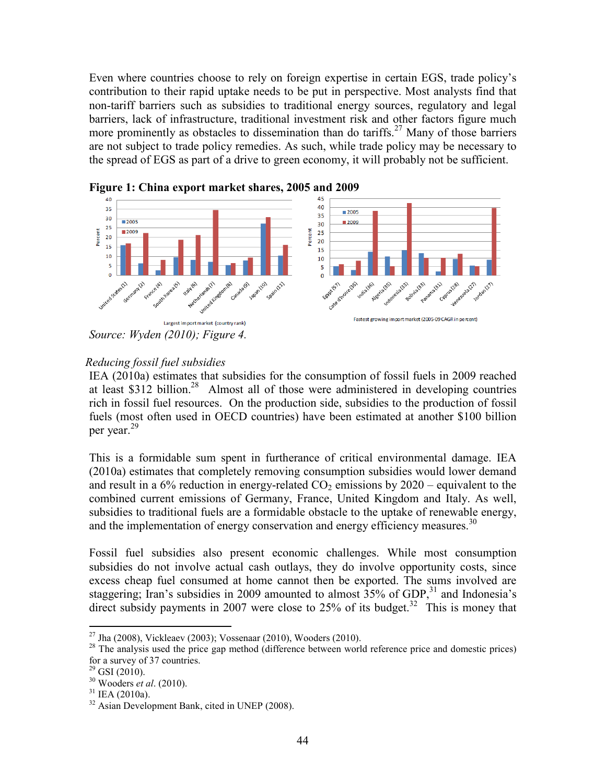Even where countries choose to rely on foreign expertise in certain EGS, trade policy's contribution to their rapid uptake needs to be put in perspective. Most analysts find that non-tariff barriers such as subsidies to traditional energy sources, regulatory and legal barriers, lack of infrastructure, traditional investment risk and other factors figure much more prominently as obstacles to dissemination than do tariffs.<sup>27</sup> Many of those barriers are not subject to trade policy remedies. As such, while trade policy may be necessary to the spread of EGS as part of a drive to green economy, it will probably not be sufficient.





## *Reducing fossil fuel subsidies*

IEA (2010a) estimates that subsidies for the consumption of fossil fuels in 2009 reached at least  $$312$  billion.<sup>28</sup> Almost all of those were administered in developing countries rich in fossil fuel resources. On the production side, subsidies to the production of fossil fuels (most often used in OECD countries) have been estimated at another \$100 billion per year.<sup>29</sup>

This is a formidable sum spent in furtherance of critical environmental damage. IEA (2010a) estimates that completely removing consumption subsidies would lower demand and result in a 6% reduction in energy-related  $CO<sub>2</sub>$  emissions by 2020 – equivalent to the combined current emissions of Germany, France, United Kingdom and Italy. As well, subsidies to traditional fuels are a formidable obstacle to the uptake of renewable energy, and the implementation of energy conservation and energy efficiency measures.<sup>30</sup>

Fossil fuel subsidies also present economic challenges. While most consumption subsidies do not involve actual cash outlays, they do involve opportunity costs, since excess cheap fuel consumed at home cannot then be exported. The sums involved are staggering; Iran's subsidies in 2009 amounted to almost  $35\%$  of GDP,<sup>31</sup> and Indonesia's direct subsidy payments in 2007 were close to 25% of its budget.<sup>32</sup> This is money that

*Source: Wyden (2010); Figure 4.* 

 $\overline{a}$ <sup>27</sup> Jha (2008), Vickleaev (2003); Vossenaar (2010), Wooders (2010).

<sup>&</sup>lt;sup>28</sup> The analysis used the price gap method (difference between world reference price and domestic prices) for a survey of 37 countries.

 $29$  GSI (2010).

<sup>30</sup> Wooders *et al*. (2010).

 $31$  IEA (2010a).

<sup>&</sup>lt;sup>32</sup> Asian Development Bank, cited in UNEP (2008).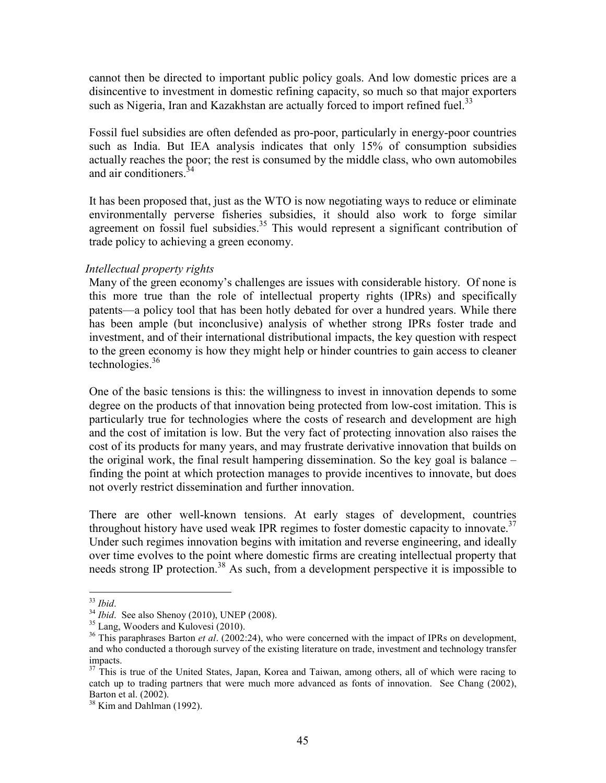cannot then be directed to important public policy goals. And low domestic prices are a disincentive to investment in domestic refining capacity, so much so that major exporters such as Nigeria, Iran and Kazakhstan are actually forced to import refined fuel.<sup>33</sup>

Fossil fuel subsidies are often defended as pro-poor, particularly in energy-poor countries such as India. But IEA analysis indicates that only 15% of consumption subsidies actually reaches the poor; the rest is consumed by the middle class, who own automobiles and air conditioners.<sup>34</sup>

It has been proposed that, just as the WTO is now negotiating ways to reduce or eliminate environmentally perverse fisheries subsidies, it should also work to forge similar agreement on fossil fuel subsidies.<sup>35</sup> This would represent a significant contribution of trade policy to achieving a green economy.

### *Intellectual property rights*

Many of the green economy's challenges are issues with considerable history. Of none is this more true than the role of intellectual property rights (IPRs) and specifically patents—a policy tool that has been hotly debated for over a hundred years. While there has been ample (but inconclusive) analysis of whether strong IPRs foster trade and investment, and of their international distributional impacts, the key question with respect to the green economy is how they might help or hinder countries to gain access to cleaner technologies. $36$ 

One of the basic tensions is this: the willingness to invest in innovation depends to some degree on the products of that innovation being protected from low-cost imitation. This is particularly true for technologies where the costs of research and development are high and the cost of imitation is low. But the very fact of protecting innovation also raises the cost of its products for many years, and may frustrate derivative innovation that builds on the original work, the final result hampering dissemination. So the key goal is balance – finding the point at which protection manages to provide incentives to innovate, but does not overly restrict dissemination and further innovation.

There are other well-known tensions. At early stages of development, countries throughout history have used weak IPR regimes to foster domestic capacity to innovate.<sup>37</sup> Under such regimes innovation begins with imitation and reverse engineering, and ideally over time evolves to the point where domestic firms are creating intellectual property that needs strong IP protection.<sup>38</sup> As such, from a development perspective it is impossible to

<sup>33</sup> *Ibid*.

<sup>34</sup> *Ibid*. See also Shenoy (2010), UNEP (2008).

<sup>&</sup>lt;sup>35</sup> Lang, Wooders and Kulovesi (2010).

<sup>&</sup>lt;sup>36</sup> This paraphrases Barton *et al.* (2002:24), who were concerned with the impact of IPRs on development, and who conducted a thorough survey of the existing literature on trade, investment and technology transfer impacts.

 $37$  This is true of the United States, Japan, Korea and Taiwan, among others, all of which were racing to catch up to trading partners that were much more advanced as fonts of innovation. See Chang (2002), Barton et al. (2002).

<sup>&</sup>lt;sup>38</sup> Kim and Dahlman (1992).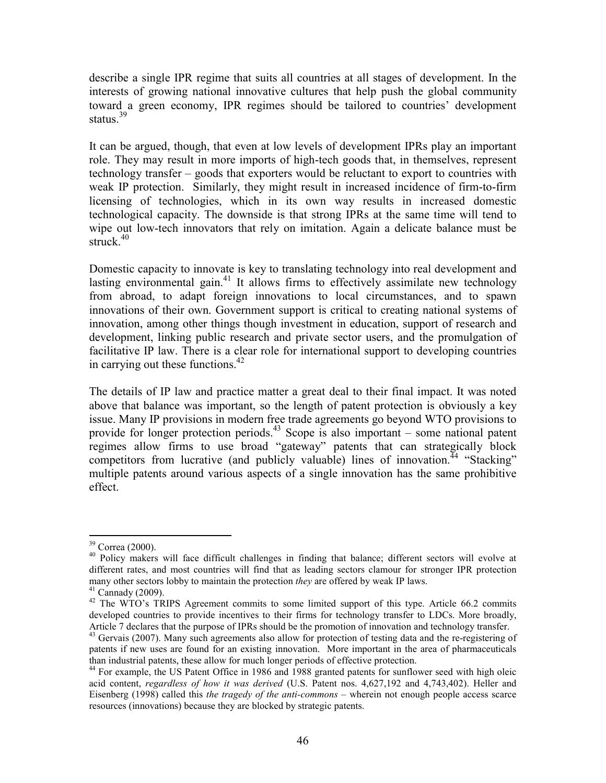describe a single IPR regime that suits all countries at all stages of development. In the interests of growing national innovative cultures that help push the global community toward a green economy, IPR regimes should be tailored to countries' development status. $39$ 

It can be argued, though, that even at low levels of development IPRs play an important role. They may result in more imports of high-tech goods that, in themselves, represent technology transfer – goods that exporters would be reluctant to export to countries with weak IP protection. Similarly, they might result in increased incidence of firm-to-firm licensing of technologies, which in its own way results in increased domestic technological capacity. The downside is that strong IPRs at the same time will tend to wipe out low-tech innovators that rely on imitation. Again a delicate balance must be struck  $40$ 

Domestic capacity to innovate is key to translating technology into real development and lasting environmental gain.<sup>41</sup> It allows firms to effectively assimilate new technology from abroad, to adapt foreign innovations to local circumstances, and to spawn innovations of their own. Government support is critical to creating national systems of innovation, among other things though investment in education, support of research and development, linking public research and private sector users, and the promulgation of facilitative IP law. There is a clear role for international support to developing countries in carrying out these functions. $42$ 

The details of IP law and practice matter a great deal to their final impact. It was noted above that balance was important, so the length of patent protection is obviously a key issue. Many IP provisions in modern free trade agreements go beyond WTO provisions to provide for longer protection periods.<sup>43</sup> Scope is also important – some national patent regimes allow firms to use broad "gateway" patents that can strategically block competitors from lucrative (and publicly valuable) lines of innovation.<sup> $44$ </sup> "Stacking" multiple patents around various aspects of a single innovation has the same prohibitive effect.

<sup>39</sup> Correa (2000).

<sup>&</sup>lt;sup>40</sup> Policy makers will face difficult challenges in finding that balance; different sectors will evolve at different rates, and most countries will find that as leading sectors clamour for stronger IPR protection many other sectors lobby to maintain the protection *they* are offered by weak IP laws.

 $41$  Cannady (2009).

<sup>&</sup>lt;sup>42</sup> The WTO's TRIPS Agreement commits to some limited support of this type. Article 66.2 commits developed countries to provide incentives to their firms for technology transfer to LDCs. More broadly, Article 7 declares that the purpose of IPRs should be the promotion of innovation and technology transfer.

<sup>&</sup>lt;sup>43</sup> Gervais (2007). Many such agreements also allow for protection of testing data and the re-registering of patents if new uses are found for an existing innovation. More important in the area of pharmaceuticals than industrial patents, these allow for much longer periods of effective protection.

<sup>&</sup>lt;sup>44</sup> For example, the US Patent Office in 1986 and 1988 granted patents for sunflower seed with high oleic acid content, *regardless of how it was derived* (U.S. Patent nos. 4,627,192 and 4,743,402). Heller and Eisenberg (1998) called this *the tragedy of the anti-commons* – wherein not enough people access scarce resources (innovations) because they are blocked by strategic patents.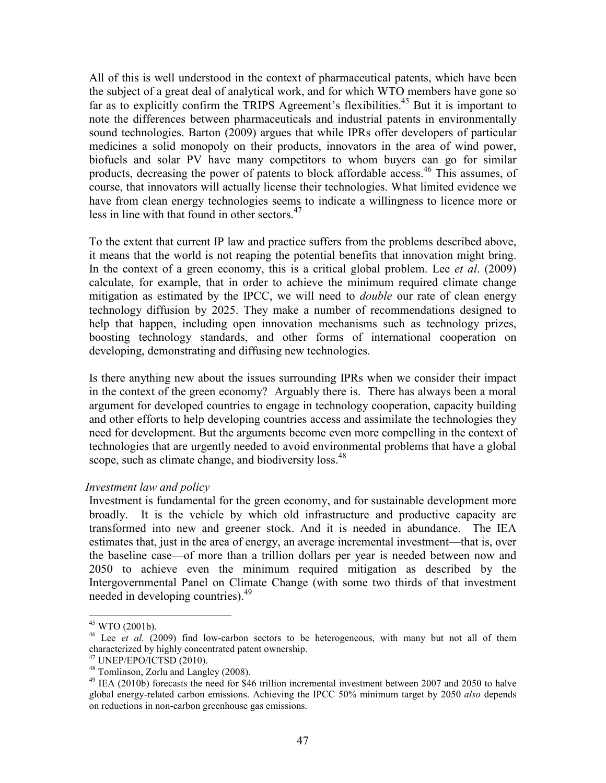All of this is well understood in the context of pharmaceutical patents, which have been the subject of a great deal of analytical work, and for which WTO members have gone so far as to explicitly confirm the TRIPS Agreement's flexibilities.<sup>45</sup> But it is important to note the differences between pharmaceuticals and industrial patents in environmentally sound technologies. Barton (2009) argues that while IPRs offer developers of particular medicines a solid monopoly on their products, innovators in the area of wind power, biofuels and solar PV have many competitors to whom buyers can go for similar products, decreasing the power of patents to block affordable access.<sup>46</sup> This assumes, of course, that innovators will actually license their technologies. What limited evidence we have from clean energy technologies seems to indicate a willingness to licence more or less in line with that found in other sectors.<sup>47</sup>

To the extent that current IP law and practice suffers from the problems described above, it means that the world is not reaping the potential benefits that innovation might bring. In the context of a green economy, this is a critical global problem. Lee *et al*. (2009) calculate, for example, that in order to achieve the minimum required climate change mitigation as estimated by the IPCC, we will need to *double* our rate of clean energy technology diffusion by 2025. They make a number of recommendations designed to help that happen, including open innovation mechanisms such as technology prizes, boosting technology standards, and other forms of international cooperation on developing, demonstrating and diffusing new technologies.

Is there anything new about the issues surrounding IPRs when we consider their impact in the context of the green economy? Arguably there is. There has always been a moral argument for developed countries to engage in technology cooperation, capacity building and other efforts to help developing countries access and assimilate the technologies they need for development. But the arguments become even more compelling in the context of technologies that are urgently needed to avoid environmental problems that have a global scope, such as climate change, and biodiversity loss.<sup>48</sup>

### *Investment law and policy*

Investment is fundamental for the green economy, and for sustainable development more broadly. It is the vehicle by which old infrastructure and productive capacity are transformed into new and greener stock. And it is needed in abundance. The IEA estimates that, just in the area of energy, an average incremental investment—that is, over the baseline case—of more than a trillion dollars per year is needed between now and 2050 to achieve even the minimum required mitigation as described by the Intergovernmental Panel on Climate Change (with some two thirds of that investment needed in developing countries).<sup>49</sup>

 $\overline{a}$  $45$  WTO (2001b).

<sup>&</sup>lt;sup>46</sup> Lee *et al.* (2009) find low-carbon sectors to be heterogeneous, with many but not all of them characterized by highly concentrated patent ownership.

 $47$  UNEP/EPO/ICTSD (2010).

<sup>48</sup> Tomlinson, Zorlu and Langley (2008).

<sup>&</sup>lt;sup>49</sup> IEA (2010b) forecasts the need for \$46 trillion incremental investment between 2007 and 2050 to halve global energy-related carbon emissions. Achieving the IPCC 50% minimum target by 2050 *also* depends on reductions in non-carbon greenhouse gas emissions.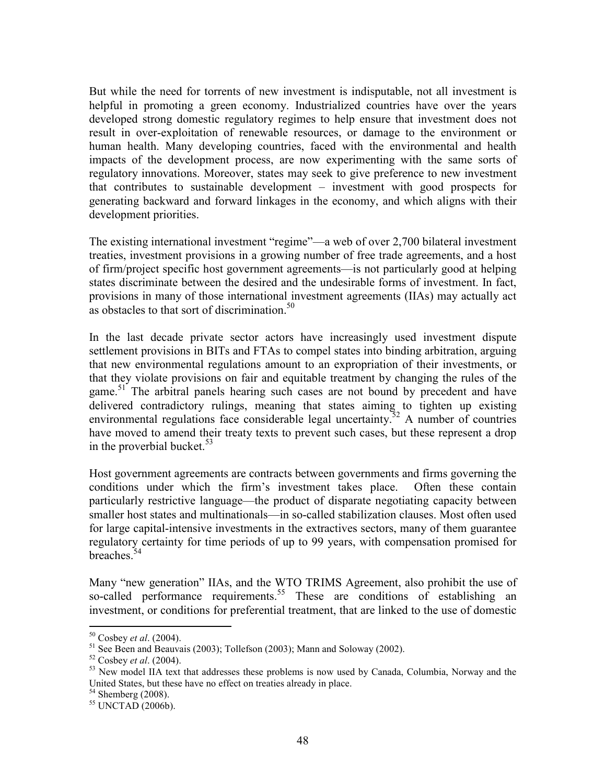But while the need for torrents of new investment is indisputable, not all investment is helpful in promoting a green economy. Industrialized countries have over the years developed strong domestic regulatory regimes to help ensure that investment does not result in over-exploitation of renewable resources, or damage to the environment or human health. Many developing countries, faced with the environmental and health impacts of the development process, are now experimenting with the same sorts of regulatory innovations. Moreover, states may seek to give preference to new investment that contributes to sustainable development – investment with good prospects for generating backward and forward linkages in the economy, and which aligns with their development priorities.

The existing international investment "regime"—a web of over 2,700 bilateral investment treaties, investment provisions in a growing number of free trade agreements, and a host of firm/project specific host government agreements—is not particularly good at helping states discriminate between the desired and the undesirable forms of investment. In fact, provisions in many of those international investment agreements (IIAs) may actually act as obstacles to that sort of discrimination.<sup>50</sup>

In the last decade private sector actors have increasingly used investment dispute settlement provisions in BITs and FTAs to compel states into binding arbitration, arguing that new environmental regulations amount to an expropriation of their investments, or that they violate provisions on fair and equitable treatment by changing the rules of the game.<sup>51</sup> The arbitral panels hearing such cases are not bound by precedent and have delivered contradictory rulings, meaning that states aiming to tighten up existing environmental regulations face considerable legal uncertainty.<sup>52</sup> A number of countries have moved to amend their treaty texts to prevent such cases, but these represent a drop in the proverbial bucket.<sup>53</sup>

Host government agreements are contracts between governments and firms governing the conditions under which the firm's investment takes place. Often these contain particularly restrictive language—the product of disparate negotiating capacity between smaller host states and multinationals—in so-called stabilization clauses. Most often used for large capital-intensive investments in the extractives sectors, many of them guarantee regulatory certainty for time periods of up to 99 years, with compensation promised for breaches.<sup>54</sup>

Many "new generation" IIAs, and the WTO TRIMS Agreement, also prohibit the use of so-called performance requirements.<sup>55</sup> These are conditions of establishing an investment, or conditions for preferential treatment, that are linked to the use of domestic

 $\overline{a}$ <sup>50</sup> Cosbey *et al*. (2004).

 $51$  See Been and Beauvais (2003); Tollefson (2003); Mann and Soloway (2002).

<sup>52</sup> Cosbey *et al*. (2004).

 $53$  New model IIA text that addresses these problems is now used by Canada, Columbia, Norway and the United States, but these have no effect on treaties already in place.

<sup>&</sup>lt;sup>54</sup> Shemberg (2008).

<sup>55</sup> UNCTAD (2006b).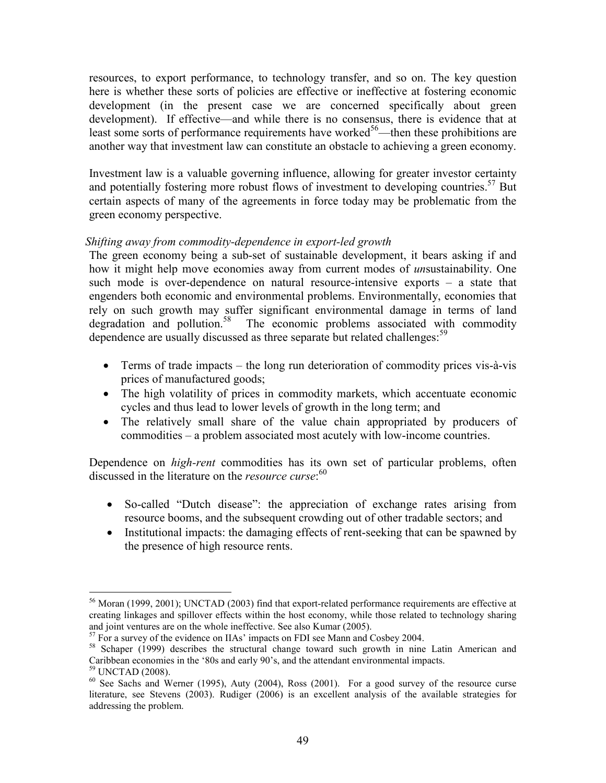resources, to export performance, to technology transfer, and so on. The key question here is whether these sorts of policies are effective or ineffective at fostering economic development (in the present case we are concerned specifically about green development). If effective—and while there is no consensus, there is evidence that at least some sorts of performance requirements have worked<sup>56</sup>—then these prohibitions are another way that investment law can constitute an obstacle to achieving a green economy.

Investment law is a valuable governing influence, allowing for greater investor certainty and potentially fostering more robust flows of investment to developing countries.<sup>57</sup> But certain aspects of many of the agreements in force today may be problematic from the green economy perspective.

## *Shifting away from commodity-dependence in export-led growth*

The green economy being a sub-set of sustainable development, it bears asking if and how it might help move economies away from current modes of *un*sustainability. One such mode is over-dependence on natural resource-intensive exports – a state that engenders both economic and environmental problems. Environmentally, economies that rely on such growth may suffer significant environmental damage in terms of land degradation and pollution.<sup>58</sup> The economic problems associated with commodity dependence are usually discussed as three separate but related challenges:<sup>59</sup>

- Terms of trade impacts the long run deterioration of commodity prices vis-à-vis prices of manufactured goods;
- The high volatility of prices in commodity markets, which accentuate economic cycles and thus lead to lower levels of growth in the long term; and
- The relatively small share of the value chain appropriated by producers of commodities – a problem associated most acutely with low-income countries.

Dependence on *high-rent* commodities has its own set of particular problems, often discussed in the literature on the *resource curse*: 60

- So-called "Dutch disease": the appreciation of exchange rates arising from resource booms, and the subsequent crowding out of other tradable sectors; and
- Institutional impacts: the damaging effects of rent-seeking that can be spawned by the presence of high resource rents.

 $\overline{a}$  $<sup>56</sup>$  Moran (1999, 2001); UNCTAD (2003) find that export-related performance requirements are effective at</sup> creating linkages and spillover effects within the host economy, while those related to technology sharing and joint ventures are on the whole ineffective. See also Kumar (2005).

<sup>&</sup>lt;sup>57</sup> For a survey of the evidence on IIAs' impacts on FDI see Mann and Cosbey 2004.

<sup>&</sup>lt;sup>58</sup> Schaper (1999) describes the structural change toward such growth in nine Latin American and Caribbean economies in the '80s and early 90's, and the attendant environmental impacts.

<sup>59</sup> UNCTAD (2008).

<sup>&</sup>lt;sup>60</sup> See Sachs and Werner (1995), Auty (2004), Ross (2001). For a good survey of the resource curse literature, see Stevens (2003). Rudiger (2006) is an excellent analysis of the available strategies for addressing the problem.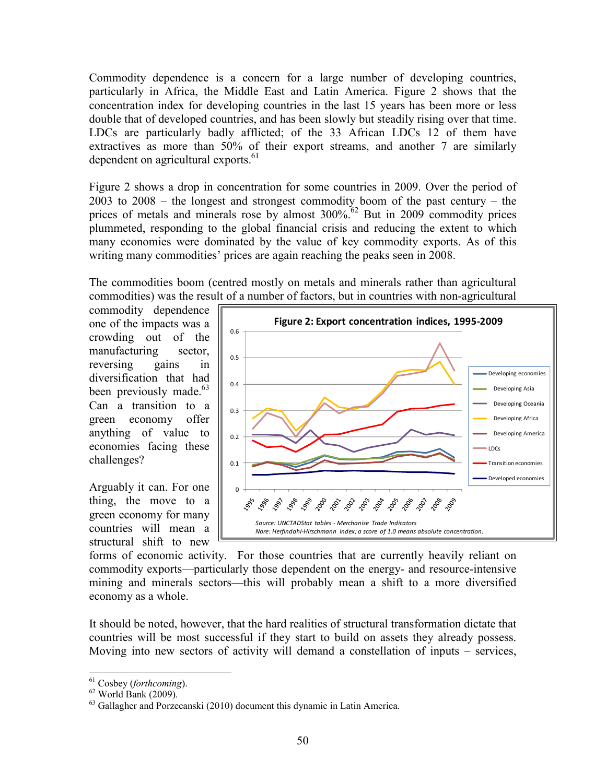Commodity dependence is a concern for a large number of developing countries, particularly in Africa, the Middle East and Latin America. Figure 2 shows that the concentration index for developing countries in the last 15 years has been more or less double that of developed countries, and has been slowly but steadily rising over that time. LDCs are particularly badly afflicted; of the 33 African LDCs 12 of them have extractives as more than 50% of their export streams, and another 7 are similarly dependent on agricultural exports.<sup>61</sup>

Figure 2 shows a drop in concentration for some countries in 2009. Over the period of 2003 to 2008 – the longest and strongest commodity boom of the past century – the prices of metals and minerals rose by almost  $300\%$ <sup>62</sup> But in 2009 commodity prices plummeted, responding to the global financial crisis and reducing the extent to which many economies were dominated by the value of key commodity exports. As of this writing many commodities' prices are again reaching the peaks seen in 2008.

The commodities boom (centred mostly on metals and minerals rather than agricultural commodities) was the result of a number of factors, but in countries with non-agricultural

commodity dependence one of the impacts was a crowding out of the manufacturing sector, reversing gains in diversification that had been previously made.<sup>63</sup> Can a transition to a green economy offer anything of value to economies facing these challenges?

Arguably it can. For one thing, the move to a green economy for many countries will mean a structural shift to new



forms of economic activity. For those countries that are currently heavily reliant on commodity exports—particularly those dependent on the energy- and resource-intensive mining and minerals sectors—this will probably mean a shift to a more diversified economy as a whole.

It should be noted, however, that the hard realities of structural transformation dictate that countries will be most successful if they start to build on assets they already possess. Moving into new sectors of activity will demand a constellation of inputs – services,

<sup>61</sup> Cosbey (*forthcoming*).

 $62$  World Bank (2009).

<sup>&</sup>lt;sup>63</sup> Gallagher and Porzecanski (2010) document this dynamic in Latin America.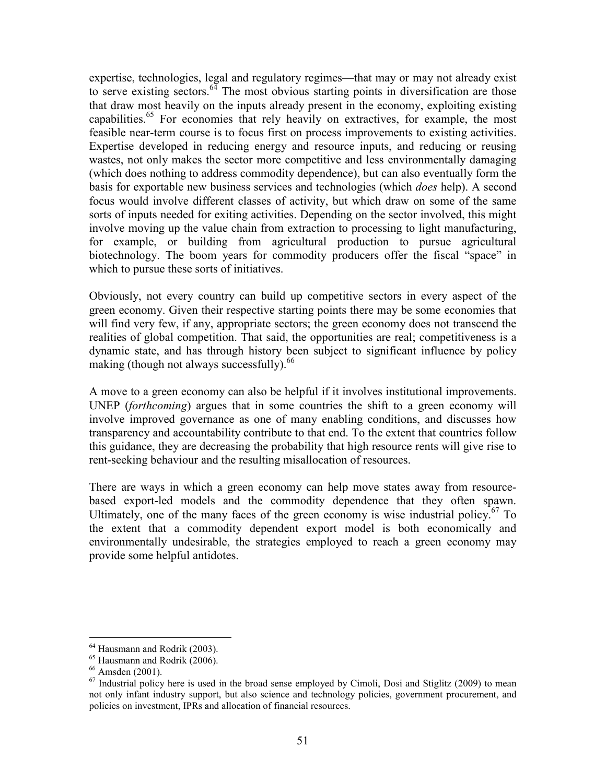expertise, technologies, legal and regulatory regimes—that may or may not already exist to serve existing sectors. $64$  The most obvious starting points in diversification are those that draw most heavily on the inputs already present in the economy, exploiting existing capabilities.<sup>65</sup> For economies that rely heavily on extractives, for example, the most feasible near-term course is to focus first on process improvements to existing activities. Expertise developed in reducing energy and resource inputs, and reducing or reusing wastes, not only makes the sector more competitive and less environmentally damaging (which does nothing to address commodity dependence), but can also eventually form the basis for exportable new business services and technologies (which *does* help). A second focus would involve different classes of activity, but which draw on some of the same sorts of inputs needed for exiting activities. Depending on the sector involved, this might involve moving up the value chain from extraction to processing to light manufacturing, for example, or building from agricultural production to pursue agricultural biotechnology. The boom years for commodity producers offer the fiscal "space" in which to pursue these sorts of initiatives.

Obviously, not every country can build up competitive sectors in every aspect of the green economy. Given their respective starting points there may be some economies that will find very few, if any, appropriate sectors; the green economy does not transcend the realities of global competition. That said, the opportunities are real; competitiveness is a dynamic state, and has through history been subject to significant influence by policy making (though not always successfully). $^{66}$ 

A move to a green economy can also be helpful if it involves institutional improvements. UNEP (*forthcoming*) argues that in some countries the shift to a green economy will involve improved governance as one of many enabling conditions, and discusses how transparency and accountability contribute to that end. To the extent that countries follow this guidance, they are decreasing the probability that high resource rents will give rise to rent-seeking behaviour and the resulting misallocation of resources.

There are ways in which a green economy can help move states away from resourcebased export-led models and the commodity dependence that they often spawn. Ultimately, one of the many faces of the green economy is wise industrial policy.<sup>67</sup> To the extent that a commodity dependent export model is both economically and environmentally undesirable, the strategies employed to reach a green economy may provide some helpful antidotes.

<sup>64</sup> Hausmann and Rodrik (2003).

 $65$  Hausmann and Rodrik (2006).

<sup>66</sup> Amsden (2001).

 $67$  Industrial policy here is used in the broad sense employed by Cimoli, Dosi and Stiglitz (2009) to mean not only infant industry support, but also science and technology policies, government procurement, and policies on investment, IPRs and allocation of financial resources.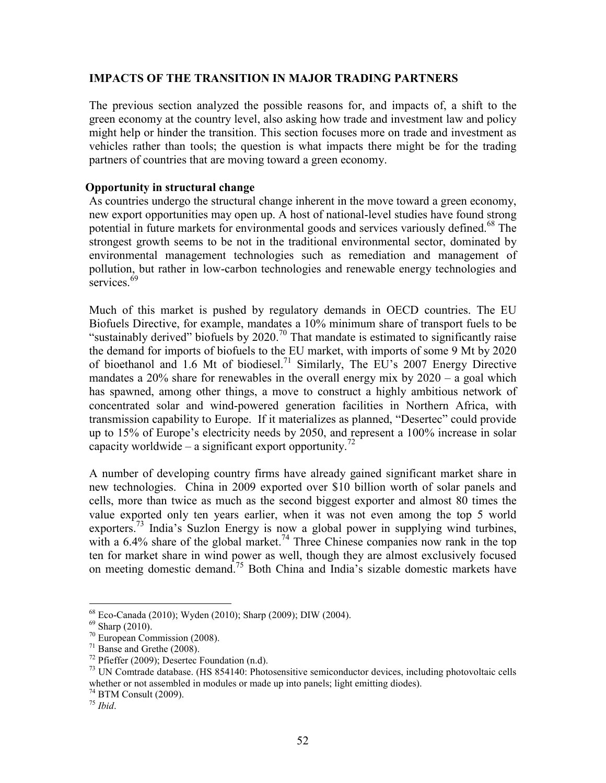### **IMPACTS OF THE TRANSITION IN MAJOR TRADING PARTNERS**

The previous section analyzed the possible reasons for, and impacts of, a shift to the green economy at the country level, also asking how trade and investment law and policy might help or hinder the transition. This section focuses more on trade and investment as vehicles rather than tools; the question is what impacts there might be for the trading partners of countries that are moving toward a green economy.

#### **Opportunity in structural change**

As countries undergo the structural change inherent in the move toward a green economy, new export opportunities may open up. A host of national-level studies have found strong potential in future markets for environmental goods and services variously defined.<sup>68</sup> The strongest growth seems to be not in the traditional environmental sector, dominated by environmental management technologies such as remediation and management of pollution, but rather in low-carbon technologies and renewable energy technologies and services.<sup>69</sup>

Much of this market is pushed by regulatory demands in OECD countries. The EU Biofuels Directive, for example, mandates a 10% minimum share of transport fuels to be "sustainably derived" biofuels by  $2020$ .<sup>70</sup> That mandate is estimated to significantly raise the demand for imports of biofuels to the EU market, with imports of some 9 Mt by 2020 of bioethanol and 1.6 Mt of biodiesel.<sup>71</sup> Similarly, The EU's 2007 Energy Directive mandates a 20% share for renewables in the overall energy mix by 2020 – a goal which has spawned, among other things, a move to construct a highly ambitious network of concentrated solar and wind-powered generation facilities in Northern Africa, with transmission capability to Europe. If it materializes as planned, "Desertec" could provide up to 15% of Europe's electricity needs by 2050, and represent a 100% increase in solar capacity worldwide – a significant export opportunity.<sup>72</sup>

A number of developing country firms have already gained significant market share in new technologies. China in 2009 exported over \$10 billion worth of solar panels and cells, more than twice as much as the second biggest exporter and almost 80 times the value exported only ten years earlier, when it was not even among the top 5 world exporters.<sup>73</sup> India's Suzlon Energy is now a global power in supplying wind turbines, with a  $6.4\%$  share of the global market.<sup>74</sup> Three Chinese companies now rank in the top ten for market share in wind power as well, though they are almost exclusively focused on meeting domestic demand.<sup>75</sup> Both China and India's sizable domestic markets have

<sup>68</sup> Eco-Canada (2010); Wyden (2010); Sharp (2009); DIW (2004).

<sup>69</sup> Sharp (2010).

 $70$  European Commission (2008).

 $71$  Banse and Grethe (2008).

 $72$  Pfieffer (2009); Desertec Foundation (n.d).

 $73$  UN Comtrade database. (HS 854140: Photosensitive semiconductor devices, including photovoltaic cells whether or not assembled in modules or made up into panels; light emitting diodes).

 $74$  BTM Consult (2009).

<sup>75</sup> *Ibid*.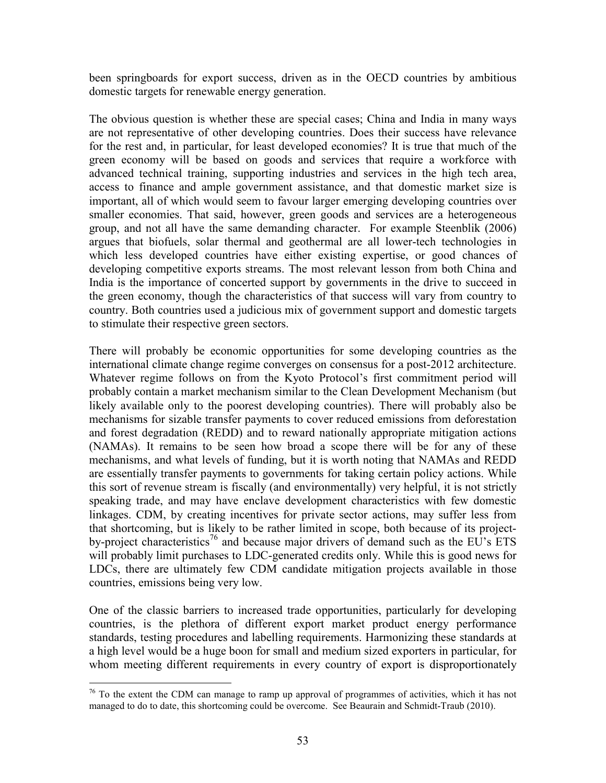been springboards for export success, driven as in the OECD countries by ambitious domestic targets for renewable energy generation.

The obvious question is whether these are special cases; China and India in many ways are not representative of other developing countries. Does their success have relevance for the rest and, in particular, for least developed economies? It is true that much of the green economy will be based on goods and services that require a workforce with advanced technical training, supporting industries and services in the high tech area, access to finance and ample government assistance, and that domestic market size is important, all of which would seem to favour larger emerging developing countries over smaller economies. That said, however, green goods and services are a heterogeneous group, and not all have the same demanding character. For example Steenblik (2006) argues that biofuels, solar thermal and geothermal are all lower-tech technologies in which less developed countries have either existing expertise, or good chances of developing competitive exports streams. The most relevant lesson from both China and India is the importance of concerted support by governments in the drive to succeed in the green economy, though the characteristics of that success will vary from country to country. Both countries used a judicious mix of government support and domestic targets to stimulate their respective green sectors.

There will probably be economic opportunities for some developing countries as the international climate change regime converges on consensus for a post-2012 architecture. Whatever regime follows on from the Kyoto Protocol's first commitment period will probably contain a market mechanism similar to the Clean Development Mechanism (but likely available only to the poorest developing countries). There will probably also be mechanisms for sizable transfer payments to cover reduced emissions from deforestation and forest degradation (REDD) and to reward nationally appropriate mitigation actions (NAMAs). It remains to be seen how broad a scope there will be for any of these mechanisms, and what levels of funding, but it is worth noting that NAMAs and REDD are essentially transfer payments to governments for taking certain policy actions. While this sort of revenue stream is fiscally (and environmentally) very helpful, it is not strictly speaking trade, and may have enclave development characteristics with few domestic linkages. CDM, by creating incentives for private sector actions, may suffer less from that shortcoming, but is likely to be rather limited in scope, both because of its projectby-project characteristics<sup>76</sup> and because major drivers of demand such as the EU's ETS will probably limit purchases to LDC-generated credits only. While this is good news for LDCs, there are ultimately few CDM candidate mitigation projects available in those countries, emissions being very low.

One of the classic barriers to increased trade opportunities, particularly for developing countries, is the plethora of different export market product energy performance standards, testing procedures and labelling requirements. Harmonizing these standards at a high level would be a huge boon for small and medium sized exporters in particular, for whom meeting different requirements in every country of export is disproportionately

 $\overline{a}$  $76$  To the extent the CDM can manage to ramp up approval of programmes of activities, which it has not managed to do to date, this shortcoming could be overcome. See Beaurain and Schmidt-Traub (2010).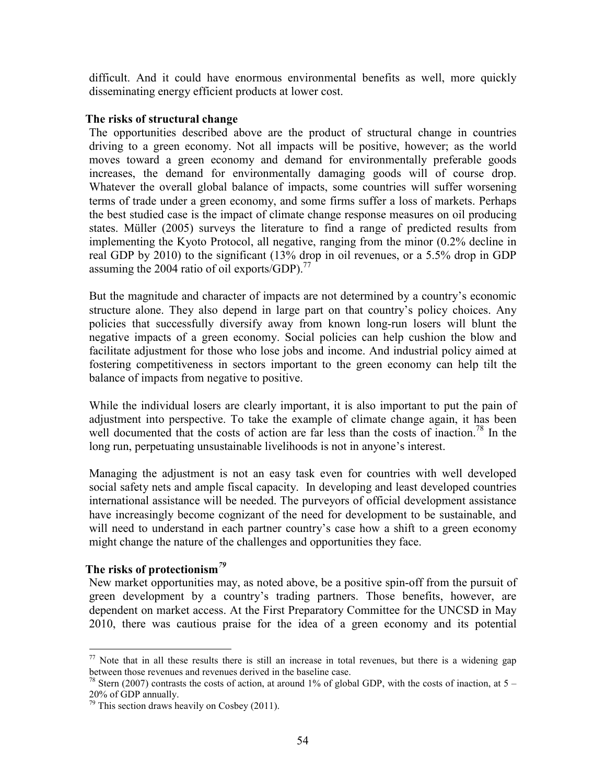difficult. And it could have enormous environmental benefits as well, more quickly disseminating energy efficient products at lower cost.

### **The risks of structural change**

The opportunities described above are the product of structural change in countries driving to a green economy. Not all impacts will be positive, however; as the world moves toward a green economy and demand for environmentally preferable goods increases, the demand for environmentally damaging goods will of course drop. Whatever the overall global balance of impacts, some countries will suffer worsening terms of trade under a green economy, and some firms suffer a loss of markets. Perhaps the best studied case is the impact of climate change response measures on oil producing states. Müller (2005) surveys the literature to find a range of predicted results from implementing the Kyoto Protocol, all negative, ranging from the minor (0.2% decline in real GDP by 2010) to the significant (13% drop in oil revenues, or a 5.5% drop in GDP assuming the 2004 ratio of oil exports/GDP).<sup>77</sup>

But the magnitude and character of impacts are not determined by a country's economic structure alone. They also depend in large part on that country's policy choices. Any policies that successfully diversify away from known long-run losers will blunt the negative impacts of a green economy. Social policies can help cushion the blow and facilitate adjustment for those who lose jobs and income. And industrial policy aimed at fostering competitiveness in sectors important to the green economy can help tilt the balance of impacts from negative to positive.

While the individual losers are clearly important, it is also important to put the pain of adjustment into perspective. To take the example of climate change again, it has been well documented that the costs of action are far less than the costs of inaction.<sup>78</sup> In the long run, perpetuating unsustainable livelihoods is not in anyone's interest.

Managing the adjustment is not an easy task even for countries with well developed social safety nets and ample fiscal capacity. In developing and least developed countries international assistance will be needed. The purveyors of official development assistance have increasingly become cognizant of the need for development to be sustainable, and will need to understand in each partner country's case how a shift to a green economy might change the nature of the challenges and opportunities they face.

### **The risks of protectionism***<sup>79</sup>*

New market opportunities may, as noted above, be a positive spin-off from the pursuit of green development by a country's trading partners. Those benefits, however, are dependent on market access. At the First Preparatory Committee for the UNCSD in May 2010, there was cautious praise for the idea of a green economy and its potential

l  $77$  Note that in all these results there is still an increase in total revenues, but there is a widening gap between those revenues and revenues derived in the baseline case.

<sup>&</sup>lt;sup>78</sup> Stern (2007) contrasts the costs of action, at around 1% of global GDP, with the costs of inaction, at  $5 -$ 20% of GDP annually.

 $79$  This section draws heavily on Cosbey (2011).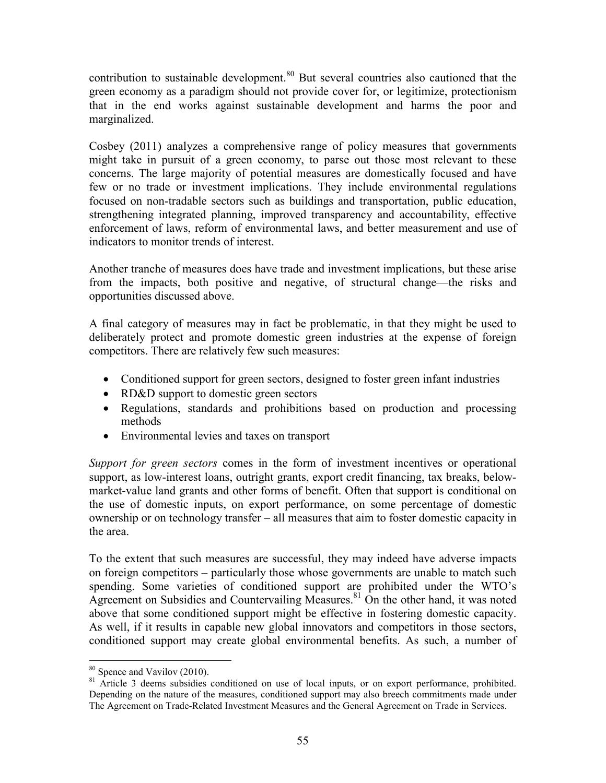contribution to sustainable development.<sup>80</sup> But several countries also cautioned that the green economy as a paradigm should not provide cover for, or legitimize, protectionism that in the end works against sustainable development and harms the poor and marginalized.

Cosbey (2011) analyzes a comprehensive range of policy measures that governments might take in pursuit of a green economy, to parse out those most relevant to these concerns. The large majority of potential measures are domestically focused and have few or no trade or investment implications. They include environmental regulations focused on non-tradable sectors such as buildings and transportation, public education, strengthening integrated planning, improved transparency and accountability, effective enforcement of laws, reform of environmental laws, and better measurement and use of indicators to monitor trends of interest.

Another tranche of measures does have trade and investment implications, but these arise from the impacts, both positive and negative, of structural change—the risks and opportunities discussed above.

A final category of measures may in fact be problematic, in that they might be used to deliberately protect and promote domestic green industries at the expense of foreign competitors. There are relatively few such measures:

- Conditioned support for green sectors, designed to foster green infant industries
- RD&D support to domestic green sectors
- Regulations, standards and prohibitions based on production and processing methods
- Environmental levies and taxes on transport

*Support for green sectors* comes in the form of investment incentives or operational support, as low-interest loans, outright grants, export credit financing, tax breaks, belowmarket-value land grants and other forms of benefit. Often that support is conditional on the use of domestic inputs, on export performance, on some percentage of domestic ownership or on technology transfer – all measures that aim to foster domestic capacity in the area.

To the extent that such measures are successful, they may indeed have adverse impacts on foreign competitors – particularly those whose governments are unable to match such spending. Some varieties of conditioned support are prohibited under the WTO's Agreement on Subsidies and Countervailing Measures.<sup>81</sup> On the other hand, it was noted above that some conditioned support might be effective in fostering domestic capacity. As well, if it results in capable new global innovators and competitors in those sectors, conditioned support may create global environmental benefits. As such, a number of

 $\overline{a}$ <sup>80</sup> Spence and Vavilov (2010).

<sup>&</sup>lt;sup>81</sup> Article 3 deems subsidies conditioned on use of local inputs, or on export performance, prohibited. Depending on the nature of the measures, conditioned support may also breech commitments made under The Agreement on Trade-Related Investment Measures and the General Agreement on Trade in Services.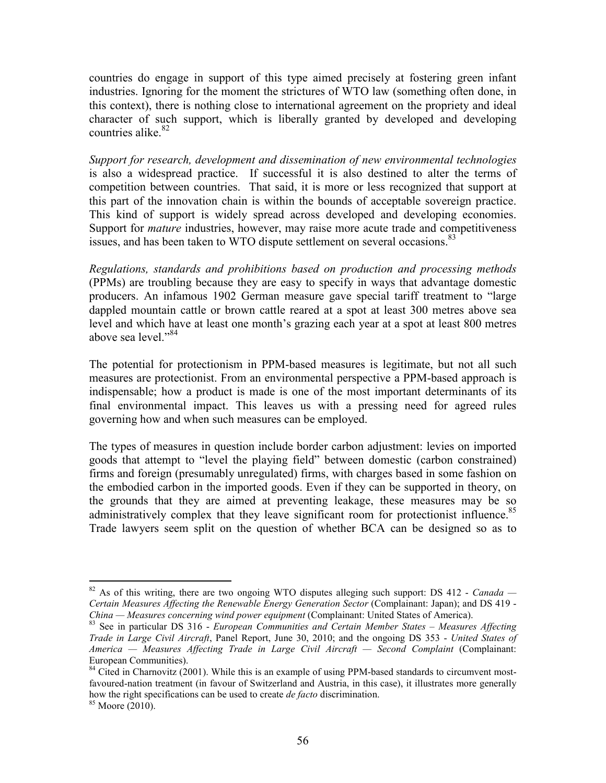countries do engage in support of this type aimed precisely at fostering green infant industries. Ignoring for the moment the strictures of WTO law (something often done, in this context), there is nothing close to international agreement on the propriety and ideal character of such support, which is liberally granted by developed and developing countries alike.<sup>82</sup>

*Support for research, development and dissemination of new environmental technologies* is also a widespread practice. If successful it is also destined to alter the terms of competition between countries. That said, it is more or less recognized that support at this part of the innovation chain is within the bounds of acceptable sovereign practice. This kind of support is widely spread across developed and developing economies. Support for *mature* industries, however, may raise more acute trade and competitiveness issues, and has been taken to WTO dispute settlement on several occasions.<sup>83</sup>

*Regulations, standards and prohibitions based on production and processing methods*  (PPMs) are troubling because they are easy to specify in ways that advantage domestic producers. An infamous 1902 German measure gave special tariff treatment to "large dappled mountain cattle or brown cattle reared at a spot at least 300 metres above sea level and which have at least one month's grazing each year at a spot at least 800 metres above sea level<sup>"84</sup>

The potential for protectionism in PPM-based measures is legitimate, but not all such measures are protectionist. From an environmental perspective a PPM-based approach is indispensable; how a product is made is one of the most important determinants of its final environmental impact. This leaves us with a pressing need for agreed rules governing how and when such measures can be employed.

The types of measures in question include border carbon adjustment: levies on imported goods that attempt to "level the playing field" between domestic (carbon constrained) firms and foreign (presumably unregulated) firms, with charges based in some fashion on the embodied carbon in the imported goods. Even if they can be supported in theory, on the grounds that they are aimed at preventing leakage, these measures may be so administratively complex that they leave significant room for protectionist influence.<sup>85</sup> Trade lawyers seem split on the question of whether BCA can be designed so as to

l

 $82$  As of this writing, there are two ongoing WTO disputes alleging such support: DS 412 - *Canada — Certain Measures Affecting the Renewable Energy Generation Sector* (Complainant: Japan); and DS 419 - *China — Measures concerning wind power equipment* (Complainant: United States of America).

<sup>83</sup> See in particular DS 316 - *European Communities and Certain Member States – Measures Affecting Trade in Large Civil Aircraft*, Panel Report, June 30, 2010; and the ongoing DS 353 - *United States of America — Measures Affecting Trade in Large Civil Aircraft — Second Complaint* (Complainant: European Communities).

<sup>&</sup>lt;sup>84</sup> Cited in Charnovitz (2001). While this is an example of using PPM-based standards to circumvent mostfavoured-nation treatment (in favour of Switzerland and Austria, in this case), it illustrates more generally how the right specifications can be used to create *de facto* discrimination.

 $85$  Moore (2010).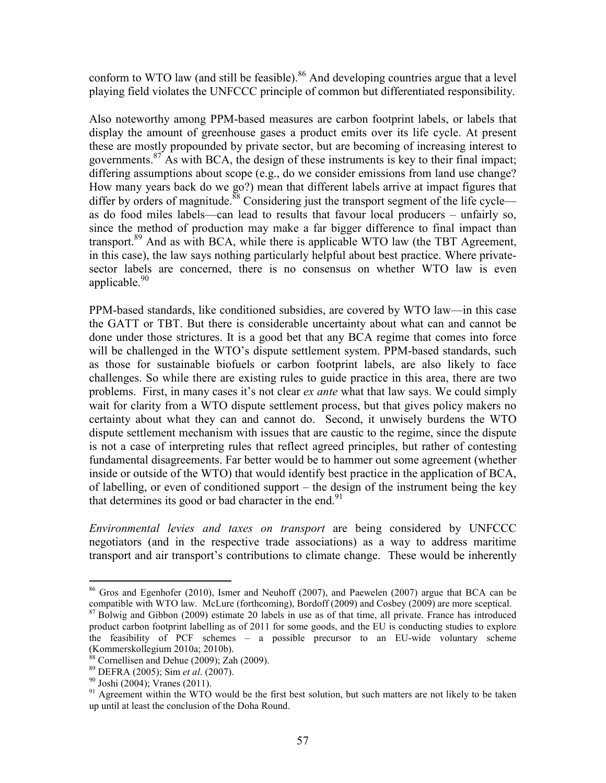conform to WTO law (and still be feasible).<sup>86</sup> And developing countries argue that a level playing field violates the UNFCCC principle of common but differentiated responsibility.

Also noteworthy among PPM-based measures are carbon footprint labels, or labels that display the amount of greenhouse gases a product emits over its life cycle. At present these are mostly propounded by private sector, but are becoming of increasing interest to governments. $87$  As with BCA, the design of these instruments is key to their final impact; differing assumptions about scope (e.g., do we consider emissions from land use change? How many years back do we go?) mean that different labels arrive at impact figures that differ by orders of magnitude.<sup>88</sup> Considering just the transport segment of the life cycle as do food miles labels—can lead to results that favour local producers – unfairly so, since the method of production may make a far bigger difference to final impact than transport.<sup>89</sup> And as with BCA, while there is applicable WTO law (the TBT Agreement, in this case), the law says nothing particularly helpful about best practice. Where privatesector labels are concerned, there is no consensus on whether WTO law is even applicable.  $90<sup>90</sup>$ 

PPM-based standards, like conditioned subsidies, are covered by WTO law—in this case the GATT or TBT. But there is considerable uncertainty about what can and cannot be done under those strictures. It is a good bet that any BCA regime that comes into force will be challenged in the WTO's dispute settlement system. PPM-based standards, such as those for sustainable biofuels or carbon footprint labels, are also likely to face challenges. So while there are existing rules to guide practice in this area, there are two problems. First, in many cases it's not clear *ex ante* what that law says. We could simply wait for clarity from a WTO dispute settlement process, but that gives policy makers no certainty about what they can and cannot do. Second, it unwisely burdens the WTO dispute settlement mechanism with issues that are caustic to the regime, since the dispute is not a case of interpreting rules that reflect agreed principles, but rather of contesting fundamental disagreements. Far better would be to hammer out some agreement (whether inside or outside of the WTO) that would identify best practice in the application of BCA, of labelling, or even of conditioned support – the design of the instrument being the key that determines its good or bad character in the end.<sup>91</sup>

*Environmental levies and taxes on transport* are being considered by UNFCCC negotiators (and in the respective trade associations) as a way to address maritime transport and air transport's contributions to climate change. These would be inherently

l <sup>86</sup> Gros and Egenhofer (2010), Ismer and Neuhoff (2007), and Paewelen (2007) argue that BCA can be compatible with WTO law. McLure (forthcoming), Bordoff (2009) and Cosbey (2009) are more sceptical.

 $87$  Bolwig and Gibbon (2009) estimate 20 labels in use as of that time, all private. France has introduced product carbon footprint labelling as of 2011 for some goods, and the EU is conducting studies to explore the feasibility of PCF schemes – a possible precursor to an EU-wide voluntary scheme (Kommerskollegium 2010a; 2010b).

 $88$  Cornellisen and Dehue (2009); Zah (2009).

<sup>89</sup> DEFRA (2005); Sim *et al*. (2007).

<sup>90</sup> Joshi (2004); Vranes (2011).

 $91$  Agreement within the WTO would be the first best solution, but such matters are not likely to be taken up until at least the conclusion of the Doha Round.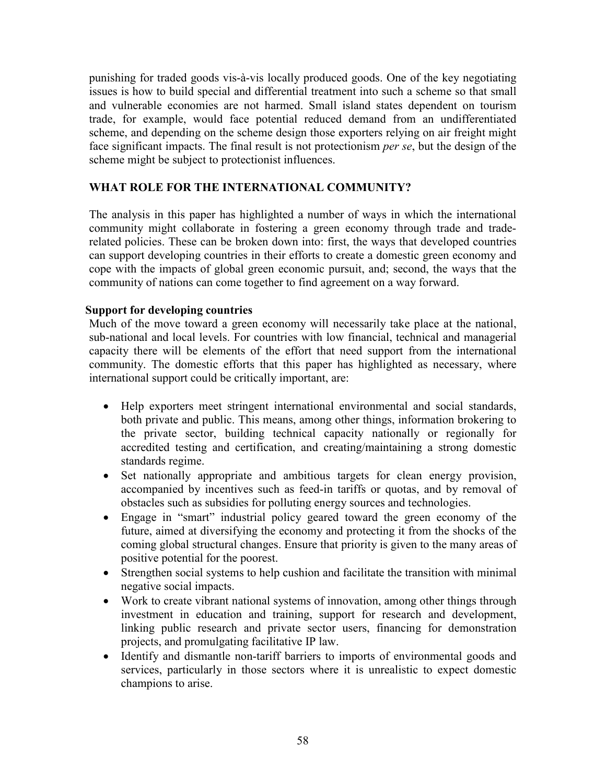punishing for traded goods vis-à-vis locally produced goods. One of the key negotiating issues is how to build special and differential treatment into such a scheme so that small and vulnerable economies are not harmed. Small island states dependent on tourism trade, for example, would face potential reduced demand from an undifferentiated scheme, and depending on the scheme design those exporters relying on air freight might face significant impacts. The final result is not protectionism *per se*, but the design of the scheme might be subject to protectionist influences.

# **WHAT ROLE FOR THE INTERNATIONAL COMMUNITY?**

The analysis in this paper has highlighted a number of ways in which the international community might collaborate in fostering a green economy through trade and traderelated policies. These can be broken down into: first, the ways that developed countries can support developing countries in their efforts to create a domestic green economy and cope with the impacts of global green economic pursuit, and; second, the ways that the community of nations can come together to find agreement on a way forward.

## **Support for developing countries**

Much of the move toward a green economy will necessarily take place at the national, sub-national and local levels. For countries with low financial, technical and managerial capacity there will be elements of the effort that need support from the international community. The domestic efforts that this paper has highlighted as necessary, where international support could be critically important, are:

- Help exporters meet stringent international environmental and social standards, both private and public. This means, among other things, information brokering to the private sector, building technical capacity nationally or regionally for accredited testing and certification, and creating/maintaining a strong domestic standards regime.
- Set nationally appropriate and ambitious targets for clean energy provision, accompanied by incentives such as feed-in tariffs or quotas, and by removal of obstacles such as subsidies for polluting energy sources and technologies.
- Engage in "smart" industrial policy geared toward the green economy of the future, aimed at diversifying the economy and protecting it from the shocks of the coming global structural changes. Ensure that priority is given to the many areas of positive potential for the poorest.
- Strengthen social systems to help cushion and facilitate the transition with minimal negative social impacts.
- Work to create vibrant national systems of innovation, among other things through investment in education and training, support for research and development, linking public research and private sector users, financing for demonstration projects, and promulgating facilitative IP law.
- Identify and dismantle non-tariff barriers to imports of environmental goods and services, particularly in those sectors where it is unrealistic to expect domestic champions to arise.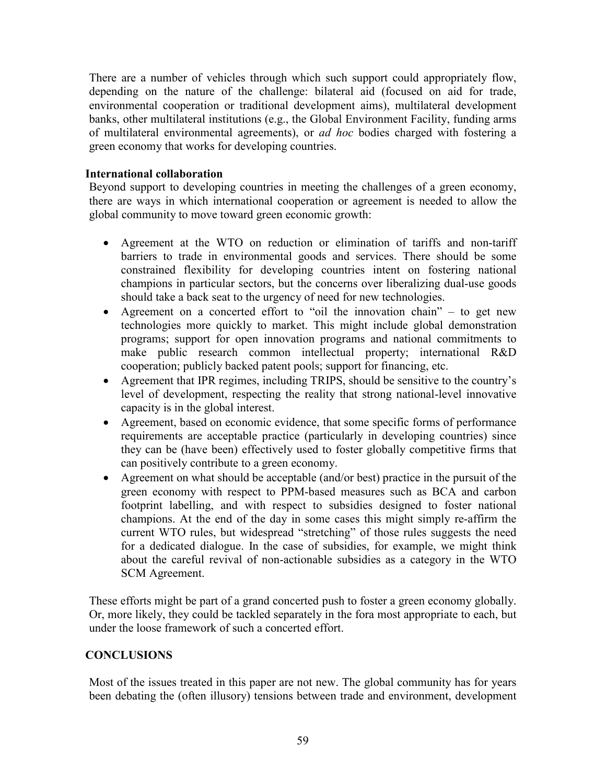There are a number of vehicles through which such support could appropriately flow, depending on the nature of the challenge: bilateral aid (focused on aid for trade, environmental cooperation or traditional development aims), multilateral development banks, other multilateral institutions (e.g., the Global Environment Facility, funding arms of multilateral environmental agreements), or *ad hoc* bodies charged with fostering a green economy that works for developing countries.

## **International collaboration**

Beyond support to developing countries in meeting the challenges of a green economy, there are ways in which international cooperation or agreement is needed to allow the global community to move toward green economic growth:

- Agreement at the WTO on reduction or elimination of tariffs and non-tariff barriers to trade in environmental goods and services. There should be some constrained flexibility for developing countries intent on fostering national champions in particular sectors, but the concerns over liberalizing dual-use goods should take a back seat to the urgency of need for new technologies.
- Agreement on a concerted effort to "oil the innovation chain" to get new technologies more quickly to market. This might include global demonstration programs; support for open innovation programs and national commitments to make public research common intellectual property; international R&D cooperation; publicly backed patent pools; support for financing, etc.
- Agreement that IPR regimes, including TRIPS, should be sensitive to the country's level of development, respecting the reality that strong national-level innovative capacity is in the global interest.
- Agreement, based on economic evidence, that some specific forms of performance requirements are acceptable practice (particularly in developing countries) since they can be (have been) effectively used to foster globally competitive firms that can positively contribute to a green economy.
- Agreement on what should be acceptable (and/or best) practice in the pursuit of the green economy with respect to PPM-based measures such as BCA and carbon footprint labelling, and with respect to subsidies designed to foster national champions. At the end of the day in some cases this might simply re-affirm the current WTO rules, but widespread "stretching" of those rules suggests the need for a dedicated dialogue. In the case of subsidies, for example, we might think about the careful revival of non-actionable subsidies as a category in the WTO SCM Agreement.

These efforts might be part of a grand concerted push to foster a green economy globally. Or, more likely, they could be tackled separately in the fora most appropriate to each, but under the loose framework of such a concerted effort.

### **CONCLUSIONS**

Most of the issues treated in this paper are not new. The global community has for years been debating the (often illusory) tensions between trade and environment, development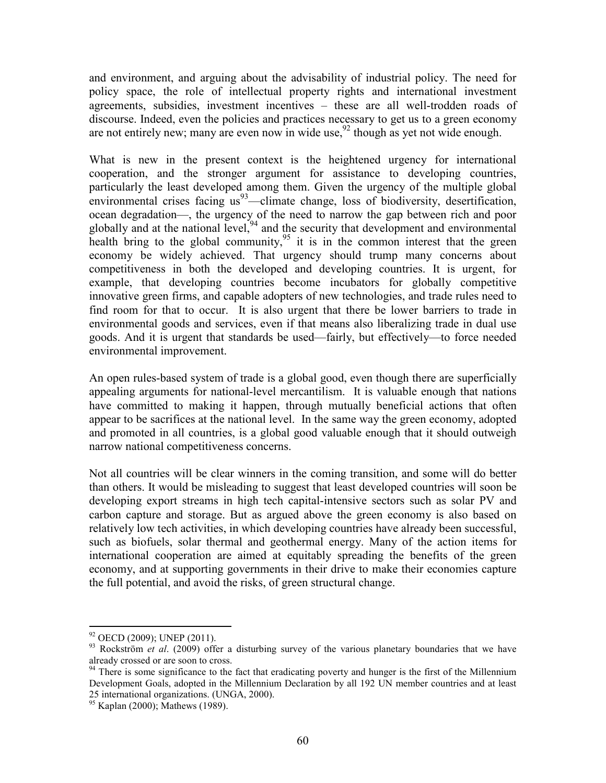and environment, and arguing about the advisability of industrial policy. The need for policy space, the role of intellectual property rights and international investment agreements, subsidies, investment incentives – these are all well-trodden roads of discourse. Indeed, even the policies and practices necessary to get us to a green economy are not entirely new; many are even now in wide use,  $^{92}$  though as yet not wide enough.

What is new in the present context is the heightened urgency for international cooperation, and the stronger argument for assistance to developing countries, particularly the least developed among them. Given the urgency of the multiple global environmental crises facing  $us^{93}$ —climate change, loss of biodiversity, desertification, ocean degradation—, the urgency of the need to narrow the gap between rich and poor globally and at the national level,  $94$  and the security that development and environmental health bring to the global community,  $95$  it is in the common interest that the green economy be widely achieved. That urgency should trump many concerns about competitiveness in both the developed and developing countries. It is urgent, for example, that developing countries become incubators for globally competitive innovative green firms, and capable adopters of new technologies, and trade rules need to find room for that to occur. It is also urgent that there be lower barriers to trade in environmental goods and services, even if that means also liberalizing trade in dual use goods. And it is urgent that standards be used—fairly, but effectively—to force needed environmental improvement.

An open rules-based system of trade is a global good, even though there are superficially appealing arguments for national-level mercantilism. It is valuable enough that nations have committed to making it happen, through mutually beneficial actions that often appear to be sacrifices at the national level. In the same way the green economy, adopted and promoted in all countries, is a global good valuable enough that it should outweigh narrow national competitiveness concerns.

Not all countries will be clear winners in the coming transition, and some will do better than others. It would be misleading to suggest that least developed countries will soon be developing export streams in high tech capital-intensive sectors such as solar PV and carbon capture and storage. But as argued above the green economy is also based on relatively low tech activities, in which developing countries have already been successful, such as biofuels, solar thermal and geothermal energy. Many of the action items for international cooperation are aimed at equitably spreading the benefits of the green economy, and at supporting governments in their drive to make their economies capture the full potential, and avoid the risks, of green structural change.

 $92$  OECD (2009); UNEP (2011).

<sup>&</sup>lt;sup>93</sup> Rockström *et al.* (2009) offer a disturbing survey of the various planetary boundaries that we have already crossed or are soon to cross.

<sup>&</sup>lt;sup>94</sup> There is some significance to the fact that eradicating poverty and hunger is the first of the Millennium Development Goals, adopted in the Millennium Declaration by all 192 UN member countries and at least 25 international organizations. (UNGA, 2000).

<sup>&</sup>lt;sup>95</sup> Kaplan (2000); Mathews (1989).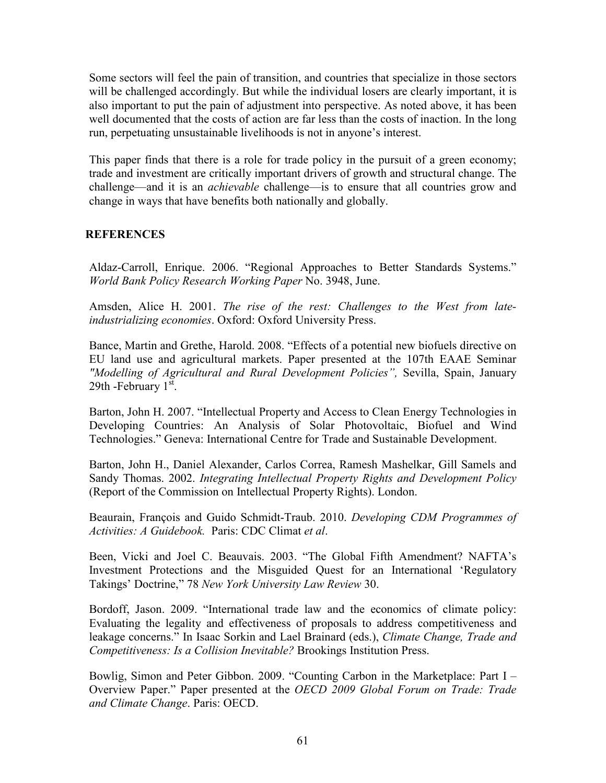Some sectors will feel the pain of transition, and countries that specialize in those sectors will be challenged accordingly. But while the individual losers are clearly important, it is also important to put the pain of adjustment into perspective. As noted above, it has been well documented that the costs of action are far less than the costs of inaction. In the long run, perpetuating unsustainable livelihoods is not in anyone's interest.

This paper finds that there is a role for trade policy in the pursuit of a green economy; trade and investment are critically important drivers of growth and structural change. The challenge—and it is an *achievable* challenge—is to ensure that all countries grow and change in ways that have benefits both nationally and globally.

## **REFERENCES**

Aldaz-Carroll, Enrique. 2006. "Regional Approaches to Better Standards Systems." *World Bank Policy Research Working Paper* No. 3948, June.

Amsden, Alice H. 2001. *The rise of the rest: Challenges to the West from lateindustrializing economies*. Oxford: Oxford University Press.

Bance, Martin and Grethe, Harold. 2008. "Effects of a potential new biofuels directive on EU land use and agricultural markets. Paper presented at the 107th EAAE Seminar *"Modelling of Agricultural and Rural Development Policies",* Sevilla, Spain, January 29th -February  $1^{\overline{st}}$ .

Barton, John H. 2007. "Intellectual Property and Access to Clean Energy Technologies in Developing Countries: An Analysis of Solar Photovoltaic, Biofuel and Wind Technologies." Geneva: International Centre for Trade and Sustainable Development.

Barton, John H., Daniel Alexander, Carlos Correa, Ramesh Mashelkar, Gill Samels and Sandy Thomas. 2002. *Integrating Intellectual Property Rights and Development Policy* (Report of the Commission on Intellectual Property Rights). London.

Beaurain, François and Guido Schmidt-Traub. 2010. *Developing CDM Programmes of Activities: A Guidebook.* Paris: CDC Climat *et al*.

Been, Vicki and Joel C. Beauvais. 2003. "The Global Fifth Amendment? NAFTA's Investment Protections and the Misguided Quest for an International 'Regulatory Takings' Doctrine," 78 *New York University Law Review* 30.

Bordoff, Jason. 2009. "International trade law and the economics of climate policy: Evaluating the legality and effectiveness of proposals to address competitiveness and leakage concerns." In Isaac Sorkin and Lael Brainard (eds.), *Climate Change, Trade and Competitiveness: Is a Collision Inevitable?* Brookings Institution Press.

Bowlig, Simon and Peter Gibbon. 2009. "Counting Carbon in the Marketplace: Part I – Overview Paper." Paper presented at the *OECD 2009 Global Forum on Trade: Trade and Climate Change*. Paris: OECD.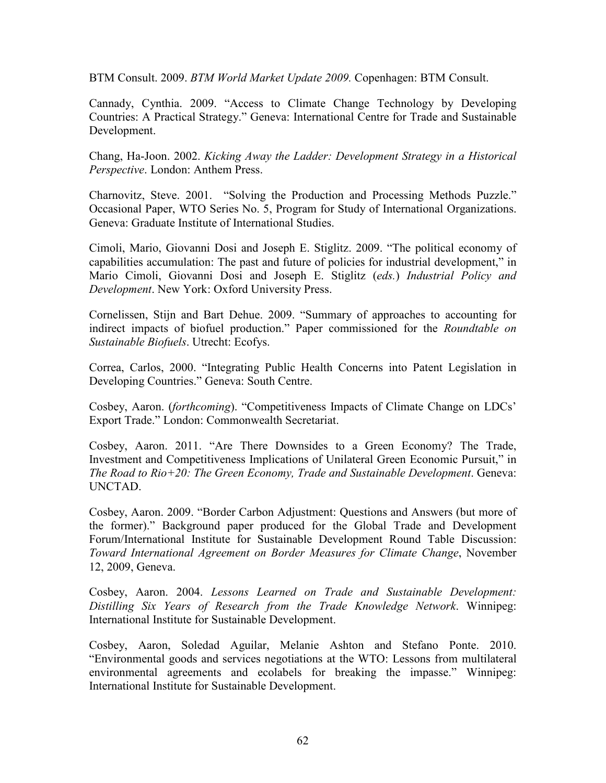BTM Consult. 2009. *BTM World Market Update 2009.* Copenhagen: BTM Consult.

Cannady, Cynthia. 2009. "Access to Climate Change Technology by Developing Countries: A Practical Strategy." Geneva: International Centre for Trade and Sustainable Development.

Chang, Ha-Joon. 2002. *Kicking Away the Ladder: Development Strategy in a Historical Perspective*. London: Anthem Press.

Charnovitz, Steve. 2001. "Solving the Production and Processing Methods Puzzle." Occasional Paper, WTO Series No. 5, Program for Study of International Organizations. Geneva: Graduate Institute of International Studies.

Cimoli, Mario, Giovanni Dosi and Joseph E. Stiglitz. 2009. "The political economy of capabilities accumulation: The past and future of policies for industrial development," in Mario Cimoli, Giovanni Dosi and Joseph E. Stiglitz (*eds.*) *Industrial Policy and Development*. New York: Oxford University Press.

Cornelissen, Stijn and Bart Dehue. 2009. "Summary of approaches to accounting for indirect impacts of biofuel production." Paper commissioned for the *Roundtable on Sustainable Biofuels*. Utrecht: Ecofys.

Correa, Carlos, 2000. "Integrating Public Health Concerns into Patent Legislation in Developing Countries." Geneva: South Centre.

Cosbey, Aaron. (*forthcoming*). "Competitiveness Impacts of Climate Change on LDCs' Export Trade." London: Commonwealth Secretariat.

Cosbey, Aaron. 2011. "Are There Downsides to a Green Economy? The Trade, Investment and Competitiveness Implications of Unilateral Green Economic Pursuit," in *The Road to Rio+20: The Green Economy, Trade and Sustainable Development*. Geneva: UNCTAD.

Cosbey, Aaron. 2009. "Border Carbon Adjustment: Questions and Answers (but more of the former)." Background paper produced for the Global Trade and Development Forum/International Institute for Sustainable Development Round Table Discussion: *Toward International Agreement on Border Measures for Climate Change*, November 12, 2009, Geneva.

Cosbey, Aaron. 2004. *Lessons Learned on Trade and Sustainable Development: Distilling Six Years of Research from the Trade Knowledge Network*. Winnipeg: International Institute for Sustainable Development.

Cosbey, Aaron, Soledad Aguilar, Melanie Ashton and Stefano Ponte. 2010. "Environmental goods and services negotiations at the WTO: Lessons from multilateral environmental agreements and ecolabels for breaking the impasse." Winnipeg: International Institute for Sustainable Development.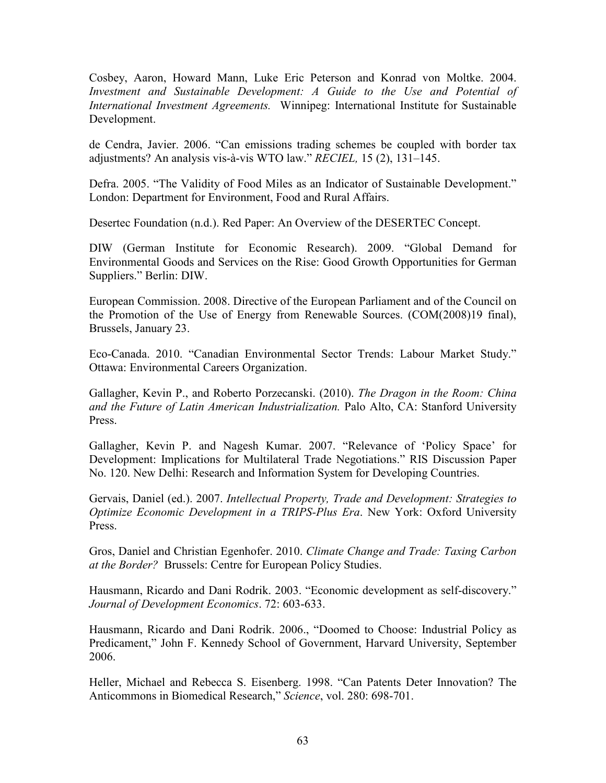Cosbey, Aaron, Howard Mann, Luke Eric Peterson and Konrad von Moltke. 2004. *Investment and Sustainable Development: A Guide to the Use and Potential of International Investment Agreements.* Winnipeg: International Institute for Sustainable Development.

de Cendra, Javier. 2006. "Can emissions trading schemes be coupled with border tax adjustments? An analysis vis-à-vis WTO law." *RECIEL,* 15 (2), 131–145.

Defra. 2005. "The Validity of Food Miles as an Indicator of Sustainable Development." London: Department for Environment, Food and Rural Affairs.

Desertec Foundation (n.d.). Red Paper: An Overview of the DESERTEC Concept.

DIW (German Institute for Economic Research). 2009. "Global Demand for Environmental Goods and Services on the Rise: Good Growth Opportunities for German Suppliers." Berlin: DIW.

European Commission. 2008. Directive of the European Parliament and of the Council on the Promotion of the Use of Energy from Renewable Sources. (COM(2008)19 final), Brussels, January 23.

Eco-Canada. 2010. "Canadian Environmental Sector Trends: Labour Market Study." Ottawa: Environmental Careers Organization.

Gallagher, Kevin P., and Roberto Porzecanski. (2010). *The Dragon in the Room: China and the Future of Latin American Industrialization.* Palo Alto, CA: Stanford University Press.

Gallagher, Kevin P. and Nagesh Kumar. 2007. "Relevance of 'Policy Space' for Development: Implications for Multilateral Trade Negotiations." RIS Discussion Paper No. 120. New Delhi: Research and Information System for Developing Countries.

Gervais, Daniel (ed.). 2007. *Intellectual Property, Trade and Development: Strategies to Optimize Economic Development in a TRIPS-Plus Era*. New York: Oxford University Press.

Gros, Daniel and Christian Egenhofer. 2010. *Climate Change and Trade: Taxing Carbon at the Border?* Brussels: Centre for European Policy Studies.

Hausmann, Ricardo and Dani Rodrik. 2003. "Economic development as self-discovery." *Journal of Development Economics*. 72: 603-633.

Hausmann, Ricardo and Dani Rodrik. 2006., "Doomed to Choose: Industrial Policy as Predicament," John F. Kennedy School of Government, Harvard University, September 2006.

Heller, Michael and Rebecca S. Eisenberg. 1998. "Can Patents Deter Innovation? The Anticommons in Biomedical Research," *Science*, vol. 280: 698-701.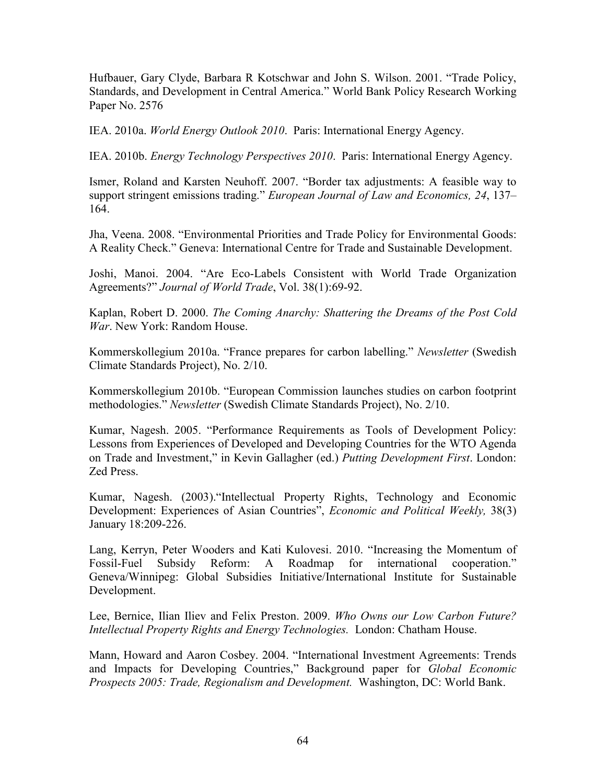Hufbauer, Gary Clyde, Barbara R Kotschwar and John S. Wilson. 2001. "Trade Policy, Standards, and Development in Central America." World Bank Policy Research Working Paper No. 2576

IEA. 2010a. *World Energy Outlook 2010*. Paris: International Energy Agency.

IEA. 2010b. *Energy Technology Perspectives 2010*. Paris: International Energy Agency.

Ismer, Roland and Karsten Neuhoff. 2007. "Border tax adjustments: A feasible way to support stringent emissions trading." *European Journal of Law and Economics, 24*, 137– 164.

Jha, Veena. 2008. "Environmental Priorities and Trade Policy for Environmental Goods: A Reality Check." Geneva: International Centre for Trade and Sustainable Development.

Joshi, Manoi. 2004. "Are Eco-Labels Consistent with World Trade Organization Agreements?" *Journal of World Trade*, Vol. 38(1):69-92.

Kaplan, Robert D. 2000. *The Coming Anarchy: Shattering the Dreams of the Post Cold War*. New York: Random House.

Kommerskollegium 2010a. "France prepares for carbon labelling." *Newsletter* (Swedish Climate Standards Project), No. 2/10.

Kommerskollegium 2010b. "European Commission launches studies on carbon footprint methodologies." *Newsletter* (Swedish Climate Standards Project), No. 2/10.

Kumar, Nagesh. 2005. "Performance Requirements as Tools of Development Policy: Lessons from Experiences of Developed and Developing Countries for the WTO Agenda on Trade and Investment," in Kevin Gallagher (ed.) *Putting Development First*. London: Zed Press.

Kumar, Nagesh. (2003)."Intellectual Property Rights, Technology and Economic Development: Experiences of Asian Countries", *Economic and Political Weekly,* 38(3) January 18:209-226.

Lang, Kerryn, Peter Wooders and Kati Kulovesi. 2010. "Increasing the Momentum of Fossil-Fuel Subsidy Reform: A Roadmap for international cooperation." Geneva/Winnipeg: Global Subsidies Initiative/International Institute for Sustainable Development.

Lee, Bernice, Ilian Iliev and Felix Preston. 2009. *Who Owns our Low Carbon Future? Intellectual Property Rights and Energy Technologies.* London: Chatham House.

Mann, Howard and Aaron Cosbey. 2004. "International Investment Agreements: Trends and Impacts for Developing Countries," Background paper for *Global Economic Prospects 2005: Trade, Regionalism and Development.* Washington, DC: World Bank.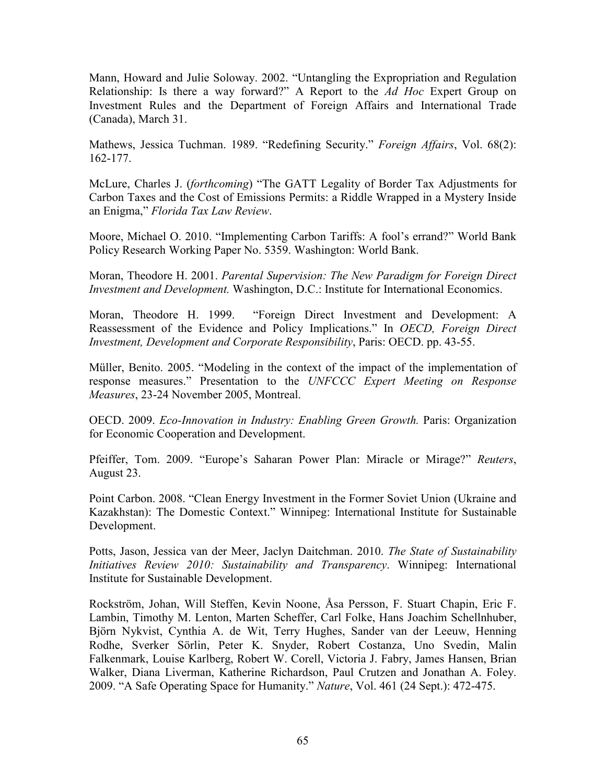Mann, Howard and Julie Soloway. 2002. "Untangling the Expropriation and Regulation Relationship: Is there a way forward?" A Report to the *Ad Hoc* Expert Group on Investment Rules and the Department of Foreign Affairs and International Trade (Canada), March 31.

Mathews, Jessica Tuchman. 1989. "Redefining Security." *Foreign Affairs*, Vol. 68(2): 162-177.

McLure, Charles J. (*forthcoming*) "The GATT Legality of Border Tax Adjustments for Carbon Taxes and the Cost of Emissions Permits: a Riddle Wrapped in a Mystery Inside an Enigma," *Florida Tax Law Review*.

Moore, Michael O. 2010. "Implementing Carbon Tariffs: A fool's errand?" World Bank Policy Research Working Paper No. 5359. Washington: World Bank.

Moran, Theodore H. 2001. *Parental Supervision: The New Paradigm for Foreign Direct Investment and Development.* Washington, D.C.: Institute for International Economics.

Moran, Theodore H. 1999. "Foreign Direct Investment and Development: A Reassessment of the Evidence and Policy Implications." In *OECD, Foreign Direct Investment, Development and Corporate Responsibility*, Paris: OECD. pp. 43-55.

Müller, Benito. 2005. "Modeling in the context of the impact of the implementation of response measures." Presentation to the *UNFCCC Expert Meeting on Response Measures*, 23-24 November 2005, Montreal.

OECD. 2009. *Eco-Innovation in Industry: Enabling Green Growth.* Paris: Organization for Economic Cooperation and Development.

Pfeiffer, Tom. 2009. "Europe's Saharan Power Plan: Miracle or Mirage?" *Reuters*, August 23.

Point Carbon. 2008. "Clean Energy Investment in the Former Soviet Union (Ukraine and Kazakhstan): The Domestic Context." Winnipeg: International Institute for Sustainable Development.

Potts, Jason, Jessica van der Meer, Jaclyn Daitchman. 2010. *The State of Sustainability Initiatives Review 2010: Sustainability and Transparency*. Winnipeg: International Institute for Sustainable Development.

Rockström, Johan, Will Steffen, Kevin Noone, Åsa Persson, F. Stuart Chapin, Eric F. Lambin, Timothy M. Lenton, Marten Scheffer, Carl Folke, Hans Joachim Schellnhuber, Björn Nykvist, Cynthia A. de Wit, Terry Hughes, Sander van der Leeuw, Henning Rodhe, Sverker Sörlin, Peter K. Snyder, Robert Costanza, Uno Svedin, Malin Falkenmark, Louise Karlberg, Robert W. Corell, Victoria J. Fabry, James Hansen, Brian Walker, Diana Liverman, Katherine Richardson, Paul Crutzen and Jonathan A. Foley. 2009. "A Safe Operating Space for Humanity." *Nature*, Vol. 461 (24 Sept.): 472-475.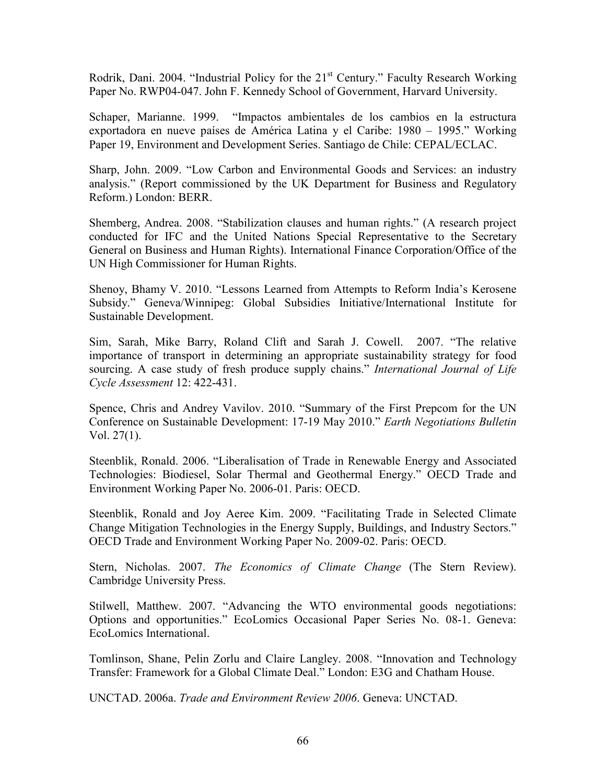Rodrik, Dani. 2004. "Industrial Policy for the 21<sup>st</sup> Century." Faculty Research Working Paper No. RWP04-047. John F. Kennedy School of Government, Harvard University.

Schaper, Marianne. 1999. "Impactos ambientales de los cambios en la estructura exportadora en nueve países de América Latina y el Caribe: 1980 – 1995." Working Paper 19, Environment and Development Series. Santiago de Chile: CEPAL/ECLAC.

Sharp, John. 2009. "Low Carbon and Environmental Goods and Services: an industry analysis." (Report commissioned by the UK Department for Business and Regulatory Reform.) London: BERR.

Shemberg, Andrea. 2008. "Stabilization clauses and human rights." (A research project conducted for IFC and the United Nations Special Representative to the Secretary General on Business and Human Rights). International Finance Corporation/Office of the UN High Commissioner for Human Rights.

Shenoy, Bhamy V. 2010. "Lessons Learned from Attempts to Reform India's Kerosene Subsidy." Geneva/Winnipeg: Global Subsidies Initiative/International Institute for Sustainable Development.

Sim, Sarah, Mike Barry, Roland Clift and Sarah J. Cowell. 2007. "The relative importance of transport in determining an appropriate sustainability strategy for food sourcing. A case study of fresh produce supply chains." *International Journal of Life Cycle Assessment* 12: 422-431.

Spence, Chris and Andrey Vavilov. 2010. "Summary of the First Prepcom for the UN Conference on Sustainable Development: 17-19 May 2010." *Earth Negotiations Bulletin* Vol. 27(1).

Steenblik, Ronald. 2006. "Liberalisation of Trade in Renewable Energy and Associated Technologies: Biodiesel, Solar Thermal and Geothermal Energy." OECD Trade and Environment Working Paper No. 2006-01. Paris: OECD.

Steenblik, Ronald and Joy Aeree Kim. 2009. "Facilitating Trade in Selected Climate Change Mitigation Technologies in the Energy Supply, Buildings, and Industry Sectors." OECD Trade and Environment Working Paper No. 2009-02. Paris: OECD.

Stern, Nicholas. 2007. *The Economics of Climate Change* (The Stern Review). Cambridge University Press.

Stilwell, Matthew. 2007. "Advancing the WTO environmental goods negotiations: Options and opportunities." EcoLomics Occasional Paper Series No. 08-1. Geneva: EcoLomics International.

Tomlinson, Shane, Pelin Zorlu and Claire Langley. 2008. "Innovation and Technology Transfer: Framework for a Global Climate Deal." London: E3G and Chatham House.

UNCTAD. 2006a. *Trade and Environment Review 2006*. Geneva: UNCTAD.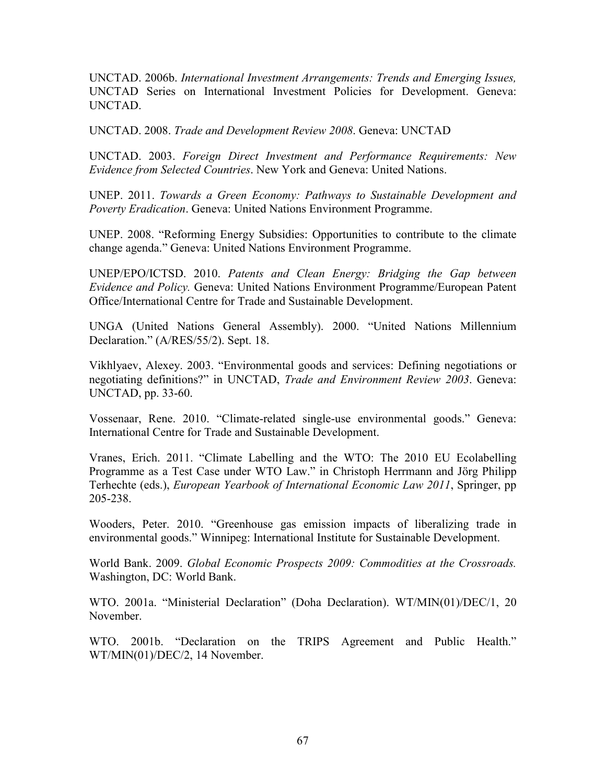UNCTAD. 2006b. *International Investment Arrangements: Trends and Emerging Issues,*  UNCTAD Series on International Investment Policies for Development. Geneva: UNCTAD.

UNCTAD. 2008. *Trade and Development Review 2008*. Geneva: UNCTAD

UNCTAD. 2003. *Foreign Direct Investment and Performance Requirements: New Evidence from Selected Countries*. New York and Geneva: United Nations.

UNEP. 2011. *Towards a Green Economy: Pathways to Sustainable Development and Poverty Eradication*. Geneva: United Nations Environment Programme.

UNEP. 2008. "Reforming Energy Subsidies: Opportunities to contribute to the climate change agenda." Geneva: United Nations Environment Programme.

UNEP/EPO/ICTSD. 2010. *Patents and Clean Energy: Bridging the Gap between Evidence and Policy.* Geneva: United Nations Environment Programme/European Patent Office/International Centre for Trade and Sustainable Development.

UNGA (United Nations General Assembly). 2000. "United Nations Millennium Declaration." (A/RES/55/2). Sept. 18.

Vikhlyaev, Alexey. 2003. "Environmental goods and services: Defining negotiations or negotiating definitions?" in UNCTAD, *Trade and Environment Review 2003*. Geneva: UNCTAD, pp. 33-60.

Vossenaar, Rene. 2010. "Climate-related single-use environmental goods." Geneva: International Centre for Trade and Sustainable Development.

Vranes, Erich. 2011. "Climate Labelling and the WTO: The 2010 EU Ecolabelling Programme as a Test Case under WTO Law." in Christoph Herrmann and Jörg Philipp Terhechte (eds.), *European Yearbook of International Economic Law 2011*, Springer, pp 205-238.

Wooders, Peter. 2010. "Greenhouse gas emission impacts of liberalizing trade in environmental goods." Winnipeg: International Institute for Sustainable Development.

World Bank. 2009. *Global Economic Prospects 2009: Commodities at the Crossroads.* Washington, DC: World Bank.

WTO. 2001a. "Ministerial Declaration" (Doha Declaration). WT/MIN(01)/DEC/1, 20 November.

WTO. 2001b. "Declaration on the TRIPS Agreement and Public Health." WT/MIN(01)/DEC/2, 14 November.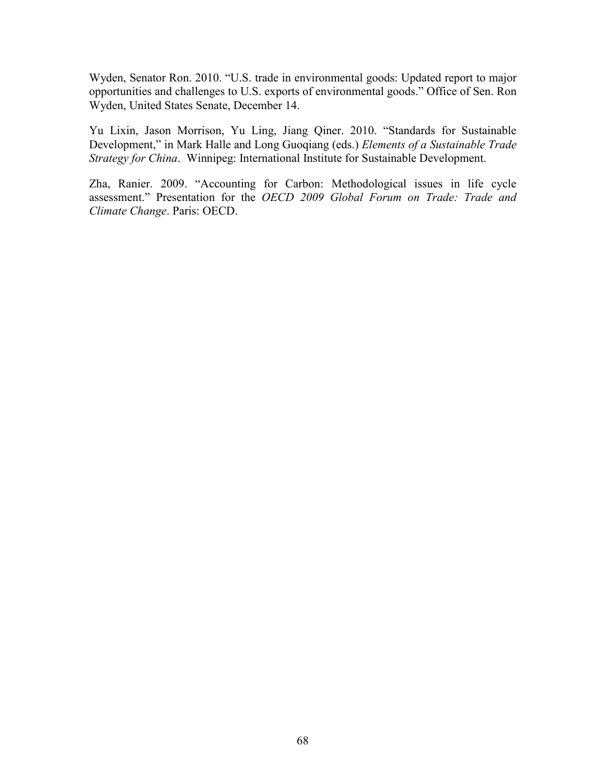Wyden, Senator Ron. 2010. "U.S. trade in environmental goods: Updated report to major opportunities and challenges to U.S. exports of environmental goods." Office of Sen. Ron Wyden, United States Senate, December 14.

Yu Lixin, Jason Morrison, Yu Ling, Jiang Qiner. 2010. "Standards for Sustainable Development," in Mark Halle and Long Guoqiang (eds.) *Elements of a Sustainable Trade Strategy for China*. Winnipeg: International Institute for Sustainable Development.

Zha, Ranier. 2009. "Accounting for Carbon: Methodological issues in life cycle assessment." Presentation for the *OECD 2009 Global Forum on Trade: Trade and Climate Change*. Paris: OECD.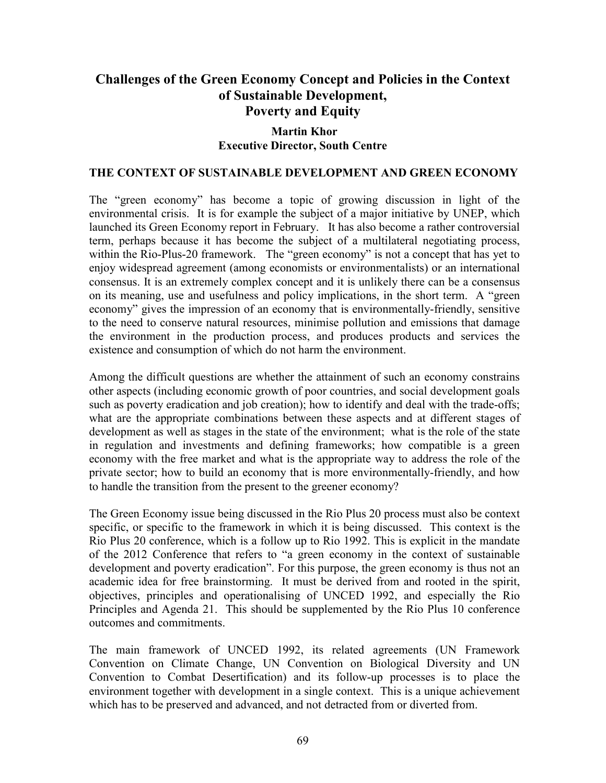# **Challenges of the Green Economy Concept and Policies in the Context of Sustainable Development, Poverty and Equity**

## **Martin Khor Executive Director, South Centre**

### **THE CONTEXT OF SUSTAINABLE DEVELOPMENT AND GREEN ECONOMY**

The "green economy" has become a topic of growing discussion in light of the environmental crisis. It is for example the subject of a major initiative by UNEP, which launched its Green Economy report in February. It has also become a rather controversial term, perhaps because it has become the subject of a multilateral negotiating process, within the Rio-Plus-20 framework. The "green economy" is not a concept that has yet to enjoy widespread agreement (among economists or environmentalists) or an international consensus. It is an extremely complex concept and it is unlikely there can be a consensus on its meaning, use and usefulness and policy implications, in the short term. A "green economy" gives the impression of an economy that is environmentally-friendly, sensitive to the need to conserve natural resources, minimise pollution and emissions that damage the environment in the production process, and produces products and services the existence and consumption of which do not harm the environment.

Among the difficult questions are whether the attainment of such an economy constrains other aspects (including economic growth of poor countries, and social development goals such as poverty eradication and job creation); how to identify and deal with the trade-offs; what are the appropriate combinations between these aspects and at different stages of development as well as stages in the state of the environment; what is the role of the state in regulation and investments and defining frameworks; how compatible is a green economy with the free market and what is the appropriate way to address the role of the private sector; how to build an economy that is more environmentally-friendly, and how to handle the transition from the present to the greener economy?

The Green Economy issue being discussed in the Rio Plus 20 process must also be context specific, or specific to the framework in which it is being discussed. This context is the Rio Plus 20 conference, which is a follow up to Rio 1992. This is explicit in the mandate of the 2012 Conference that refers to "a green economy in the context of sustainable development and poverty eradication". For this purpose, the green economy is thus not an academic idea for free brainstorming. It must be derived from and rooted in the spirit, objectives, principles and operationalising of UNCED 1992, and especially the Rio Principles and Agenda 21. This should be supplemented by the Rio Plus 10 conference outcomes and commitments.

The main framework of UNCED 1992, its related agreements (UN Framework Convention on Climate Change, UN Convention on Biological Diversity and UN Convention to Combat Desertification) and its follow-up processes is to place the environment together with development in a single context. This is a unique achievement which has to be preserved and advanced, and not detracted from or diverted from.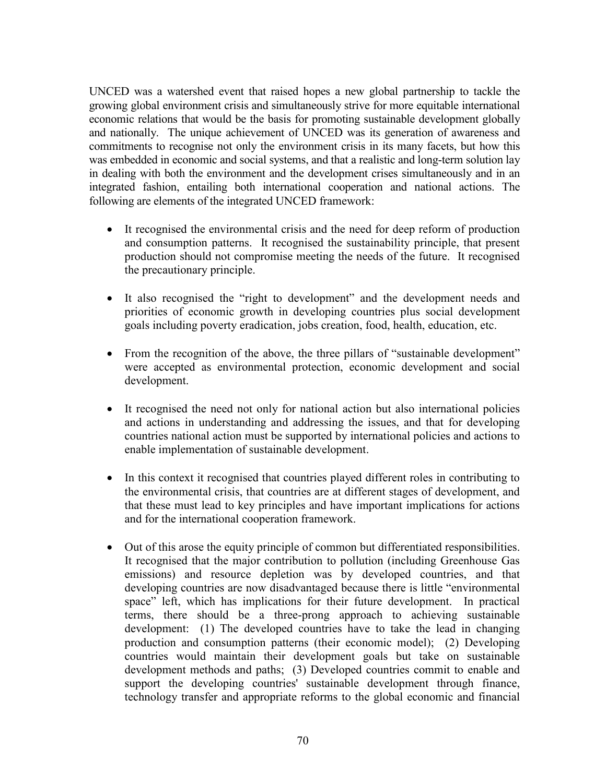UNCED was a watershed event that raised hopes a new global partnership to tackle the growing global environment crisis and simultaneously strive for more equitable international economic relations that would be the basis for promoting sustainable development globally and nationally. The unique achievement of UNCED was its generation of awareness and commitments to recognise not only the environment crisis in its many facets, but how this was embedded in economic and social systems, and that a realistic and long-term solution lay in dealing with both the environment and the development crises simultaneously and in an integrated fashion, entailing both international cooperation and national actions. The following are elements of the integrated UNCED framework:

- It recognised the environmental crisis and the need for deep reform of production and consumption patterns. It recognised the sustainability principle, that present production should not compromise meeting the needs of the future. It recognised the precautionary principle.
- It also recognised the "right to development" and the development needs and priorities of economic growth in developing countries plus social development goals including poverty eradication, jobs creation, food, health, education, etc.
- From the recognition of the above, the three pillars of "sustainable development" were accepted as environmental protection, economic development and social development.
- It recognised the need not only for national action but also international policies and actions in understanding and addressing the issues, and that for developing countries national action must be supported by international policies and actions to enable implementation of sustainable development.
- In this context it recognised that countries played different roles in contributing to the environmental crisis, that countries are at different stages of development, and that these must lead to key principles and have important implications for actions and for the international cooperation framework.
- Out of this arose the equity principle of common but differentiated responsibilities. It recognised that the major contribution to pollution (including Greenhouse Gas emissions) and resource depletion was by developed countries, and that developing countries are now disadvantaged because there is little "environmental space" left, which has implications for their future development. In practical terms, there should be a three-prong approach to achieving sustainable development: (1) The developed countries have to take the lead in changing production and consumption patterns (their economic model); (2) Developing countries would maintain their development goals but take on sustainable development methods and paths; (3) Developed countries commit to enable and support the developing countries' sustainable development through finance, technology transfer and appropriate reforms to the global economic and financial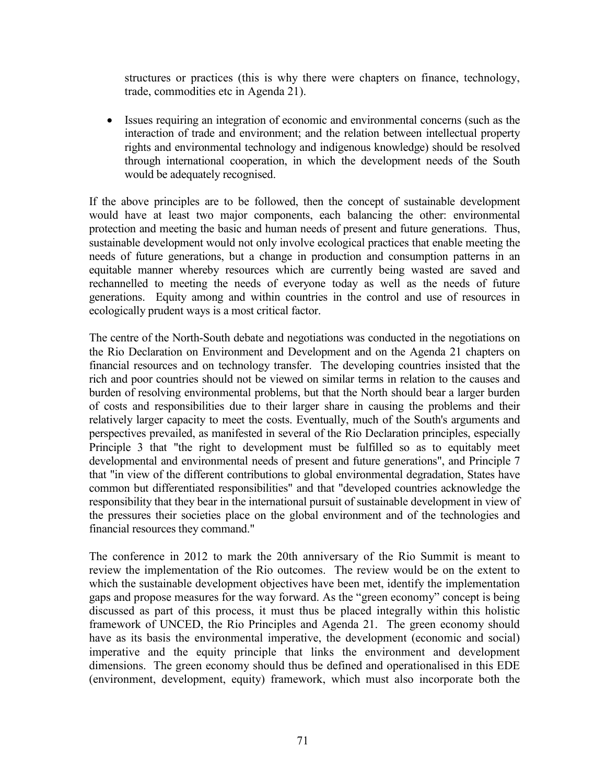structures or practices (this is why there were chapters on finance, technology, trade, commodities etc in Agenda 21).

• Issues requiring an integration of economic and environmental concerns (such as the interaction of trade and environment; and the relation between intellectual property rights and environmental technology and indigenous knowledge) should be resolved through international cooperation, in which the development needs of the South would be adequately recognised.

If the above principles are to be followed, then the concept of sustainable development would have at least two major components, each balancing the other: environmental protection and meeting the basic and human needs of present and future generations. Thus, sustainable development would not only involve ecological practices that enable meeting the needs of future generations, but a change in production and consumption patterns in an equitable manner whereby resources which are currently being wasted are saved and rechannelled to meeting the needs of everyone today as well as the needs of future generations. Equity among and within countries in the control and use of resources in ecologically prudent ways is a most critical factor.

The centre of the North-South debate and negotiations was conducted in the negotiations on the Rio Declaration on Environment and Development and on the Agenda 21 chapters on financial resources and on technology transfer. The developing countries insisted that the rich and poor countries should not be viewed on similar terms in relation to the causes and burden of resolving environmental problems, but that the North should bear a larger burden of costs and responsibilities due to their larger share in causing the problems and their relatively larger capacity to meet the costs. Eventually, much of the South's arguments and perspectives prevailed, as manifested in several of the Rio Declaration principles, especially Principle 3 that "the right to development must be fulfilled so as to equitably meet developmental and environmental needs of present and future generations", and Principle 7 that "in view of the different contributions to global environmental degradation, States have common but differentiated responsibilities" and that "developed countries acknowledge the responsibility that they bear in the international pursuit of sustainable development in view of the pressures their societies place on the global environment and of the technologies and financial resources they command."

The conference in 2012 to mark the 20th anniversary of the Rio Summit is meant to review the implementation of the Rio outcomes. The review would be on the extent to which the sustainable development objectives have been met, identify the implementation gaps and propose measures for the way forward. As the "green economy" concept is being discussed as part of this process, it must thus be placed integrally within this holistic framework of UNCED, the Rio Principles and Agenda 21. The green economy should have as its basis the environmental imperative, the development (economic and social) imperative and the equity principle that links the environment and development dimensions. The green economy should thus be defined and operationalised in this EDE (environment, development, equity) framework, which must also incorporate both the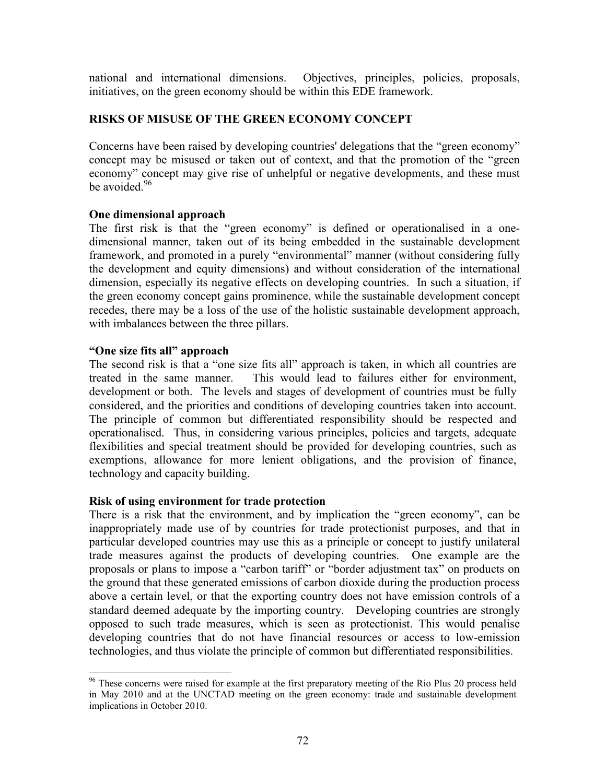national and international dimensions. Objectives, principles, policies, proposals, initiatives, on the green economy should be within this EDE framework.

## **RISKS OF MISUSE OF THE GREEN ECONOMY CONCEPT**

Concerns have been raised by developing countries' delegations that the "green economy" concept may be misused or taken out of context, and that the promotion of the "green economy" concept may give rise of unhelpful or negative developments, and these must be avoided.<sup>96</sup>

### **One dimensional approach**

The first risk is that the "green economy" is defined or operationalised in a onedimensional manner, taken out of its being embedded in the sustainable development framework, and promoted in a purely "environmental" manner (without considering fully the development and equity dimensions) and without consideration of the international dimension, especially its negative effects on developing countries. In such a situation, if the green economy concept gains prominence, while the sustainable development concept recedes, there may be a loss of the use of the holistic sustainable development approach, with imbalances between the three pillars.

### **"One size fits all" approach**

The second risk is that a "one size fits all" approach is taken, in which all countries are treated in the same manner. This would lead to failures either for environment, development or both. The levels and stages of development of countries must be fully considered, and the priorities and conditions of developing countries taken into account. The principle of common but differentiated responsibility should be respected and operationalised. Thus, in considering various principles, policies and targets, adequate flexibilities and special treatment should be provided for developing countries, such as exemptions, allowance for more lenient obligations, and the provision of finance, technology and capacity building.

## **Risk of using environment for trade protection**

There is a risk that the environment, and by implication the "green economy", can be inappropriately made use of by countries for trade protectionist purposes, and that in particular developed countries may use this as a principle or concept to justify unilateral trade measures against the products of developing countries. One example are the proposals or plans to impose a "carbon tariff" or "border adjustment tax" on products on the ground that these generated emissions of carbon dioxide during the production process above a certain level, or that the exporting country does not have emission controls of a standard deemed adequate by the importing country. Developing countries are strongly opposed to such trade measures, which is seen as protectionist. This would penalise developing countries that do not have financial resources or access to low-emission technologies, and thus violate the principle of common but differentiated responsibilities.

 $\overline{a}$ <sup>96</sup> These concerns were raised for example at the first preparatory meeting of the Rio Plus 20 process held in May 2010 and at the UNCTAD meeting on the green economy: trade and sustainable development implications in October 2010.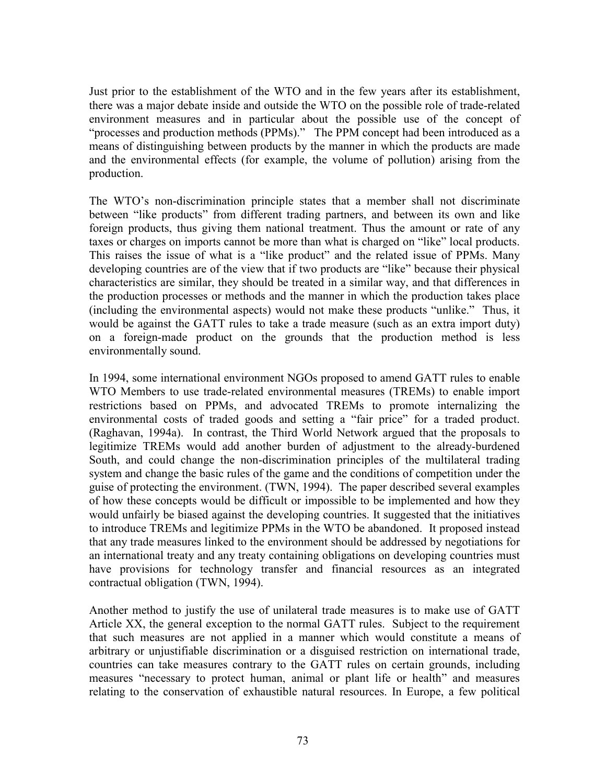Just prior to the establishment of the WTO and in the few years after its establishment, there was a major debate inside and outside the WTO on the possible role of trade-related environment measures and in particular about the possible use of the concept of "processes and production methods (PPMs)." The PPM concept had been introduced as a means of distinguishing between products by the manner in which the products are made and the environmental effects (for example, the volume of pollution) arising from the production.

The WTO's non-discrimination principle states that a member shall not discriminate between "like products" from different trading partners, and between its own and like foreign products, thus giving them national treatment. Thus the amount or rate of any taxes or charges on imports cannot be more than what is charged on "like" local products. This raises the issue of what is a "like product" and the related issue of PPMs. Many developing countries are of the view that if two products are "like" because their physical characteristics are similar, they should be treated in a similar way, and that differences in the production processes or methods and the manner in which the production takes place (including the environmental aspects) would not make these products "unlike." Thus, it would be against the GATT rules to take a trade measure (such as an extra import duty) on a foreign-made product on the grounds that the production method is less environmentally sound.

In 1994, some international environment NGOs proposed to amend GATT rules to enable WTO Members to use trade-related environmental measures (TREMs) to enable import restrictions based on PPMs, and advocated TREMs to promote internalizing the environmental costs of traded goods and setting a "fair price" for a traded product. (Raghavan, 1994a). In contrast, the Third World Network argued that the proposals to legitimize TREMs would add another burden of adjustment to the already-burdened South, and could change the non-discrimination principles of the multilateral trading system and change the basic rules of the game and the conditions of competition under the guise of protecting the environment. (TWN, 1994). The paper described several examples of how these concepts would be difficult or impossible to be implemented and how they would unfairly be biased against the developing countries. It suggested that the initiatives to introduce TREMs and legitimize PPMs in the WTO be abandoned. It proposed instead that any trade measures linked to the environment should be addressed by negotiations for an international treaty and any treaty containing obligations on developing countries must have provisions for technology transfer and financial resources as an integrated contractual obligation (TWN, 1994).

Another method to justify the use of unilateral trade measures is to make use of GATT Article XX, the general exception to the normal GATT rules. Subject to the requirement that such measures are not applied in a manner which would constitute a means of arbitrary or unjustifiable discrimination or a disguised restriction on international trade, countries can take measures contrary to the GATT rules on certain grounds, including measures "necessary to protect human, animal or plant life or health" and measures relating to the conservation of exhaustible natural resources. In Europe, a few political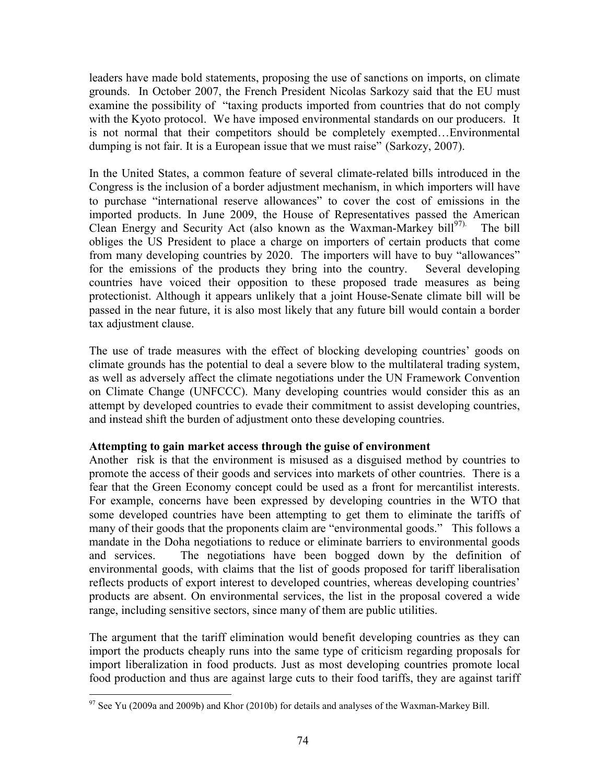leaders have made bold statements, proposing the use of sanctions on imports, on climate grounds. In October 2007, the French President Nicolas Sarkozy said that the EU must examine the possibility of "taxing products imported from countries that do not comply with the Kyoto protocol. We have imposed environmental standards on our producers. It is not normal that their competitors should be completely exempted…Environmental dumping is not fair. It is a European issue that we must raise" (Sarkozy, 2007).

In the United States, a common feature of several climate-related bills introduced in the Congress is the inclusion of a border adjustment mechanism, in which importers will have to purchase "international reserve allowances" to cover the cost of emissions in the imported products. In June 2009, the House of Representatives passed the American Clean Energy and Security Act (also known as the Waxman-Markey bill<sup>97).</sup> The bill obliges the US President to place a charge on importers of certain products that come from many developing countries by 2020. The importers will have to buy "allowances" for the emissions of the products they bring into the country. Several developing countries have voiced their opposition to these proposed trade measures as being protectionist. Although it appears unlikely that a joint House-Senate climate bill will be passed in the near future, it is also most likely that any future bill would contain a border tax adjustment clause.

The use of trade measures with the effect of blocking developing countries' goods on climate grounds has the potential to deal a severe blow to the multilateral trading system, as well as adversely affect the climate negotiations under the UN Framework Convention on Climate Change (UNFCCC). Many developing countries would consider this as an attempt by developed countries to evade their commitment to assist developing countries, and instead shift the burden of adjustment onto these developing countries.

## **Attempting to gain market access through the guise of environment**

Another risk is that the environment is misused as a disguised method by countries to promote the access of their goods and services into markets of other countries. There is a fear that the Green Economy concept could be used as a front for mercantilist interests. For example, concerns have been expressed by developing countries in the WTO that some developed countries have been attempting to get them to eliminate the tariffs of many of their goods that the proponents claim are "environmental goods." This follows a mandate in the Doha negotiations to reduce or eliminate barriers to environmental goods and services. The negotiations have been bogged down by the definition of environmental goods, with claims that the list of goods proposed for tariff liberalisation reflects products of export interest to developed countries, whereas developing countries' products are absent. On environmental services, the list in the proposal covered a wide range, including sensitive sectors, since many of them are public utilities.

The argument that the tariff elimination would benefit developing countries as they can import the products cheaply runs into the same type of criticism regarding proposals for import liberalization in food products. Just as most developing countries promote local food production and thus are against large cuts to their food tariffs, they are against tariff

 $\overline{a}$  $97$  See Yu (2009a and 2009b) and Khor (2010b) for details and analyses of the Waxman-Markey Bill.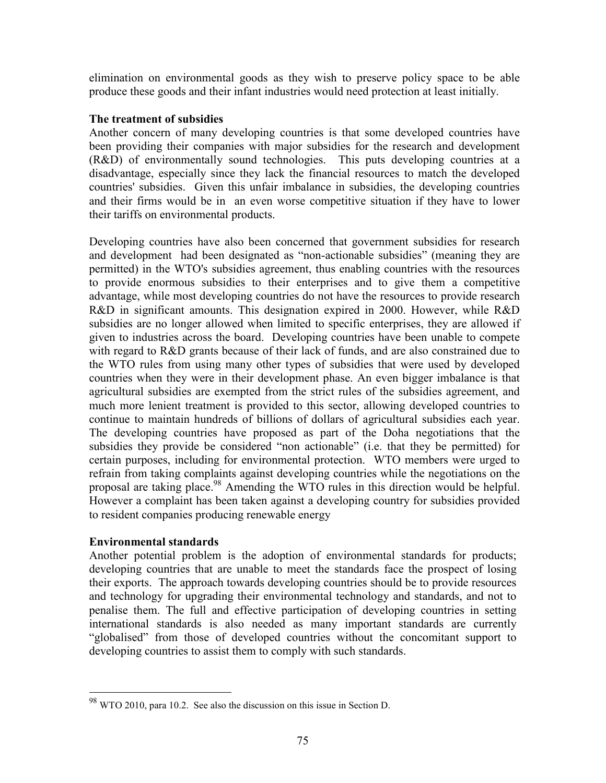elimination on environmental goods as they wish to preserve policy space to be able produce these goods and their infant industries would need protection at least initially.

### **The treatment of subsidies**

Another concern of many developing countries is that some developed countries have been providing their companies with major subsidies for the research and development (R&D) of environmentally sound technologies. This puts developing countries at a disadvantage, especially since they lack the financial resources to match the developed countries' subsidies. Given this unfair imbalance in subsidies, the developing countries and their firms would be in an even worse competitive situation if they have to lower their tariffs on environmental products.

Developing countries have also been concerned that government subsidies for research and development had been designated as "non-actionable subsidies" (meaning they are permitted) in the WTO's subsidies agreement, thus enabling countries with the resources to provide enormous subsidies to their enterprises and to give them a competitive advantage, while most developing countries do not have the resources to provide research R&D in significant amounts. This designation expired in 2000. However, while R&D subsidies are no longer allowed when limited to specific enterprises, they are allowed if given to industries across the board. Developing countries have been unable to compete with regard to R&D grants because of their lack of funds, and are also constrained due to the WTO rules from using many other types of subsidies that were used by developed countries when they were in their development phase. An even bigger imbalance is that agricultural subsidies are exempted from the strict rules of the subsidies agreement, and much more lenient treatment is provided to this sector, allowing developed countries to continue to maintain hundreds of billions of dollars of agricultural subsidies each year. The developing countries have proposed as part of the Doha negotiations that the subsidies they provide be considered "non actionable" (i.e. that they be permitted) for certain purposes, including for environmental protection. WTO members were urged to refrain from taking complaints against developing countries while the negotiations on the proposal are taking place.<sup>98</sup> Amending the WTO rules in this direction would be helpful. However a complaint has been taken against a developing country for subsidies provided to resident companies producing renewable energy

## **Environmental standards**

 $\overline{a}$ 

Another potential problem is the adoption of environmental standards for products; developing countries that are unable to meet the standards face the prospect of losing their exports. The approach towards developing countries should be to provide resources and technology for upgrading their environmental technology and standards, and not to penalise them. The full and effective participation of developing countries in setting international standards is also needed as many important standards are currently "globalised" from those of developed countries without the concomitant support to developing countries to assist them to comply with such standards.

 $98$  WTO 2010, para 10.2. See also the discussion on this issue in Section D.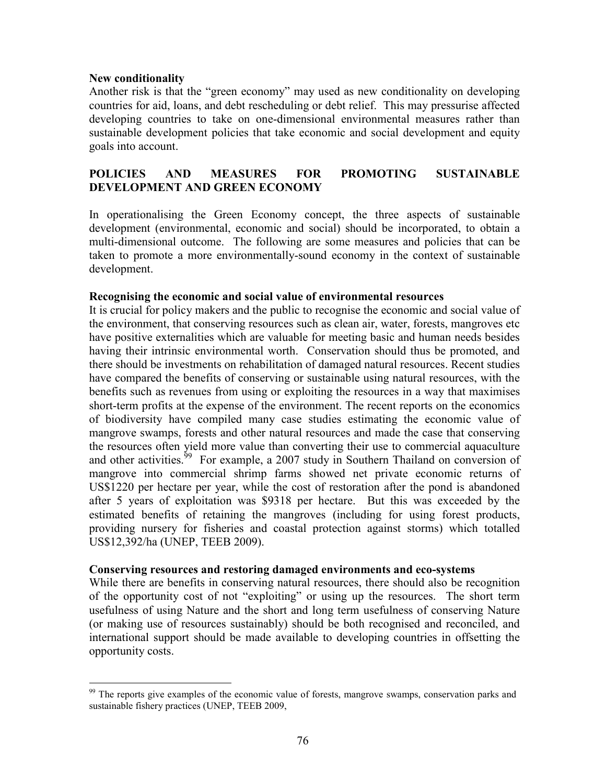#### **New conditionality**

 $\overline{a}$ 

Another risk is that the "green economy" may used as new conditionality on developing countries for aid, loans, and debt rescheduling or debt relief. This may pressurise affected developing countries to take on one-dimensional environmental measures rather than sustainable development policies that take economic and social development and equity goals into account.

### **POLICIES AND MEASURES FOR PROMOTING SUSTAINABLE DEVELOPMENT AND GREEN ECONOMY**

In operationalising the Green Economy concept, the three aspects of sustainable development (environmental, economic and social) should be incorporated, to obtain a multi-dimensional outcome. The following are some measures and policies that can be taken to promote a more environmentally-sound economy in the context of sustainable development.

#### **Recognising the economic and social value of environmental resources**

It is crucial for policy makers and the public to recognise the economic and social value of the environment, that conserving resources such as clean air, water, forests, mangroves etc have positive externalities which are valuable for meeting basic and human needs besides having their intrinsic environmental worth. Conservation should thus be promoted, and there should be investments on rehabilitation of damaged natural resources. Recent studies have compared the benefits of conserving or sustainable using natural resources, with the benefits such as revenues from using or exploiting the resources in a way that maximises short-term profits at the expense of the environment. The recent reports on the economics of biodiversity have compiled many case studies estimating the economic value of mangrove swamps, forests and other natural resources and made the case that conserving the resources often yield more value than converting their use to commercial aquaculture and other activities.<sup>99</sup> For example, a 2007 study in Southern Thailand on conversion of mangrove into commercial shrimp farms showed net private economic returns of US\$1220 per hectare per year, while the cost of restoration after the pond is abandoned after 5 years of exploitation was \$9318 per hectare. But this was exceeded by the estimated benefits of retaining the mangroves (including for using forest products, providing nursery for fisheries and coastal protection against storms) which totalled US\$12,392/ha (UNEP, TEEB 2009).

#### **Conserving resources and restoring damaged environments and eco-systems**

While there are benefits in conserving natural resources, there should also be recognition of the opportunity cost of not "exploiting" or using up the resources. The short term usefulness of using Nature and the short and long term usefulness of conserving Nature (or making use of resources sustainably) should be both recognised and reconciled, and international support should be made available to developing countries in offsetting the opportunity costs.

<sup>&</sup>lt;sup>99</sup> The reports give examples of the economic value of forests, mangrove swamps, conservation parks and sustainable fishery practices (UNEP, TEEB 2009,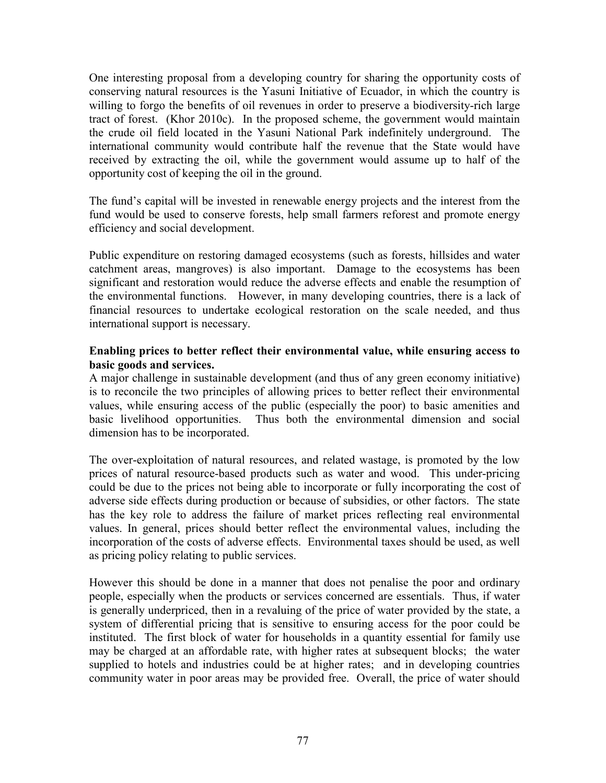One interesting proposal from a developing country for sharing the opportunity costs of conserving natural resources is the Yasuni Initiative of Ecuador, in which the country is willing to forgo the benefits of oil revenues in order to preserve a biodiversity-rich large tract of forest. (Khor 2010c). In the proposed scheme, the government would maintain the crude oil field located in the Yasuni National Park indefinitely underground. The international community would contribute half the revenue that the State would have received by extracting the oil, while the government would assume up to half of the opportunity cost of keeping the oil in the ground.

The fund's capital will be invested in renewable energy projects and the interest from the fund would be used to conserve forests, help small farmers reforest and promote energy efficiency and social development.

Public expenditure on restoring damaged ecosystems (such as forests, hillsides and water catchment areas, mangroves) is also important. Damage to the ecosystems has been significant and restoration would reduce the adverse effects and enable the resumption of the environmental functions. However, in many developing countries, there is a lack of financial resources to undertake ecological restoration on the scale needed, and thus international support is necessary.

### **Enabling prices to better reflect their environmental value, while ensuring access to basic goods and services.**

A major challenge in sustainable development (and thus of any green economy initiative) is to reconcile the two principles of allowing prices to better reflect their environmental values, while ensuring access of the public (especially the poor) to basic amenities and basic livelihood opportunities. Thus both the environmental dimension and social dimension has to be incorporated.

The over-exploitation of natural resources, and related wastage, is promoted by the low prices of natural resource-based products such as water and wood. This under-pricing could be due to the prices not being able to incorporate or fully incorporating the cost of adverse side effects during production or because of subsidies, or other factors. The state has the key role to address the failure of market prices reflecting real environmental values. In general, prices should better reflect the environmental values, including the incorporation of the costs of adverse effects. Environmental taxes should be used, as well as pricing policy relating to public services.

However this should be done in a manner that does not penalise the poor and ordinary people, especially when the products or services concerned are essentials. Thus, if water is generally underpriced, then in a revaluing of the price of water provided by the state, a system of differential pricing that is sensitive to ensuring access for the poor could be instituted. The first block of water for households in a quantity essential for family use may be charged at an affordable rate, with higher rates at subsequent blocks; the water supplied to hotels and industries could be at higher rates; and in developing countries community water in poor areas may be provided free. Overall, the price of water should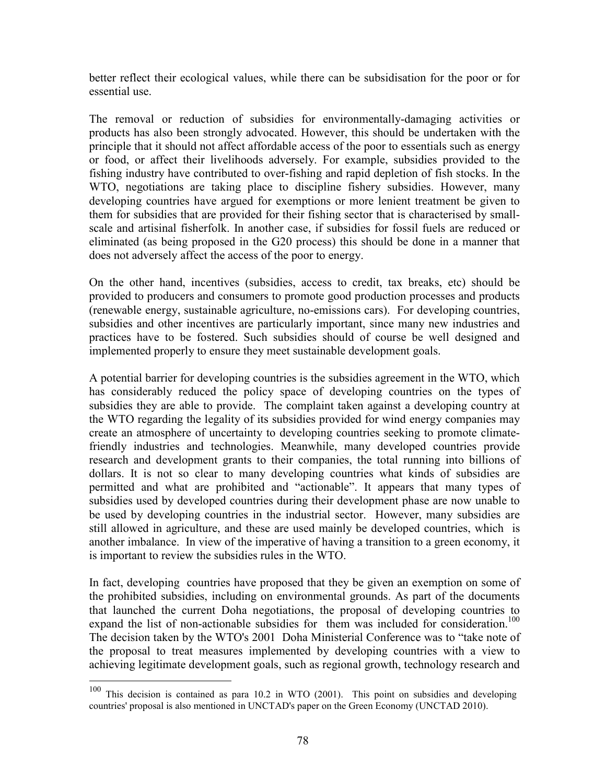better reflect their ecological values, while there can be subsidisation for the poor or for essential use.

The removal or reduction of subsidies for environmentally-damaging activities or products has also been strongly advocated. However, this should be undertaken with the principle that it should not affect affordable access of the poor to essentials such as energy or food, or affect their livelihoods adversely. For example, subsidies provided to the fishing industry have contributed to over-fishing and rapid depletion of fish stocks. In the WTO, negotiations are taking place to discipline fishery subsidies. However, many developing countries have argued for exemptions or more lenient treatment be given to them for subsidies that are provided for their fishing sector that is characterised by smallscale and artisinal fisherfolk. In another case, if subsidies for fossil fuels are reduced or eliminated (as being proposed in the G20 process) this should be done in a manner that does not adversely affect the access of the poor to energy.

On the other hand, incentives (subsidies, access to credit, tax breaks, etc) should be provided to producers and consumers to promote good production processes and products (renewable energy, sustainable agriculture, no-emissions cars). For developing countries, subsidies and other incentives are particularly important, since many new industries and practices have to be fostered. Such subsidies should of course be well designed and implemented properly to ensure they meet sustainable development goals.

A potential barrier for developing countries is the subsidies agreement in the WTO, which has considerably reduced the policy space of developing countries on the types of subsidies they are able to provide. The complaint taken against a developing country at the WTO regarding the legality of its subsidies provided for wind energy companies may create an atmosphere of uncertainty to developing countries seeking to promote climatefriendly industries and technologies. Meanwhile, many developed countries provide research and development grants to their companies, the total running into billions of dollars. It is not so clear to many developing countries what kinds of subsidies are permitted and what are prohibited and "actionable". It appears that many types of subsidies used by developed countries during their development phase are now unable to be used by developing countries in the industrial sector. However, many subsidies are still allowed in agriculture, and these are used mainly be developed countries, which is another imbalance. In view of the imperative of having a transition to a green economy, it is important to review the subsidies rules in the WTO.

In fact, developing countries have proposed that they be given an exemption on some of the prohibited subsidies, including on environmental grounds. As part of the documents that launched the current Doha negotiations, the proposal of developing countries to expand the list of non-actionable subsidies for them was included for consideration.<sup>100</sup> The decision taken by the WTO's 2001 Doha Ministerial Conference was to "take note of the proposal to treat measures implemented by developing countries with a view to achieving legitimate development goals, such as regional growth, technology research and

 $100\,$ This decision is contained as para 10.2 in WTO (2001). This point on subsidies and developing countries' proposal is also mentioned in UNCTAD's paper on the Green Economy (UNCTAD 2010).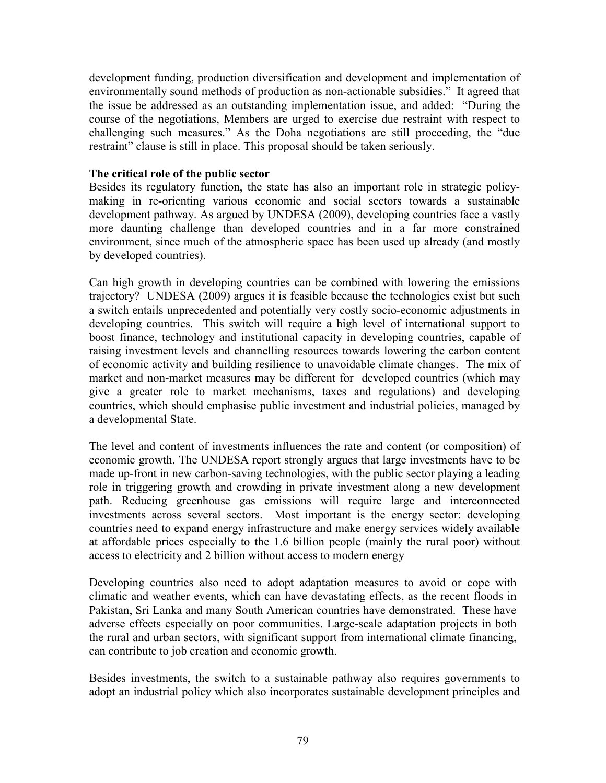development funding, production diversification and development and implementation of environmentally sound methods of production as non-actionable subsidies." It agreed that the issue be addressed as an outstanding implementation issue, and added: "During the course of the negotiations, Members are urged to exercise due restraint with respect to challenging such measures." As the Doha negotiations are still proceeding, the "due restraint" clause is still in place. This proposal should be taken seriously.

#### **The critical role of the public sector**

Besides its regulatory function, the state has also an important role in strategic policymaking in re-orienting various economic and social sectors towards a sustainable development pathway. As argued by UNDESA (2009), developing countries face a vastly more daunting challenge than developed countries and in a far more constrained environment, since much of the atmospheric space has been used up already (and mostly by developed countries).

Can high growth in developing countries can be combined with lowering the emissions trajectory? UNDESA (2009) argues it is feasible because the technologies exist but such a switch entails unprecedented and potentially very costly socio-economic adjustments in developing countries. This switch will require a high level of international support to boost finance, technology and institutional capacity in developing countries, capable of raising investment levels and channelling resources towards lowering the carbon content of economic activity and building resilience to unavoidable climate changes. The mix of market and non-market measures may be different for developed countries (which may give a greater role to market mechanisms, taxes and regulations) and developing countries, which should emphasise public investment and industrial policies, managed by a developmental State.

The level and content of investments influences the rate and content (or composition) of economic growth. The UNDESA report strongly argues that large investments have to be made up-front in new carbon-saving technologies, with the public sector playing a leading role in triggering growth and crowding in private investment along a new development path. Reducing greenhouse gas emissions will require large and interconnected investments across several sectors. Most important is the energy sector: developing countries need to expand energy infrastructure and make energy services widely available at affordable prices especially to the 1.6 billion people (mainly the rural poor) without access to electricity and 2 billion without access to modern energy

Developing countries also need to adopt adaptation measures to avoid or cope with climatic and weather events, which can have devastating effects, as the recent floods in Pakistan, Sri Lanka and many South American countries have demonstrated. These have adverse effects especially on poor communities. Large-scale adaptation projects in both the rural and urban sectors, with significant support from international climate financing, can contribute to job creation and economic growth.

Besides investments, the switch to a sustainable pathway also requires governments to adopt an industrial policy which also incorporates sustainable development principles and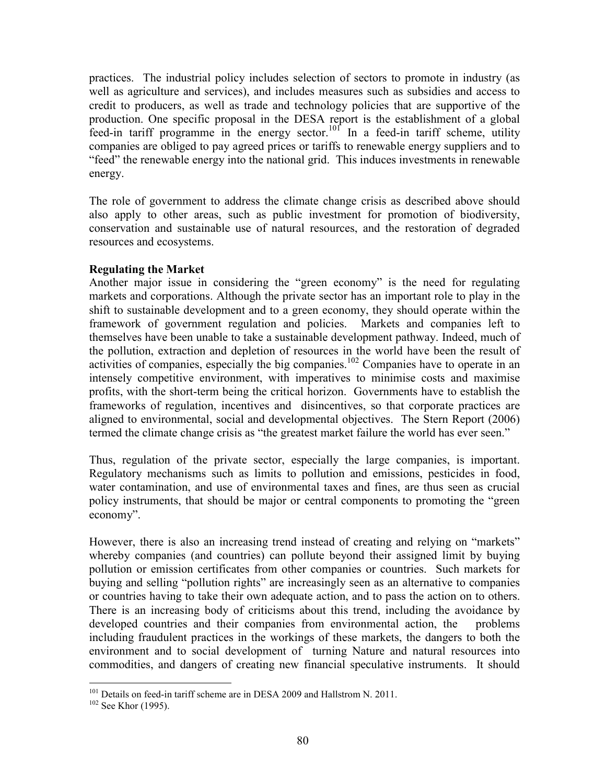practices. The industrial policy includes selection of sectors to promote in industry (as well as agriculture and services), and includes measures such as subsidies and access to credit to producers, as well as trade and technology policies that are supportive of the production. One specific proposal in the DESA report is the establishment of a global feed-in tariff programme in the energy sector.<sup>101</sup> In a feed-in tariff scheme, utility companies are obliged to pay agreed prices or tariffs to renewable energy suppliers and to "feed" the renewable energy into the national grid. This induces investments in renewable energy.

The role of government to address the climate change crisis as described above should also apply to other areas, such as public investment for promotion of biodiversity, conservation and sustainable use of natural resources, and the restoration of degraded resources and ecosystems.

## **Regulating the Market**

Another major issue in considering the "green economy" is the need for regulating markets and corporations. Although the private sector has an important role to play in the shift to sustainable development and to a green economy, they should operate within the framework of government regulation and policies. Markets and companies left to themselves have been unable to take a sustainable development pathway. Indeed, much of the pollution, extraction and depletion of resources in the world have been the result of activities of companies, especially the big companies.<sup>102</sup> Companies have to operate in an intensely competitive environment, with imperatives to minimise costs and maximise profits, with the short-term being the critical horizon. Governments have to establish the frameworks of regulation, incentives and disincentives, so that corporate practices are aligned to environmental, social and developmental objectives. The Stern Report (2006) termed the climate change crisis as "the greatest market failure the world has ever seen."

Thus, regulation of the private sector, especially the large companies, is important. Regulatory mechanisms such as limits to pollution and emissions, pesticides in food, water contamination, and use of environmental taxes and fines, are thus seen as crucial policy instruments, that should be major or central components to promoting the "green economy".

However, there is also an increasing trend instead of creating and relying on "markets" whereby companies (and countries) can pollute beyond their assigned limit by buying pollution or emission certificates from other companies or countries. Such markets for buying and selling "pollution rights" are increasingly seen as an alternative to companies or countries having to take their own adequate action, and to pass the action on to others. There is an increasing body of criticisms about this trend, including the avoidance by developed countries and their companies from environmental action, the problems including fraudulent practices in the workings of these markets, the dangers to both the environment and to social development of turning Nature and natural resources into commodities, and dangers of creating new financial speculative instruments. It should

 $\overline{a}$ <sup>101</sup> Details on feed-in tariff scheme are in DESA 2009 and Hallstrom N. 2011.

<sup>&</sup>lt;sup>102</sup> See Khor (1995).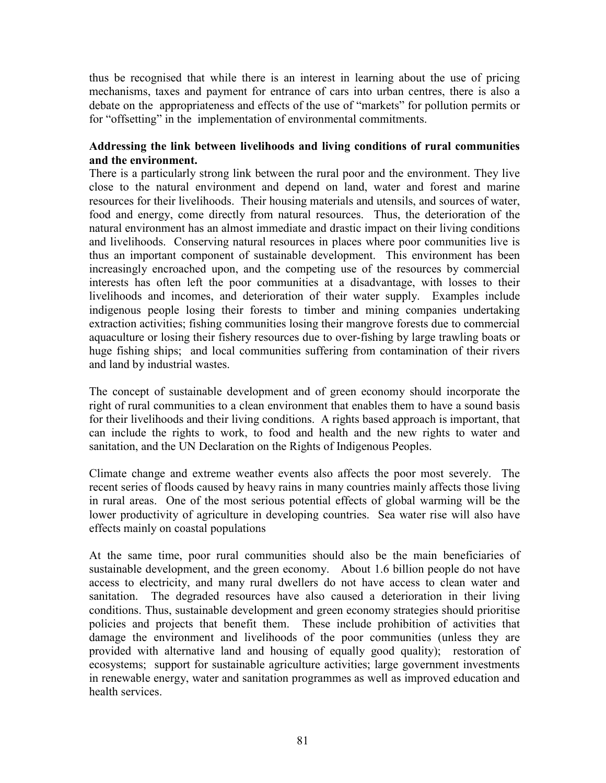thus be recognised that while there is an interest in learning about the use of pricing mechanisms, taxes and payment for entrance of cars into urban centres, there is also a debate on the appropriateness and effects of the use of "markets" for pollution permits or for "offsetting" in the implementation of environmental commitments.

### **Addressing the link between livelihoods and living conditions of rural communities and the environment.**

There is a particularly strong link between the rural poor and the environment. They live close to the natural environment and depend on land, water and forest and marine resources for their livelihoods. Their housing materials and utensils, and sources of water, food and energy, come directly from natural resources. Thus, the deterioration of the natural environment has an almost immediate and drastic impact on their living conditions and livelihoods. Conserving natural resources in places where poor communities live is thus an important component of sustainable development. This environment has been increasingly encroached upon, and the competing use of the resources by commercial interests has often left the poor communities at a disadvantage, with losses to their livelihoods and incomes, and deterioration of their water supply. Examples include indigenous people losing their forests to timber and mining companies undertaking extraction activities; fishing communities losing their mangrove forests due to commercial aquaculture or losing their fishery resources due to over-fishing by large trawling boats or huge fishing ships; and local communities suffering from contamination of their rivers and land by industrial wastes.

The concept of sustainable development and of green economy should incorporate the right of rural communities to a clean environment that enables them to have a sound basis for their livelihoods and their living conditions. A rights based approach is important, that can include the rights to work, to food and health and the new rights to water and sanitation, and the UN Declaration on the Rights of Indigenous Peoples.

Climate change and extreme weather events also affects the poor most severely. The recent series of floods caused by heavy rains in many countries mainly affects those living in rural areas. One of the most serious potential effects of global warming will be the lower productivity of agriculture in developing countries. Sea water rise will also have effects mainly on coastal populations

At the same time, poor rural communities should also be the main beneficiaries of sustainable development, and the green economy. About 1.6 billion people do not have access to electricity, and many rural dwellers do not have access to clean water and sanitation. The degraded resources have also caused a deterioration in their living conditions. Thus, sustainable development and green economy strategies should prioritise policies and projects that benefit them. These include prohibition of activities that damage the environment and livelihoods of the poor communities (unless they are provided with alternative land and housing of equally good quality); restoration of ecosystems; support for sustainable agriculture activities; large government investments in renewable energy, water and sanitation programmes as well as improved education and health services.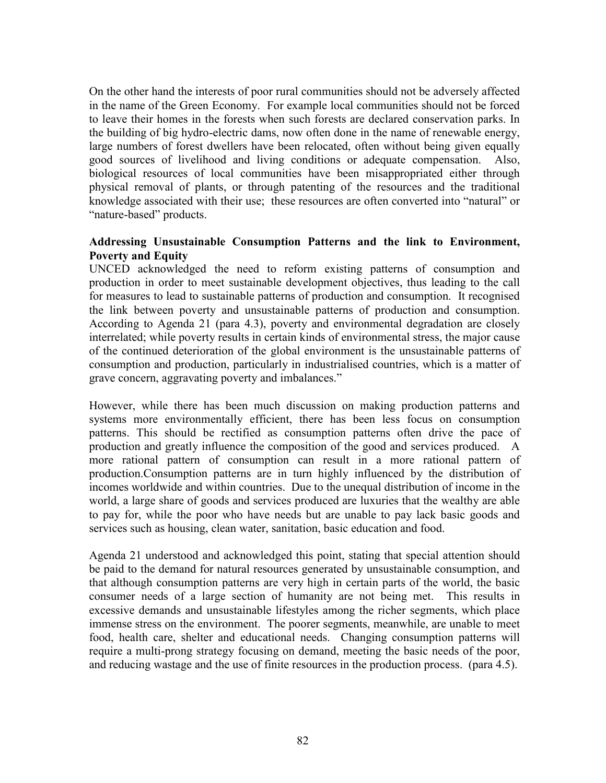On the other hand the interests of poor rural communities should not be adversely affected in the name of the Green Economy. For example local communities should not be forced to leave their homes in the forests when such forests are declared conservation parks. In the building of big hydro-electric dams, now often done in the name of renewable energy, large numbers of forest dwellers have been relocated, often without being given equally good sources of livelihood and living conditions or adequate compensation. Also, biological resources of local communities have been misappropriated either through physical removal of plants, or through patenting of the resources and the traditional knowledge associated with their use; these resources are often converted into "natural" or "nature-based" products.

### **Addressing Unsustainable Consumption Patterns and the link to Environment, Poverty and Equity**

UNCED acknowledged the need to reform existing patterns of consumption and production in order to meet sustainable development objectives, thus leading to the call for measures to lead to sustainable patterns of production and consumption. It recognised the link between poverty and unsustainable patterns of production and consumption. According to Agenda 21 (para 4.3), poverty and environmental degradation are closely interrelated; while poverty results in certain kinds of environmental stress, the major cause of the continued deterioration of the global environment is the unsustainable patterns of consumption and production, particularly in industrialised countries, which is a matter of grave concern, aggravating poverty and imbalances."

However, while there has been much discussion on making production patterns and systems more environmentally efficient, there has been less focus on consumption patterns. This should be rectified as consumption patterns often drive the pace of production and greatly influence the composition of the good and services produced. A more rational pattern of consumption can result in a more rational pattern of production.Consumption patterns are in turn highly influenced by the distribution of incomes worldwide and within countries. Due to the unequal distribution of income in the world, a large share of goods and services produced are luxuries that the wealthy are able to pay for, while the poor who have needs but are unable to pay lack basic goods and services such as housing, clean water, sanitation, basic education and food.

Agenda 21 understood and acknowledged this point, stating that special attention should be paid to the demand for natural resources generated by unsustainable consumption, and that although consumption patterns are very high in certain parts of the world, the basic consumer needs of a large section of humanity are not being met. This results in excessive demands and unsustainable lifestyles among the richer segments, which place immense stress on the environment. The poorer segments, meanwhile, are unable to meet food, health care, shelter and educational needs. Changing consumption patterns will require a multi-prong strategy focusing on demand, meeting the basic needs of the poor, and reducing wastage and the use of finite resources in the production process. (para 4.5).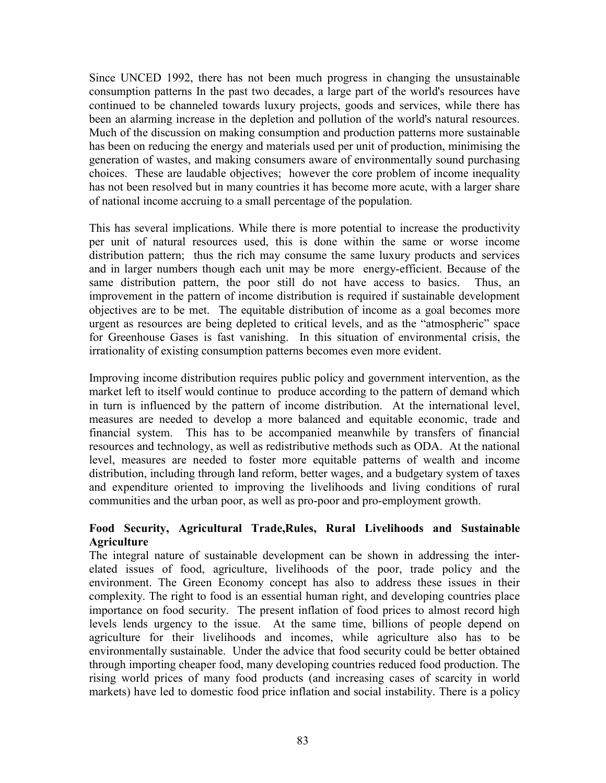Since UNCED 1992, there has not been much progress in changing the unsustainable consumption patterns In the past two decades, a large part of the world's resources have continued to be channeled towards luxury projects, goods and services, while there has been an alarming increase in the depletion and pollution of the world's natural resources. Much of the discussion on making consumption and production patterns more sustainable has been on reducing the energy and materials used per unit of production, minimising the generation of wastes, and making consumers aware of environmentally sound purchasing choices. These are laudable objectives; however the core problem of income inequality has not been resolved but in many countries it has become more acute, with a larger share of national income accruing to a small percentage of the population.

This has several implications. While there is more potential to increase the productivity per unit of natural resources used, this is done within the same or worse income distribution pattern; thus the rich may consume the same luxury products and services and in larger numbers though each unit may be more energy-efficient. Because of the same distribution pattern, the poor still do not have access to basics. Thus, an improvement in the pattern of income distribution is required if sustainable development objectives are to be met. The equitable distribution of income as a goal becomes more urgent as resources are being depleted to critical levels, and as the "atmospheric" space for Greenhouse Gases is fast vanishing. In this situation of environmental crisis, the irrationality of existing consumption patterns becomes even more evident.

Improving income distribution requires public policy and government intervention, as the market left to itself would continue to produce according to the pattern of demand which in turn is influenced by the pattern of income distribution. At the international level, measures are needed to develop a more balanced and equitable economic, trade and financial system. This has to be accompanied meanwhile by transfers of financial resources and technology, as well as redistributive methods such as ODA. At the national level, measures are needed to foster more equitable patterns of wealth and income distribution, including through land reform, better wages, and a budgetary system of taxes and expenditure oriented to improving the livelihoods and living conditions of rural communities and the urban poor, as well as pro-poor and pro-employment growth.

## **Food Security, Agricultural Trade,Rules, Rural Livelihoods and Sustainable Agriculture**

The integral nature of sustainable development can be shown in addressing the interelated issues of food, agriculture, livelihoods of the poor, trade policy and the environment. The Green Economy concept has also to address these issues in their complexity. The right to food is an essential human right, and developing countries place importance on food security. The present inflation of food prices to almost record high levels lends urgency to the issue. At the same time, billions of people depend on agriculture for their livelihoods and incomes, while agriculture also has to be environmentally sustainable. Under the advice that food security could be better obtained through importing cheaper food, many developing countries reduced food production. The rising world prices of many food products (and increasing cases of scarcity in world markets) have led to domestic food price inflation and social instability. There is a policy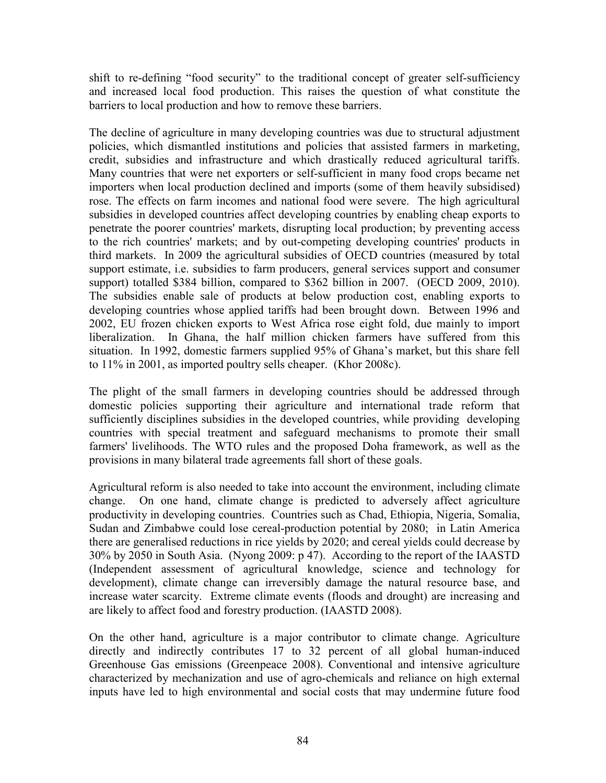shift to re-defining "food security" to the traditional concept of greater self-sufficiency and increased local food production. This raises the question of what constitute the barriers to local production and how to remove these barriers.

The decline of agriculture in many developing countries was due to structural adjustment policies, which dismantled institutions and policies that assisted farmers in marketing, credit, subsidies and infrastructure and which drastically reduced agricultural tariffs. Many countries that were net exporters or self-sufficient in many food crops became net importers when local production declined and imports (some of them heavily subsidised) rose. The effects on farm incomes and national food were severe. The high agricultural subsidies in developed countries affect developing countries by enabling cheap exports to penetrate the poorer countries' markets, disrupting local production; by preventing access to the rich countries' markets; and by out-competing developing countries' products in third markets. In 2009 the agricultural subsidies of OECD countries (measured by total support estimate, i.e. subsidies to farm producers, general services support and consumer support) totalled \$384 billion, compared to \$362 billion in 2007. (OECD 2009, 2010). The subsidies enable sale of products at below production cost, enabling exports to developing countries whose applied tariffs had been brought down. Between 1996 and 2002, EU frozen chicken exports to West Africa rose eight fold, due mainly to import liberalization. In Ghana, the half million chicken farmers have suffered from this situation. In 1992, domestic farmers supplied 95% of Ghana's market, but this share fell to 11% in 2001, as imported poultry sells cheaper. (Khor 2008c).

The plight of the small farmers in developing countries should be addressed through domestic policies supporting their agriculture and international trade reform that sufficiently disciplines subsidies in the developed countries, while providing developing countries with special treatment and safeguard mechanisms to promote their small farmers' livelihoods. The WTO rules and the proposed Doha framework, as well as the provisions in many bilateral trade agreements fall short of these goals.

Agricultural reform is also needed to take into account the environment, including climate change. On one hand, climate change is predicted to adversely affect agriculture productivity in developing countries. Countries such as Chad, Ethiopia, Nigeria, Somalia, Sudan and Zimbabwe could lose cereal-production potential by 2080; in Latin America there are generalised reductions in rice yields by 2020; and cereal yields could decrease by 30% by 2050 in South Asia. (Nyong 2009: p 47). According to the report of the IAASTD (Independent assessment of agricultural knowledge, science and technology for development), climate change can irreversibly damage the natural resource base, and increase water scarcity. Extreme climate events (floods and drought) are increasing and are likely to affect food and forestry production. (IAASTD 2008).

On the other hand, agriculture is a major contributor to climate change. Agriculture directly and indirectly contributes 17 to 32 percent of all global human-induced Greenhouse Gas emissions (Greenpeace 2008). Conventional and intensive agriculture characterized by mechanization and use of agro-chemicals and reliance on high external inputs have led to high environmental and social costs that may undermine future food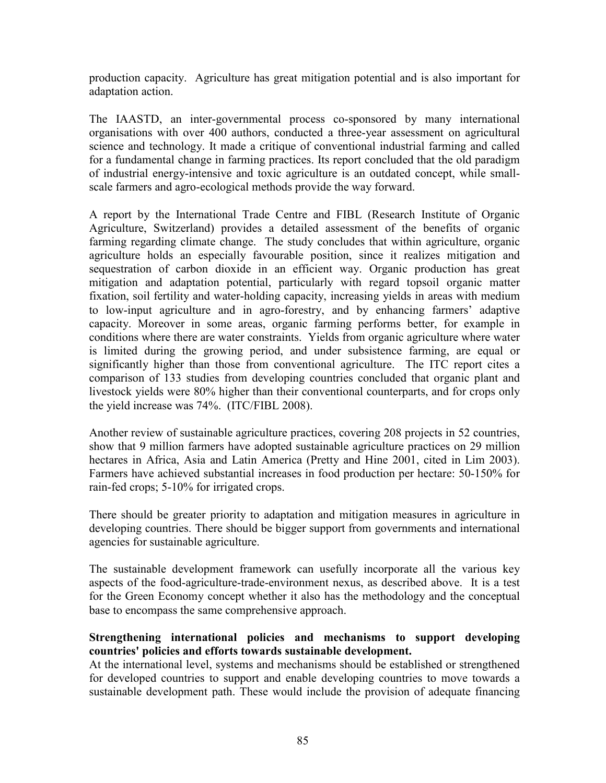production capacity. Agriculture has great mitigation potential and is also important for adaptation action.

The IAASTD, an inter-governmental process co-sponsored by many international organisations with over 400 authors, conducted a three-year assessment on agricultural science and technology. It made a critique of conventional industrial farming and called for a fundamental change in farming practices. Its report concluded that the old paradigm of industrial energy-intensive and toxic agriculture is an outdated concept, while smallscale farmers and agro-ecological methods provide the way forward.

A report by the International Trade Centre and FIBL (Research Institute of Organic Agriculture, Switzerland) provides a detailed assessment of the benefits of organic farming regarding climate change. The study concludes that within agriculture, organic agriculture holds an especially favourable position, since it realizes mitigation and sequestration of carbon dioxide in an efficient way. Organic production has great mitigation and adaptation potential, particularly with regard topsoil organic matter fixation, soil fertility and water-holding capacity, increasing yields in areas with medium to low-input agriculture and in agro-forestry, and by enhancing farmers' adaptive capacity. Moreover in some areas, organic farming performs better, for example in conditions where there are water constraints. Yields from organic agriculture where water is limited during the growing period, and under subsistence farming, are equal or significantly higher than those from conventional agriculture. The ITC report cites a comparison of 133 studies from developing countries concluded that organic plant and livestock yields were 80% higher than their conventional counterparts, and for crops only the yield increase was 74%. (ITC/FIBL 2008).

Another review of sustainable agriculture practices, covering 208 projects in 52 countries, show that 9 million farmers have adopted sustainable agriculture practices on 29 million hectares in Africa, Asia and Latin America (Pretty and Hine 2001, cited in Lim 2003). Farmers have achieved substantial increases in food production per hectare: 50-150% for rain-fed crops; 5-10% for irrigated crops.

There should be greater priority to adaptation and mitigation measures in agriculture in developing countries. There should be bigger support from governments and international agencies for sustainable agriculture.

The sustainable development framework can usefully incorporate all the various key aspects of the food-agriculture-trade-environment nexus, as described above. It is a test for the Green Economy concept whether it also has the methodology and the conceptual base to encompass the same comprehensive approach.

## **Strengthening international policies and mechanisms to support developing countries' policies and efforts towards sustainable development.**

At the international level, systems and mechanisms should be established or strengthened for developed countries to support and enable developing countries to move towards a sustainable development path. These would include the provision of adequate financing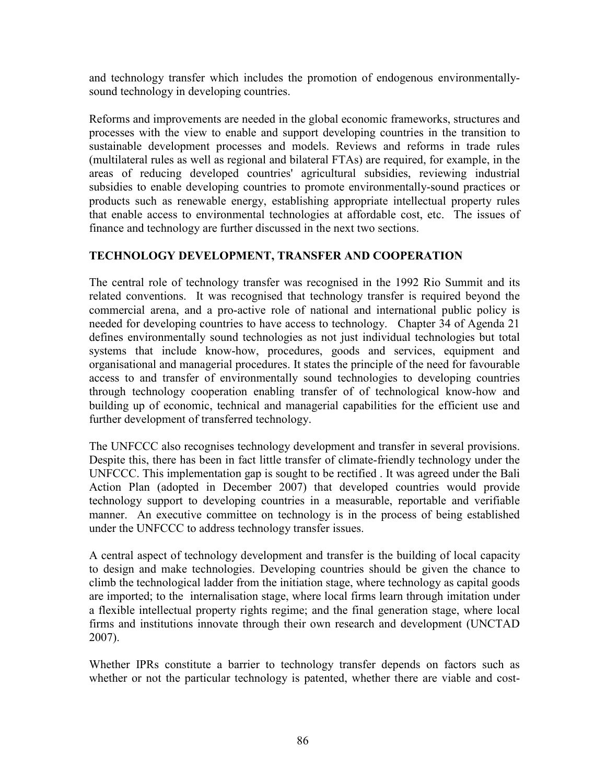and technology transfer which includes the promotion of endogenous environmentallysound technology in developing countries.

Reforms and improvements are needed in the global economic frameworks, structures and processes with the view to enable and support developing countries in the transition to sustainable development processes and models. Reviews and reforms in trade rules (multilateral rules as well as regional and bilateral FTAs) are required, for example, in the areas of reducing developed countries' agricultural subsidies, reviewing industrial subsidies to enable developing countries to promote environmentally-sound practices or products such as renewable energy, establishing appropriate intellectual property rules that enable access to environmental technologies at affordable cost, etc. The issues of finance and technology are further discussed in the next two sections.

# **TECHNOLOGY DEVELOPMENT, TRANSFER AND COOPERATION**

The central role of technology transfer was recognised in the 1992 Rio Summit and its related conventions. It was recognised that technology transfer is required beyond the commercial arena, and a pro-active role of national and international public policy is needed for developing countries to have access to technology. Chapter 34 of Agenda 21 defines environmentally sound technologies as not just individual technologies but total systems that include know-how, procedures, goods and services, equipment and organisational and managerial procedures. It states the principle of the need for favourable access to and transfer of environmentally sound technologies to developing countries through technology cooperation enabling transfer of of technological know-how and building up of economic, technical and managerial capabilities for the efficient use and further development of transferred technology.

The UNFCCC also recognises technology development and transfer in several provisions. Despite this, there has been in fact little transfer of climate-friendly technology under the UNFCCC. This implementation gap is sought to be rectified . It was agreed under the Bali Action Plan (adopted in December 2007) that developed countries would provide technology support to developing countries in a measurable, reportable and verifiable manner. An executive committee on technology is in the process of being established under the UNFCCC to address technology transfer issues.

A central aspect of technology development and transfer is the building of local capacity to design and make technologies. Developing countries should be given the chance to climb the technological ladder from the initiation stage, where technology as capital goods are imported; to the internalisation stage, where local firms learn through imitation under a flexible intellectual property rights regime; and the final generation stage, where local firms and institutions innovate through their own research and development (UNCTAD 2007).

Whether IPRs constitute a barrier to technology transfer depends on factors such as whether or not the particular technology is patented, whether there are viable and cost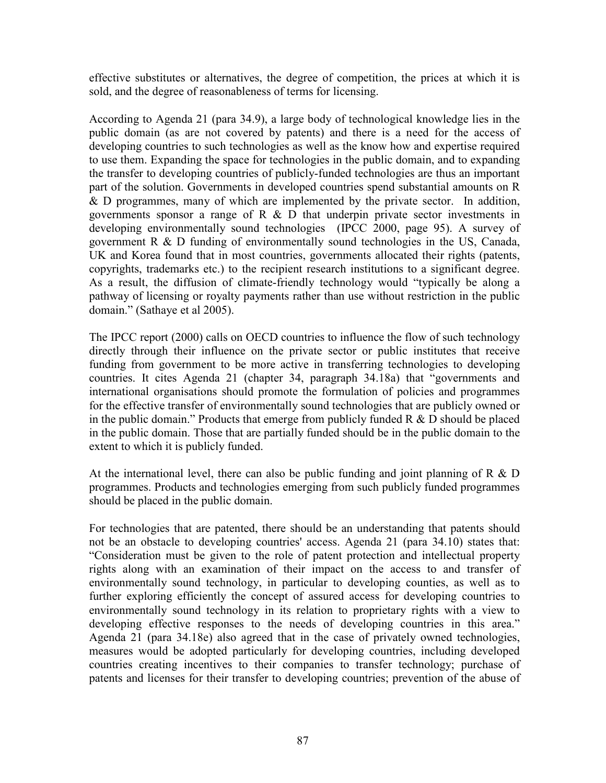effective substitutes or alternatives, the degree of competition, the prices at which it is sold, and the degree of reasonableness of terms for licensing.

According to Agenda 21 (para 34.9), a large body of technological knowledge lies in the public domain (as are not covered by patents) and there is a need for the access of developing countries to such technologies as well as the know how and expertise required to use them. Expanding the space for technologies in the public domain, and to expanding the transfer to developing countries of publicly-funded technologies are thus an important part of the solution. Governments in developed countries spend substantial amounts on R & D programmes, many of which are implemented by the private sector. In addition, governments sponsor a range of R  $\&$  D that underpin private sector investments in developing environmentally sound technologies (IPCC 2000, page 95). A survey of government R & D funding of environmentally sound technologies in the US, Canada, UK and Korea found that in most countries, governments allocated their rights (patents, copyrights, trademarks etc.) to the recipient research institutions to a significant degree. As a result, the diffusion of climate-friendly technology would "typically be along a pathway of licensing or royalty payments rather than use without restriction in the public domain." (Sathaye et al 2005).

The IPCC report (2000) calls on OECD countries to influence the flow of such technology directly through their influence on the private sector or public institutes that receive funding from government to be more active in transferring technologies to developing countries. It cites Agenda 21 (chapter 34, paragraph 34.18a) that "governments and international organisations should promote the formulation of policies and programmes for the effective transfer of environmentally sound technologies that are publicly owned or in the public domain." Products that emerge from publicly funded  $R \& D$  should be placed in the public domain. Those that are partially funded should be in the public domain to the extent to which it is publicly funded.

At the international level, there can also be public funding and joint planning of R  $\&$  D programmes. Products and technologies emerging from such publicly funded programmes should be placed in the public domain.

For technologies that are patented, there should be an understanding that patents should not be an obstacle to developing countries' access. Agenda 21 (para 34.10) states that: "Consideration must be given to the role of patent protection and intellectual property rights along with an examination of their impact on the access to and transfer of environmentally sound technology, in particular to developing counties, as well as to further exploring efficiently the concept of assured access for developing countries to environmentally sound technology in its relation to proprietary rights with a view to developing effective responses to the needs of developing countries in this area." Agenda 21 (para 34.18e) also agreed that in the case of privately owned technologies, measures would be adopted particularly for developing countries, including developed countries creating incentives to their companies to transfer technology; purchase of patents and licenses for their transfer to developing countries; prevention of the abuse of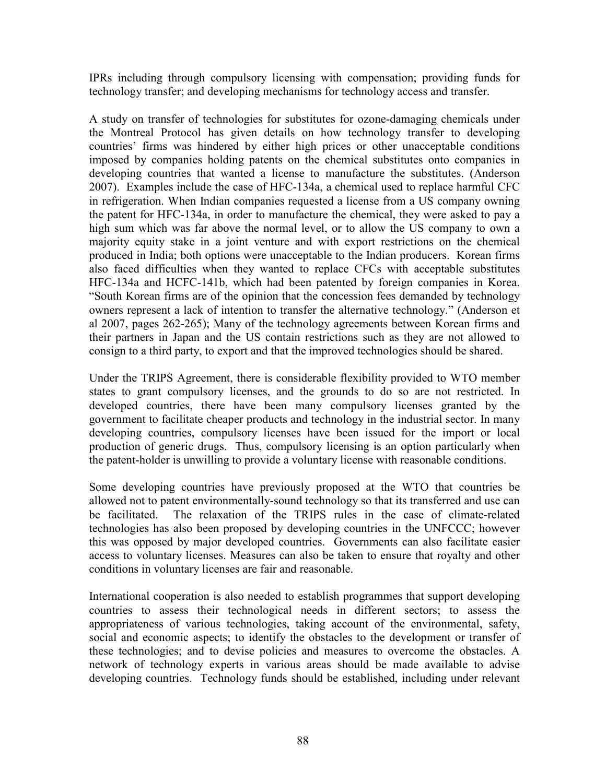IPRs including through compulsory licensing with compensation; providing funds for technology transfer; and developing mechanisms for technology access and transfer.

A study on transfer of technologies for substitutes for ozone-damaging chemicals under the Montreal Protocol has given details on how technology transfer to developing countries' firms was hindered by either high prices or other unacceptable conditions imposed by companies holding patents on the chemical substitutes onto companies in developing countries that wanted a license to manufacture the substitutes. (Anderson 2007). Examples include the case of HFC-134a, a chemical used to replace harmful CFC in refrigeration. When Indian companies requested a license from a US company owning the patent for HFC-134a, in order to manufacture the chemical, they were asked to pay a high sum which was far above the normal level, or to allow the US company to own a majority equity stake in a joint venture and with export restrictions on the chemical produced in India; both options were unacceptable to the Indian producers. Korean firms also faced difficulties when they wanted to replace CFCs with acceptable substitutes HFC-134a and HCFC-141b, which had been patented by foreign companies in Korea. "South Korean firms are of the opinion that the concession fees demanded by technology owners represent a lack of intention to transfer the alternative technology." (Anderson et al 2007, pages 262-265); Many of the technology agreements between Korean firms and their partners in Japan and the US contain restrictions such as they are not allowed to consign to a third party, to export and that the improved technologies should be shared.

Under the TRIPS Agreement, there is considerable flexibility provided to WTO member states to grant compulsory licenses, and the grounds to do so are not restricted. In developed countries, there have been many compulsory licenses granted by the government to facilitate cheaper products and technology in the industrial sector. In many developing countries, compulsory licenses have been issued for the import or local production of generic drugs. Thus, compulsory licensing is an option particularly when the patent-holder is unwilling to provide a voluntary license with reasonable conditions.

Some developing countries have previously proposed at the WTO that countries be allowed not to patent environmentally-sound technology so that its transferred and use can be facilitated. The relaxation of the TRIPS rules in the case of climate-related technologies has also been proposed by developing countries in the UNFCCC; however this was opposed by major developed countries. Governments can also facilitate easier access to voluntary licenses. Measures can also be taken to ensure that royalty and other conditions in voluntary licenses are fair and reasonable.

International cooperation is also needed to establish programmes that support developing countries to assess their technological needs in different sectors; to assess the appropriateness of various technologies, taking account of the environmental, safety, social and economic aspects; to identify the obstacles to the development or transfer of these technologies; and to devise policies and measures to overcome the obstacles. A network of technology experts in various areas should be made available to advise developing countries. Technology funds should be established, including under relevant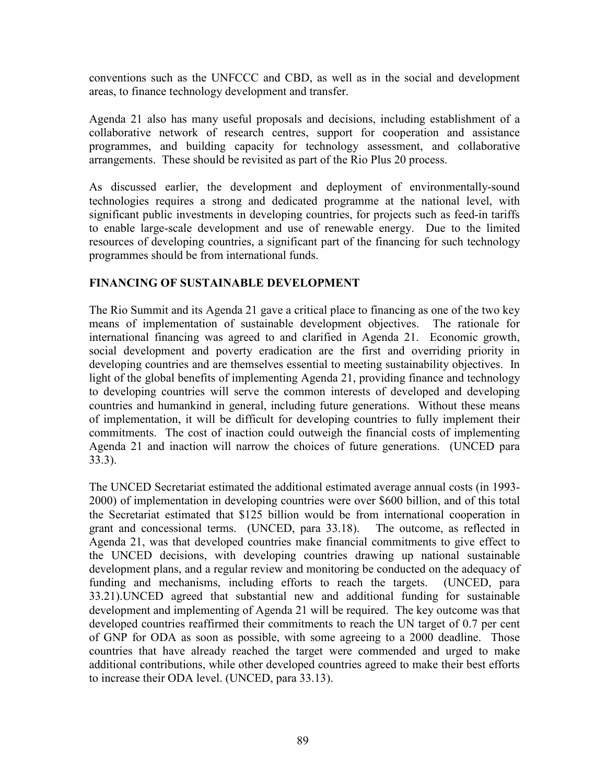conventions such as the UNFCCC and CBD, as well as in the social and development areas, to finance technology development and transfer.

Agenda 21 also has many useful proposals and decisions, including establishment of a collaborative network of research centres, support for cooperation and assistance programmes, and building capacity for technology assessment, and collaborative arrangements. These should be revisited as part of the Rio Plus 20 process.

As discussed earlier, the development and deployment of environmentally-sound technologies requires a strong and dedicated programme at the national level, with significant public investments in developing countries, for projects such as feed-in tariffs to enable large-scale development and use of renewable energy. Due to the limited resources of developing countries, a significant part of the financing for such technology programmes should be from international funds.

## **FINANCING OF SUSTAINABLE DEVELOPMENT**

The Rio Summit and its Agenda 21 gave a critical place to financing as one of the two key means of implementation of sustainable development objectives. The rationale for international financing was agreed to and clarified in Agenda 21. Economic growth, social development and poverty eradication are the first and overriding priority in developing countries and are themselves essential to meeting sustainability objectives. In light of the global benefits of implementing Agenda 21, providing finance and technology to developing countries will serve the common interests of developed and developing countries and humankind in general, including future generations. Without these means of implementation, it will be difficult for developing countries to fully implement their commitments. The cost of inaction could outweigh the financial costs of implementing Agenda 21 and inaction will narrow the choices of future generations. (UNCED para 33.3).

The UNCED Secretariat estimated the additional estimated average annual costs (in 1993- 2000) of implementation in developing countries were over \$600 billion, and of this total the Secretariat estimated that \$125 billion would be from international cooperation in grant and concessional terms. (UNCED, para 33.18). The outcome, as reflected in Agenda 21, was that developed countries make financial commitments to give effect to the UNCED decisions, with developing countries drawing up national sustainable development plans, and a regular review and monitoring be conducted on the adequacy of funding and mechanisms, including efforts to reach the targets. (UNCED, para 33.21).UNCED agreed that substantial new and additional funding for sustainable development and implementing of Agenda 21 will be required. The key outcome was that developed countries reaffirmed their commitments to reach the UN target of 0.7 per cent of GNP for ODA as soon as possible, with some agreeing to a 2000 deadline. Those countries that have already reached the target were commended and urged to make additional contributions, while other developed countries agreed to make their best efforts to increase their ODA level. (UNCED, para 33.13).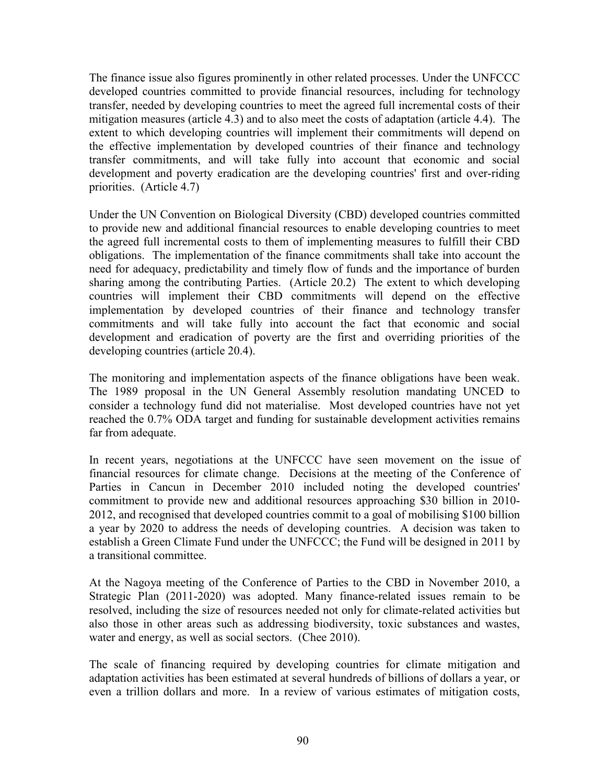The finance issue also figures prominently in other related processes. Under the UNFCCC developed countries committed to provide financial resources, including for technology transfer, needed by developing countries to meet the agreed full incremental costs of their mitigation measures (article 4.3) and to also meet the costs of adaptation (article 4.4). The extent to which developing countries will implement their commitments will depend on the effective implementation by developed countries of their finance and technology transfer commitments, and will take fully into account that economic and social development and poverty eradication are the developing countries' first and over-riding priorities. (Article 4.7)

Under the UN Convention on Biological Diversity (CBD) developed countries committed to provide new and additional financial resources to enable developing countries to meet the agreed full incremental costs to them of implementing measures to fulfill their CBD obligations. The implementation of the finance commitments shall take into account the need for adequacy, predictability and timely flow of funds and the importance of burden sharing among the contributing Parties. (Article 20.2) The extent to which developing countries will implement their CBD commitments will depend on the effective implementation by developed countries of their finance and technology transfer commitments and will take fully into account the fact that economic and social development and eradication of poverty are the first and overriding priorities of the developing countries (article 20.4).

The monitoring and implementation aspects of the finance obligations have been weak. The 1989 proposal in the UN General Assembly resolution mandating UNCED to consider a technology fund did not materialise. Most developed countries have not yet reached the 0.7% ODA target and funding for sustainable development activities remains far from adequate.

In recent years, negotiations at the UNFCCC have seen movement on the issue of financial resources for climate change. Decisions at the meeting of the Conference of Parties in Cancun in December 2010 included noting the developed countries' commitment to provide new and additional resources approaching \$30 billion in 2010- 2012, and recognised that developed countries commit to a goal of mobilising \$100 billion a year by 2020 to address the needs of developing countries. A decision was taken to establish a Green Climate Fund under the UNFCCC; the Fund will be designed in 2011 by a transitional committee.

At the Nagoya meeting of the Conference of Parties to the CBD in November 2010, a Strategic Plan (2011-2020) was adopted. Many finance-related issues remain to be resolved, including the size of resources needed not only for climate-related activities but also those in other areas such as addressing biodiversity, toxic substances and wastes, water and energy, as well as social sectors. (Chee 2010).

The scale of financing required by developing countries for climate mitigation and adaptation activities has been estimated at several hundreds of billions of dollars a year, or even a trillion dollars and more. In a review of various estimates of mitigation costs,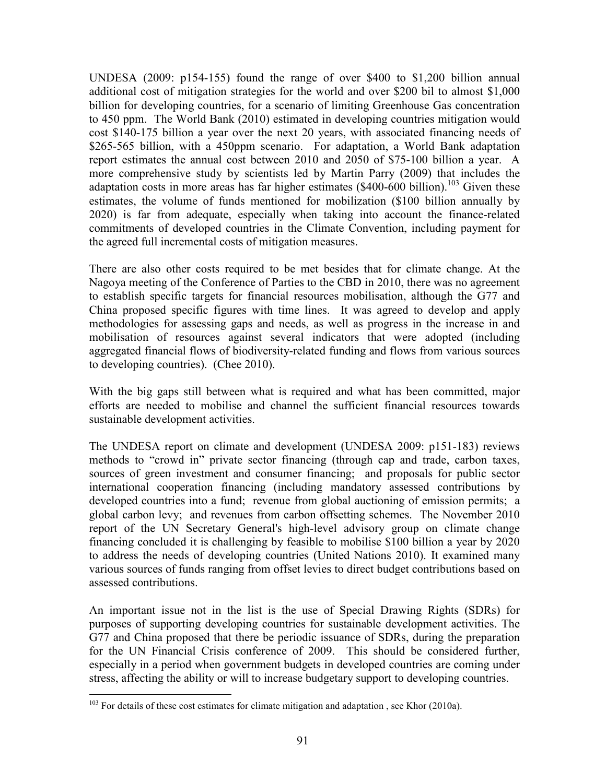UNDESA (2009: p154-155) found the range of over \$400 to \$1,200 billion annual additional cost of mitigation strategies for the world and over \$200 bil to almost \$1,000 billion for developing countries, for a scenario of limiting Greenhouse Gas concentration to 450 ppm. The World Bank (2010) estimated in developing countries mitigation would cost \$140-175 billion a year over the next 20 years, with associated financing needs of \$265-565 billion, with a 450ppm scenario. For adaptation, a World Bank adaptation report estimates the annual cost between 2010 and 2050 of \$75-100 billion a year. A more comprehensive study by scientists led by Martin Parry (2009) that includes the adaptation costs in more areas has far higher estimates  $(\$400-600$  billion).<sup>103</sup> Given these estimates, the volume of funds mentioned for mobilization (\$100 billion annually by 2020) is far from adequate, especially when taking into account the finance-related commitments of developed countries in the Climate Convention, including payment for the agreed full incremental costs of mitigation measures.

There are also other costs required to be met besides that for climate change. At the Nagoya meeting of the Conference of Parties to the CBD in 2010, there was no agreement to establish specific targets for financial resources mobilisation, although the G77 and China proposed specific figures with time lines. It was agreed to develop and apply methodologies for assessing gaps and needs, as well as progress in the increase in and mobilisation of resources against several indicators that were adopted (including aggregated financial flows of biodiversity-related funding and flows from various sources to developing countries). (Chee 2010).

With the big gaps still between what is required and what has been committed, major efforts are needed to mobilise and channel the sufficient financial resources towards sustainable development activities.

The UNDESA report on climate and development (UNDESA 2009: p151-183) reviews methods to "crowd in" private sector financing (through cap and trade, carbon taxes, sources of green investment and consumer financing; and proposals for public sector international cooperation financing (including mandatory assessed contributions by developed countries into a fund; revenue from global auctioning of emission permits; a global carbon levy; and revenues from carbon offsetting schemes. The November 2010 report of the UN Secretary General's high-level advisory group on climate change financing concluded it is challenging by feasible to mobilise \$100 billion a year by 2020 to address the needs of developing countries (United Nations 2010). It examined many various sources of funds ranging from offset levies to direct budget contributions based on assessed contributions.

An important issue not in the list is the use of Special Drawing Rights (SDRs) for purposes of supporting developing countries for sustainable development activities. The G77 and China proposed that there be periodic issuance of SDRs, during the preparation for the UN Financial Crisis conference of 2009. This should be considered further, especially in a period when government budgets in developed countries are coming under stress, affecting the ability or will to increase budgetary support to developing countries.

 $\overline{a}$ 

 $103$  For details of these cost estimates for climate mitigation and adaptation, see Khor (2010a).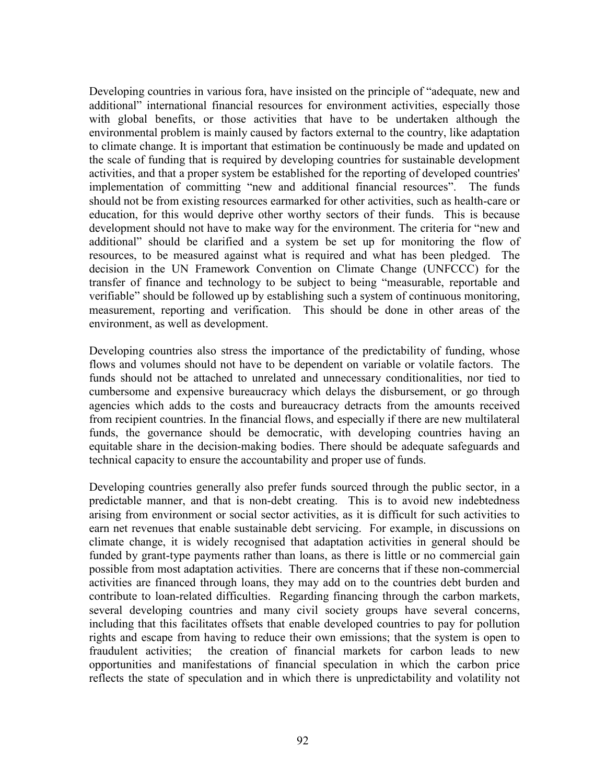Developing countries in various fora, have insisted on the principle of "adequate, new and additional" international financial resources for environment activities, especially those with global benefits, or those activities that have to be undertaken although the environmental problem is mainly caused by factors external to the country, like adaptation to climate change. It is important that estimation be continuously be made and updated on the scale of funding that is required by developing countries for sustainable development activities, and that a proper system be established for the reporting of developed countries' implementation of committing "new and additional financial resources". The funds should not be from existing resources earmarked for other activities, such as health-care or education, for this would deprive other worthy sectors of their funds. This is because development should not have to make way for the environment. The criteria for "new and additional" should be clarified and a system be set up for monitoring the flow of resources, to be measured against what is required and what has been pledged. The decision in the UN Framework Convention on Climate Change (UNFCCC) for the transfer of finance and technology to be subject to being "measurable, reportable and verifiable" should be followed up by establishing such a system of continuous monitoring, measurement, reporting and verification. This should be done in other areas of the environment, as well as development.

Developing countries also stress the importance of the predictability of funding, whose flows and volumes should not have to be dependent on variable or volatile factors. The funds should not be attached to unrelated and unnecessary conditionalities, nor tied to cumbersome and expensive bureaucracy which delays the disbursement, or go through agencies which adds to the costs and bureaucracy detracts from the amounts received from recipient countries. In the financial flows, and especially if there are new multilateral funds, the governance should be democratic, with developing countries having an equitable share in the decision-making bodies. There should be adequate safeguards and technical capacity to ensure the accountability and proper use of funds.

Developing countries generally also prefer funds sourced through the public sector, in a predictable manner, and that is non-debt creating. This is to avoid new indebtedness arising from environment or social sector activities, as it is difficult for such activities to earn net revenues that enable sustainable debt servicing. For example, in discussions on climate change, it is widely recognised that adaptation activities in general should be funded by grant-type payments rather than loans, as there is little or no commercial gain possible from most adaptation activities. There are concerns that if these non-commercial activities are financed through loans, they may add on to the countries debt burden and contribute to loan-related difficulties. Regarding financing through the carbon markets, several developing countries and many civil society groups have several concerns, including that this facilitates offsets that enable developed countries to pay for pollution rights and escape from having to reduce their own emissions; that the system is open to fraudulent activities; the creation of financial markets for carbon leads to new opportunities and manifestations of financial speculation in which the carbon price reflects the state of speculation and in which there is unpredictability and volatility not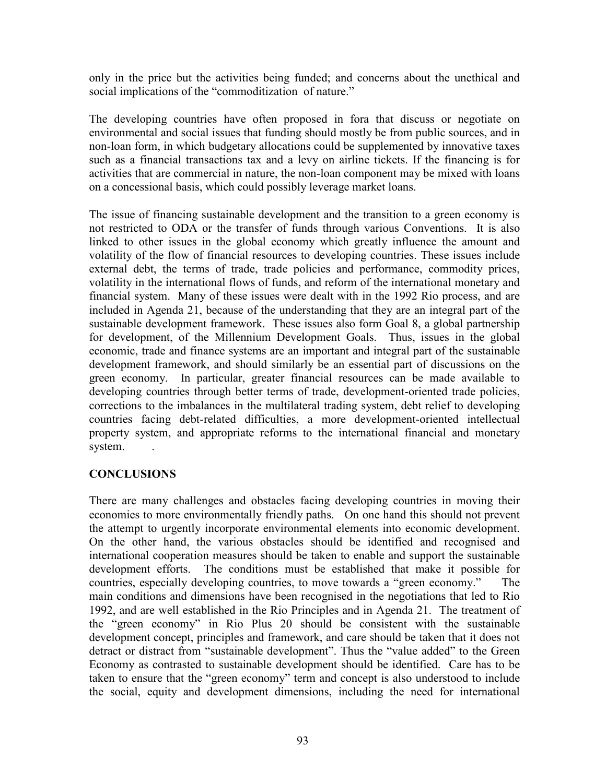only in the price but the activities being funded; and concerns about the unethical and social implications of the "commoditization of nature."

The developing countries have often proposed in fora that discuss or negotiate on environmental and social issues that funding should mostly be from public sources, and in non-loan form, in which budgetary allocations could be supplemented by innovative taxes such as a financial transactions tax and a levy on airline tickets. If the financing is for activities that are commercial in nature, the non-loan component may be mixed with loans on a concessional basis, which could possibly leverage market loans.

The issue of financing sustainable development and the transition to a green economy is not restricted to ODA or the transfer of funds through various Conventions. It is also linked to other issues in the global economy which greatly influence the amount and volatility of the flow of financial resources to developing countries. These issues include external debt, the terms of trade, trade policies and performance, commodity prices, volatility in the international flows of funds, and reform of the international monetary and financial system. Many of these issues were dealt with in the 1992 Rio process, and are included in Agenda 21, because of the understanding that they are an integral part of the sustainable development framework. These issues also form Goal 8, a global partnership for development, of the Millennium Development Goals. Thus, issues in the global economic, trade and finance systems are an important and integral part of the sustainable development framework, and should similarly be an essential part of discussions on the green economy. In particular, greater financial resources can be made available to developing countries through better terms of trade, development-oriented trade policies, corrections to the imbalances in the multilateral trading system, debt relief to developing countries facing debt-related difficulties, a more development-oriented intellectual property system, and appropriate reforms to the international financial and monetary system.

## **CONCLUSIONS**

There are many challenges and obstacles facing developing countries in moving their economies to more environmentally friendly paths. On one hand this should not prevent the attempt to urgently incorporate environmental elements into economic development. On the other hand, the various obstacles should be identified and recognised and international cooperation measures should be taken to enable and support the sustainable development efforts. The conditions must be established that make it possible for countries, especially developing countries, to move towards a "green economy." The main conditions and dimensions have been recognised in the negotiations that led to Rio 1992, and are well established in the Rio Principles and in Agenda 21. The treatment of the "green economy" in Rio Plus 20 should be consistent with the sustainable development concept, principles and framework, and care should be taken that it does not detract or distract from "sustainable development". Thus the "value added" to the Green Economy as contrasted to sustainable development should be identified. Care has to be taken to ensure that the "green economy" term and concept is also understood to include the social, equity and development dimensions, including the need for international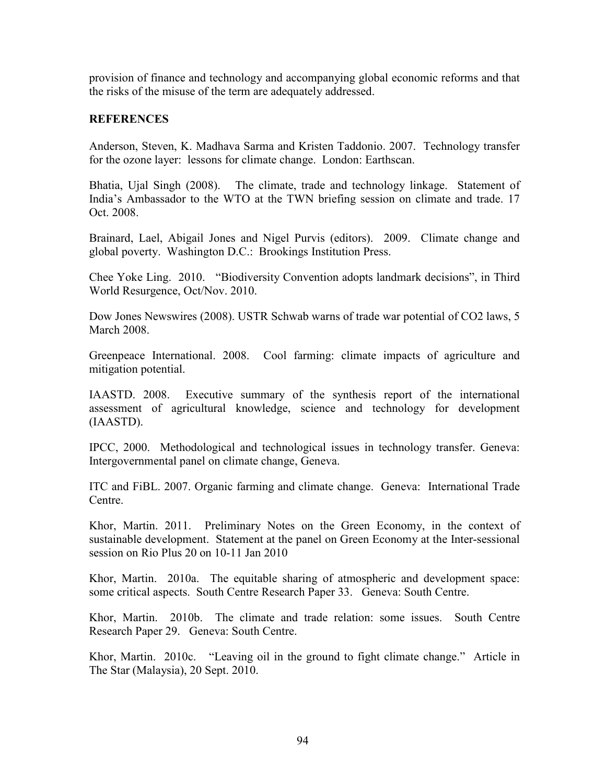provision of finance and technology and accompanying global economic reforms and that the risks of the misuse of the term are adequately addressed.

### **REFERENCES**

Anderson, Steven, K. Madhava Sarma and Kristen Taddonio. 2007. Technology transfer for the ozone layer: lessons for climate change. London: Earthscan.

Bhatia, Ujal Singh (2008). The climate, trade and technology linkage. Statement of India's Ambassador to the WTO at the TWN briefing session on climate and trade. 17 Oct. 2008.

Brainard, Lael, Abigail Jones and Nigel Purvis (editors). 2009. Climate change and global poverty. Washington D.C.: Brookings Institution Press.

Chee Yoke Ling. 2010. "Biodiversity Convention adopts landmark decisions", in Third World Resurgence, Oct/Nov. 2010.

Dow Jones Newswires (2008). USTR Schwab warns of trade war potential of CO2 laws, 5 March 2008.

Greenpeace International. 2008. Cool farming: climate impacts of agriculture and mitigation potential.

IAASTD. 2008. Executive summary of the synthesis report of the international assessment of agricultural knowledge, science and technology for development (IAASTD).

IPCC, 2000. Methodological and technological issues in technology transfer. Geneva: Intergovernmental panel on climate change, Geneva.

ITC and FiBL. 2007. Organic farming and climate change. Geneva: International Trade Centre.

Khor, Martin. 2011. Preliminary Notes on the Green Economy, in the context of sustainable development. Statement at the panel on Green Economy at the Inter-sessional session on Rio Plus 20 on 10-11 Jan 2010

Khor, Martin. 2010a. The equitable sharing of atmospheric and development space: some critical aspects. South Centre Research Paper 33. Geneva: South Centre.

Khor, Martin. 2010b. The climate and trade relation: some issues. South Centre Research Paper 29. Geneva: South Centre.

Khor, Martin. 2010c. "Leaving oil in the ground to fight climate change." Article in The Star (Malaysia), 20 Sept. 2010.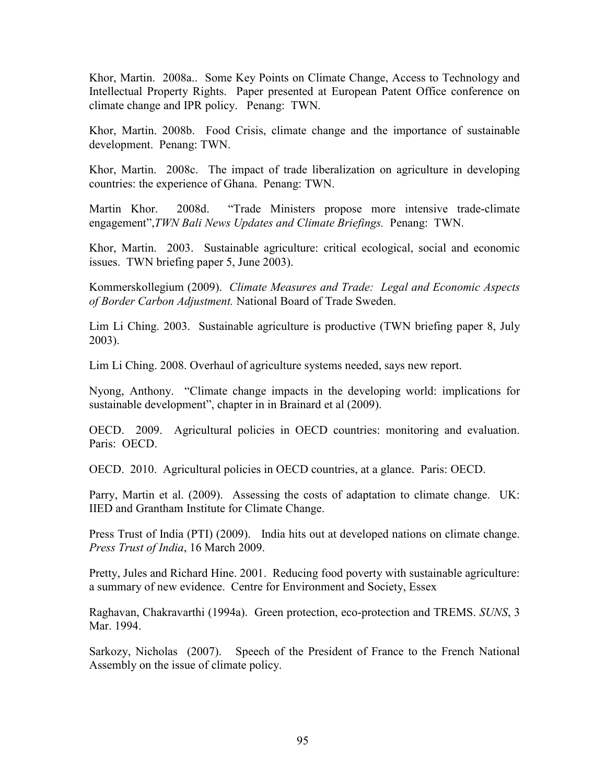Khor, Martin. 2008a.. Some Key Points on Climate Change, Access to Technology and Intellectual Property Rights. Paper presented at European Patent Office conference on climate change and IPR policy. Penang: TWN.

Khor, Martin. 2008b. Food Crisis, climate change and the importance of sustainable development. Penang: TWN.

Khor, Martin. 2008c. The impact of trade liberalization on agriculture in developing countries: the experience of Ghana. Penang: TWN.

Martin Khor. 2008d. "Trade Ministers propose more intensive trade-climate engagement",*TWN Bali News Updates and Climate Briefings.* Penang: TWN.

Khor, Martin. 2003. Sustainable agriculture: critical ecological, social and economic issues. TWN briefing paper 5, June 2003).

Kommerskollegium (2009). *Climate Measures and Trade: Legal and Economic Aspects of Border Carbon Adjustment.* National Board of Trade Sweden.

Lim Li Ching. 2003. Sustainable agriculture is productive (TWN briefing paper 8, July 2003).

Lim Li Ching. 2008. Overhaul of agriculture systems needed, says new report.

Nyong, Anthony. "Climate change impacts in the developing world: implications for sustainable development", chapter in in Brainard et al (2009).

OECD. 2009. Agricultural policies in OECD countries: monitoring and evaluation. Paris: OECD.

OECD. 2010. Agricultural policies in OECD countries, at a glance. Paris: OECD.

Parry, Martin et al. (2009). Assessing the costs of adaptation to climate change. UK: IIED and Grantham Institute for Climate Change.

Press Trust of India (PTI) (2009). India hits out at developed nations on climate change. *Press Trust of India*, 16 March 2009.

Pretty, Jules and Richard Hine. 2001. Reducing food poverty with sustainable agriculture: a summary of new evidence. Centre for Environment and Society, Essex

Raghavan, Chakravarthi (1994a). Green protection, eco-protection and TREMS. *SUNS*, 3 Mar. 1994.

Sarkozy, Nicholas (2007). Speech of the President of France to the French National Assembly on the issue of climate policy.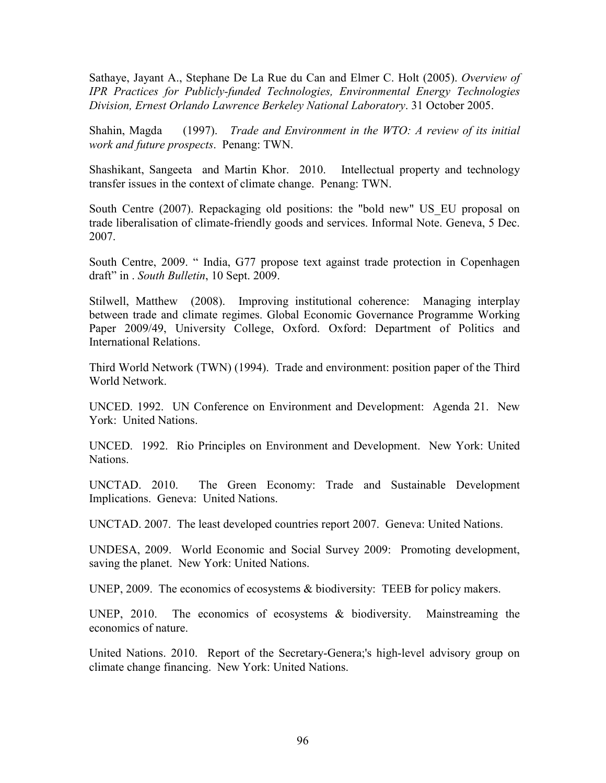Sathaye, Jayant A., Stephane De La Rue du Can and Elmer C. Holt (2005). *Overview of IPR Practices for Publicly-funded Technologies, Environmental Energy Technologies Division, Ernest Orlando Lawrence Berkeley National Laboratory*. 31 October 2005.

Shahin, Magda (1997). *Trade and Environment in the WTO: A review of its initial work and future prospects*. Penang: TWN.

Shashikant, Sangeeta and Martin Khor. 2010. Intellectual property and technology transfer issues in the context of climate change. Penang: TWN.

South Centre (2007). Repackaging old positions: the "bold new" US EU proposal on trade liberalisation of climate-friendly goods and services. Informal Note. Geneva, 5 Dec. 2007.

South Centre, 2009. " India, G77 propose text against trade protection in Copenhagen draft" in . *South Bulletin*, 10 Sept. 2009.

Stilwell, Matthew (2008). Improving institutional coherence: Managing interplay between trade and climate regimes. Global Economic Governance Programme Working Paper 2009/49, University College, Oxford. Oxford: Department of Politics and International Relations.

Third World Network (TWN) (1994). Trade and environment: position paper of the Third World Network.

UNCED. 1992. UN Conference on Environment and Development: Agenda 21. New York: United Nations.

UNCED. 1992. Rio Principles on Environment and Development. New York: United Nations.

UNCTAD. 2010. The Green Economy: Trade and Sustainable Development Implications. Geneva: United Nations.

UNCTAD. 2007. The least developed countries report 2007. Geneva: United Nations.

UNDESA, 2009. World Economic and Social Survey 2009: Promoting development, saving the planet. New York: United Nations.

UNEP, 2009. The economics of ecosystems & biodiversity: TEEB for policy makers.

UNEP, 2010. The economics of ecosystems & biodiversity. Mainstreaming the economics of nature.

United Nations. 2010. Report of the Secretary-Genera;'s high-level advisory group on climate change financing. New York: United Nations.